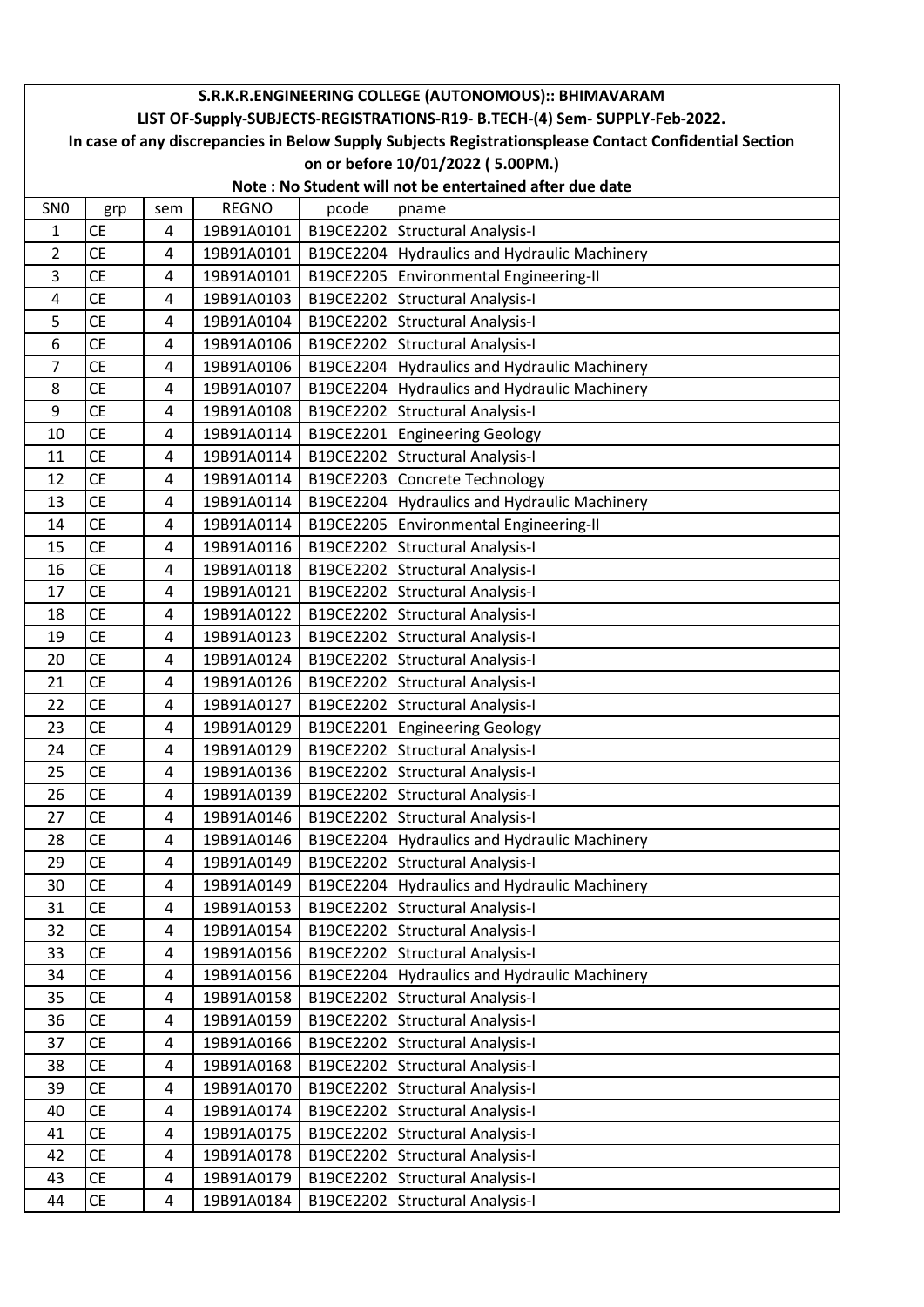|                 | S.R.K.R.ENGINEERING COLLEGE (AUTONOMOUS):: BHIMAVARAM                                                  |                         |              |       |                                                         |  |  |  |
|-----------------|--------------------------------------------------------------------------------------------------------|-------------------------|--------------|-------|---------------------------------------------------------|--|--|--|
|                 | LIST OF-Supply-SUBJECTS-REGISTRATIONS-R19- B.TECH-(4) Sem- SUPPLY-Feb-2022.                            |                         |              |       |                                                         |  |  |  |
|                 | In case of any discrepancies in Below Supply Subjects Registrationsplease Contact Confidential Section |                         |              |       |                                                         |  |  |  |
|                 | on or before 10/01/2022 (5.00PM.)                                                                      |                         |              |       |                                                         |  |  |  |
|                 |                                                                                                        |                         |              |       | Note: No Student will not be entertained after due date |  |  |  |
| SN <sub>0</sub> | grp                                                                                                    | sem                     | <b>REGNO</b> | pcode | pname                                                   |  |  |  |
| 1               | <b>CE</b>                                                                                              | 4                       | 19B91A0101   |       | B19CE2202 Structural Analysis-I                         |  |  |  |
| $\overline{2}$  | <b>CE</b>                                                                                              | 4                       | 19B91A0101   |       | B19CE2204 Hydraulics and Hydraulic Machinery            |  |  |  |
| 3               | <b>CE</b>                                                                                              | 4                       | 19B91A0101   |       | B19CE2205 Environmental Engineering-II                  |  |  |  |
| 4               | <b>CE</b>                                                                                              | 4                       | 19B91A0103   |       | B19CE2202 Structural Analysis-I                         |  |  |  |
| 5               | <b>CE</b>                                                                                              | 4                       | 19B91A0104   |       | B19CE2202 Structural Analysis-I                         |  |  |  |
| 6               | <b>CE</b>                                                                                              | $\overline{4}$          | 19B91A0106   |       | B19CE2202 Structural Analysis-I                         |  |  |  |
| 7               | <b>CE</b>                                                                                              | 4                       | 19B91A0106   |       | B19CE2204 Hydraulics and Hydraulic Machinery            |  |  |  |
| 8               | <b>CE</b>                                                                                              | $\overline{4}$          | 19B91A0107   |       | B19CE2204 Hydraulics and Hydraulic Machinery            |  |  |  |
| 9               | <b>CE</b>                                                                                              | 4                       | 19B91A0108   |       | B19CE2202 Structural Analysis-I                         |  |  |  |
| 10              | <b>CE</b>                                                                                              | 4                       | 19B91A0114   |       | B19CE2201 Engineering Geology                           |  |  |  |
| 11              | <b>CE</b>                                                                                              | 4                       | 19B91A0114   |       | B19CE2202 Structural Analysis-I                         |  |  |  |
| 12              | <b>CE</b>                                                                                              | 4                       | 19B91A0114   |       | B19CE2203 Concrete Technology                           |  |  |  |
| 13              | <b>CE</b>                                                                                              | $\overline{4}$          | 19B91A0114   |       | B19CE2204 Hydraulics and Hydraulic Machinery            |  |  |  |
| 14              | <b>CE</b>                                                                                              | 4                       | 19B91A0114   |       | B19CE2205 Environmental Engineering-II                  |  |  |  |
| 15              | <b>CE</b>                                                                                              | 4                       | 19B91A0116   |       | B19CE2202 Structural Analysis-I                         |  |  |  |
| 16              | <b>CE</b>                                                                                              | $\overline{4}$          | 19B91A0118   |       | B19CE2202 Structural Analysis-I                         |  |  |  |
| 17              | <b>CE</b>                                                                                              | 4                       | 19B91A0121   |       | B19CE2202 Structural Analysis-I                         |  |  |  |
| 18              | <b>CE</b>                                                                                              | 4                       | 19B91A0122   |       | B19CE2202 Structural Analysis-I                         |  |  |  |
| 19              | <b>CE</b>                                                                                              | 4                       | 19B91A0123   |       | B19CE2202 Structural Analysis-I                         |  |  |  |
| 20              | <b>CE</b>                                                                                              | 4                       | 19B91A0124   |       | B19CE2202 Structural Analysis-I                         |  |  |  |
| 21              | CE                                                                                                     | 4                       | 19B91A0126   |       | B19CE2202 Structural Analysis-I                         |  |  |  |
| 22              | <b>CE</b>                                                                                              | 4                       | 19B91A0127   |       | B19CE2202 Structural Analysis-I                         |  |  |  |
| 23              | <b>CE</b>                                                                                              | 4                       | 19B91A0129   |       | B19CE2201 Engineering Geology                           |  |  |  |
| 24              | <b>CE</b>                                                                                              | 4                       | 19B91A0129   |       | B19CE2202 Structural Analysis-I                         |  |  |  |
| 25              | CE                                                                                                     | 4                       | 19B91A0136   |       | B19CE2202 Structural Analysis-I                         |  |  |  |
| 26              | <b>CE</b>                                                                                              | 4                       | 19B91A0139   |       | B19CE2202 Structural Analysis-I                         |  |  |  |
| 27              | CE                                                                                                     | 4                       | 19B91A0146   |       | B19CE2202 Structural Analysis-I                         |  |  |  |
| 28              | CE                                                                                                     | 4                       | 19B91A0146   |       | B19CE2204 Hydraulics and Hydraulic Machinery            |  |  |  |
| 29              | <b>CE</b>                                                                                              | 4                       | 19B91A0149   |       | B19CE2202 Structural Analysis-I                         |  |  |  |
| 30              | <b>CE</b>                                                                                              | 4                       | 19B91A0149   |       | B19CE2204 Hydraulics and Hydraulic Machinery            |  |  |  |
| 31              | <b>CE</b>                                                                                              | 4                       | 19B91A0153   |       | B19CE2202 Structural Analysis-I                         |  |  |  |
| 32              | CE                                                                                                     | 4                       | 19B91A0154   |       | B19CE2202 Structural Analysis-I                         |  |  |  |
| 33              | CE                                                                                                     | 4                       | 19B91A0156   |       | B19CE2202 Structural Analysis-I                         |  |  |  |
| 34              | <b>CE</b>                                                                                              | 4                       | 19B91A0156   |       | B19CE2204 Hydraulics and Hydraulic Machinery            |  |  |  |
| 35              | <b>CE</b>                                                                                              | 4                       | 19B91A0158   |       | B19CE2202 Structural Analysis-I                         |  |  |  |
| 36              | <b>CE</b>                                                                                              | 4                       | 19B91A0159   |       | B19CE2202 Structural Analysis-I                         |  |  |  |
| 37              | <b>CE</b>                                                                                              | 4                       | 19B91A0166   |       | B19CE2202 Structural Analysis-I                         |  |  |  |
| 38              | CE                                                                                                     | $\overline{\mathbf{4}}$ | 19B91A0168   |       | B19CE2202 Structural Analysis-I                         |  |  |  |
| 39              | <b>CE</b>                                                                                              | 4                       | 19B91A0170   |       | B19CE2202 Structural Analysis-I                         |  |  |  |
| 40              | CE                                                                                                     | 4                       | 19B91A0174   |       | B19CE2202 Structural Analysis-I                         |  |  |  |
| 41              | CE                                                                                                     | $\overline{\mathbf{4}}$ | 19B91A0175   |       | B19CE2202 Structural Analysis-I                         |  |  |  |
| 42              | <b>CE</b>                                                                                              | 4                       | 19B91A0178   |       | B19CE2202 Structural Analysis-I                         |  |  |  |
| 43              | <b>CE</b>                                                                                              | 4                       | 19B91A0179   |       | B19CE2202 Structural Analysis-I                         |  |  |  |
| 44              | CE                                                                                                     | $\overline{4}$          | 19B91A0184   |       | B19CE2202 Structural Analysis-I                         |  |  |  |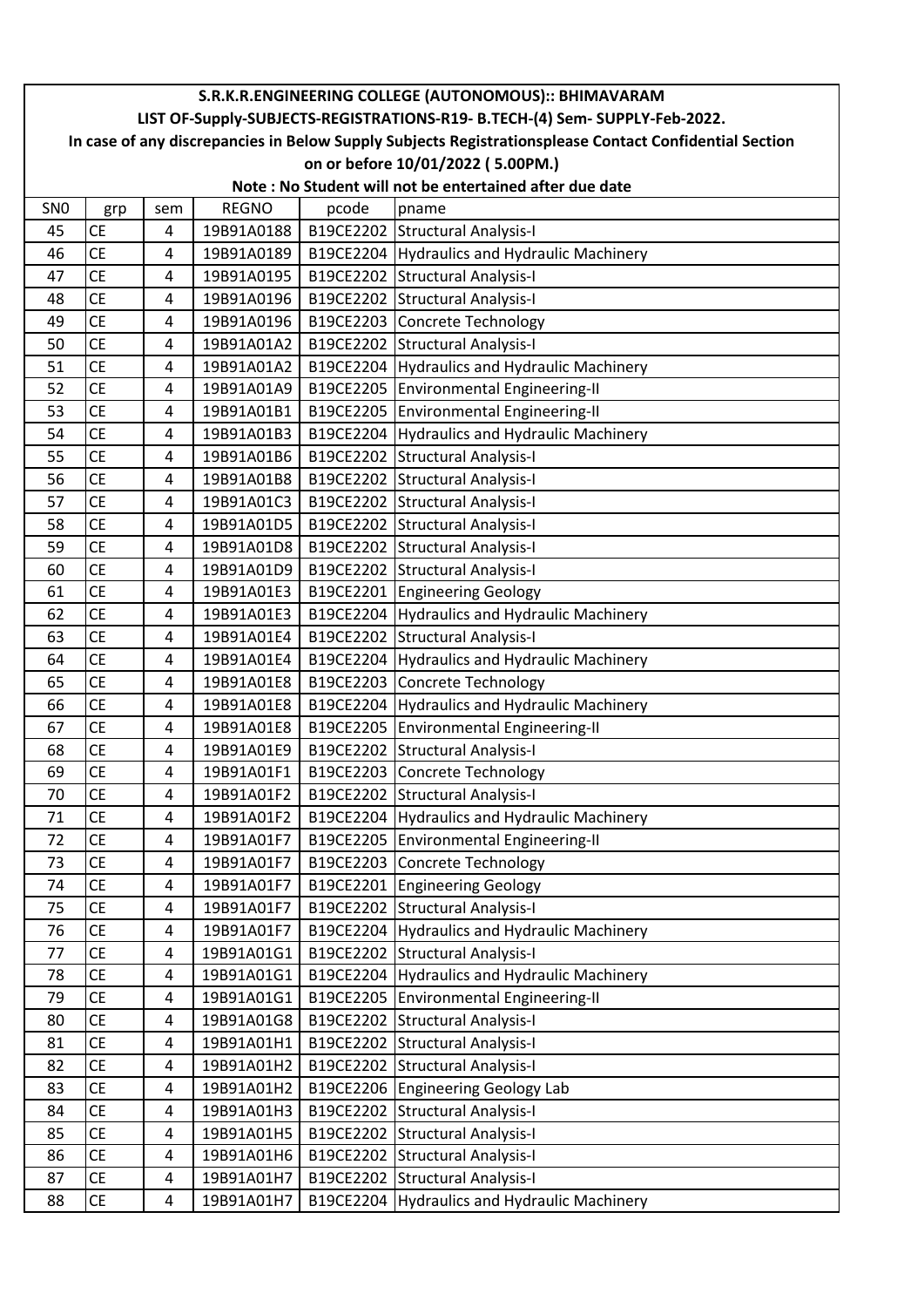|                 | S.R.K.R.ENGINEERING COLLEGE (AUTONOMOUS):: BHIMAVARAM                                                  |                |              |           |                                                         |  |  |  |  |
|-----------------|--------------------------------------------------------------------------------------------------------|----------------|--------------|-----------|---------------------------------------------------------|--|--|--|--|
|                 | LIST OF-Supply-SUBJECTS-REGISTRATIONS-R19- B.TECH-(4) Sem- SUPPLY-Feb-2022.                            |                |              |           |                                                         |  |  |  |  |
|                 | In case of any discrepancies in Below Supply Subjects Registrationsplease Contact Confidential Section |                |              |           |                                                         |  |  |  |  |
|                 |                                                                                                        |                |              |           | on or before 10/01/2022 (5.00PM.)                       |  |  |  |  |
|                 |                                                                                                        |                |              |           | Note: No Student will not be entertained after due date |  |  |  |  |
| SN <sub>0</sub> | grp                                                                                                    | sem            | <b>REGNO</b> | pcode     | pname                                                   |  |  |  |  |
| 45              | <b>CE</b>                                                                                              | 4              | 19B91A0188   |           | B19CE2202 Structural Analysis-I                         |  |  |  |  |
| 46              | <b>CE</b>                                                                                              | 4              | 19B91A0189   |           | B19CE2204 Hydraulics and Hydraulic Machinery            |  |  |  |  |
| 47              | <b>CE</b>                                                                                              | $\overline{4}$ | 19B91A0195   |           | B19CE2202 Structural Analysis-I                         |  |  |  |  |
| 48              | <b>CE</b>                                                                                              | 4              | 19B91A0196   |           | B19CE2202 Structural Analysis-I                         |  |  |  |  |
| 49              | <b>CE</b>                                                                                              | $\overline{4}$ | 19B91A0196   |           | B19CE2203 Concrete Technology                           |  |  |  |  |
| 50              | <b>CE</b>                                                                                              | 4              | 19B91A01A2   |           | B19CE2202 Structural Analysis-I                         |  |  |  |  |
| 51              | <b>CE</b>                                                                                              | 4              | 19B91A01A2   |           | B19CE2204 Hydraulics and Hydraulic Machinery            |  |  |  |  |
| 52              | <b>CE</b>                                                                                              | 4              | 19B91A01A9   |           | B19CE2205 Environmental Engineering-II                  |  |  |  |  |
| 53              | <b>CE</b>                                                                                              | 4              | 19B91A01B1   |           | B19CE2205 Environmental Engineering-II                  |  |  |  |  |
| 54              | <b>CE</b>                                                                                              | 4              | 19B91A01B3   |           | B19CE2204 Hydraulics and Hydraulic Machinery            |  |  |  |  |
| 55              | <b>CE</b>                                                                                              | 4              | 19B91A01B6   |           | B19CE2202 Structural Analysis-I                         |  |  |  |  |
| 56              | <b>CE</b>                                                                                              | 4              | 19B91A01B8   |           | B19CE2202 Structural Analysis-I                         |  |  |  |  |
| 57              | <b>CE</b>                                                                                              | 4              | 19B91A01C3   |           | B19CE2202 Structural Analysis-I                         |  |  |  |  |
| 58              | <b>CE</b>                                                                                              | 4              | 19B91A01D5   |           | B19CE2202 Structural Analysis-I                         |  |  |  |  |
| 59              | <b>CE</b>                                                                                              | 4              | 19B91A01D8   |           | B19CE2202 Structural Analysis-I                         |  |  |  |  |
| 60              | <b>CE</b>                                                                                              | 4              | 19B91A01D9   |           | B19CE2202 Structural Analysis-I                         |  |  |  |  |
| 61              | <b>CE</b>                                                                                              | $\overline{4}$ | 19B91A01E3   |           | B19CE2201 Engineering Geology                           |  |  |  |  |
| 62              | <b>CE</b>                                                                                              | 4              | 19B91A01E3   | B19CE2204 | Hydraulics and Hydraulic Machinery                      |  |  |  |  |
| 63              | <b>CE</b>                                                                                              | 4              | 19B91A01E4   |           | B19CE2202 Structural Analysis-I                         |  |  |  |  |
| 64              | <b>CE</b>                                                                                              | 4              | 19B91A01E4   |           | B19CE2204 Hydraulics and Hydraulic Machinery            |  |  |  |  |
| 65              | <b>CE</b>                                                                                              | 4              | 19B91A01E8   |           | B19CE2203 Concrete Technology                           |  |  |  |  |
| 66              | <b>CE</b>                                                                                              | $\overline{4}$ | 19B91A01E8   | B19CE2204 | Hydraulics and Hydraulic Machinery                      |  |  |  |  |
| 67              | <b>CE</b>                                                                                              | 4              | 19B91A01E8   | B19CE2205 | Environmental Engineering-II                            |  |  |  |  |
| 68              | <b>CE</b>                                                                                              | 4              | 19B91A01E9   |           | B19CE2202 Structural Analysis-I                         |  |  |  |  |
| 69              | <b>CE</b>                                                                                              | 4              | 19B91A01F1   |           | B19CE2203 Concrete Technology                           |  |  |  |  |
| 70              | <b>CE</b>                                                                                              | 4              | 19B91A01F2   |           | B19CE2202 Structural Analysis-I                         |  |  |  |  |
| 71              | СE                                                                                                     | 4              | 19B91A01F2   |           | B19CE2204 Hydraulics and Hydraulic Machinery            |  |  |  |  |
| 72              | <b>CE</b>                                                                                              | 4              | 19B91A01F7   |           | B19CE2205 Environmental Engineering-II                  |  |  |  |  |
| 73              | <b>CE</b>                                                                                              | 4              | 19B91A01F7   |           | B19CE2203 Concrete Technology                           |  |  |  |  |
| 74              | <b>CE</b>                                                                                              | 4              | 19B91A01F7   | B19CE2201 | <b>Engineering Geology</b>                              |  |  |  |  |
| 75              | <b>CE</b>                                                                                              | 4              | 19B91A01F7   |           | B19CE2202 Structural Analysis-I                         |  |  |  |  |
| 76              | <b>CE</b>                                                                                              | 4              | 19B91A01F7   | B19CE2204 | Hydraulics and Hydraulic Machinery                      |  |  |  |  |
| 77              | <b>CE</b>                                                                                              | 4              | 19B91A01G1   | B19CE2202 | <b>Structural Analysis-I</b>                            |  |  |  |  |
| 78              | СE                                                                                                     | 4              | 19B91A01G1   | B19CE2204 | Hydraulics and Hydraulic Machinery                      |  |  |  |  |
| 79              | <b>CE</b>                                                                                              | 4              | 19B91A01G1   | B19CE2205 | Environmental Engineering-II                            |  |  |  |  |
| 80              | <b>CE</b>                                                                                              | 4              | 19B91A01G8   |           | B19CE2202 Structural Analysis-I                         |  |  |  |  |
| 81              | <b>CE</b>                                                                                              | 4              | 19B91A01H1   |           | B19CE2202 Structural Analysis-I                         |  |  |  |  |
| 82              | <b>CE</b>                                                                                              | 4              | 19B91A01H2   |           | B19CE2202 Structural Analysis-I                         |  |  |  |  |
| 83              | <b>CE</b>                                                                                              | 4              | 19B91A01H2   |           | B19CE2206 Engineering Geology Lab                       |  |  |  |  |
| 84              | <b>CE</b>                                                                                              | 4              | 19B91A01H3   | B19CE2202 | <b>Structural Analysis-I</b>                            |  |  |  |  |
| 85              | <b>CE</b>                                                                                              | 4              | 19B91A01H5   |           | B19CE2202 Structural Analysis-I                         |  |  |  |  |
| 86              | <b>CE</b>                                                                                              | 4              | 19B91A01H6   |           | B19CE2202 Structural Analysis-I                         |  |  |  |  |
| 87              | <b>CE</b>                                                                                              | 4              | 19B91A01H7   |           | B19CE2202 Structural Analysis-I                         |  |  |  |  |
| 88              | СE                                                                                                     | 4              | 19B91A01H7   | B19CE2204 | Hydraulics and Hydraulic Machinery                      |  |  |  |  |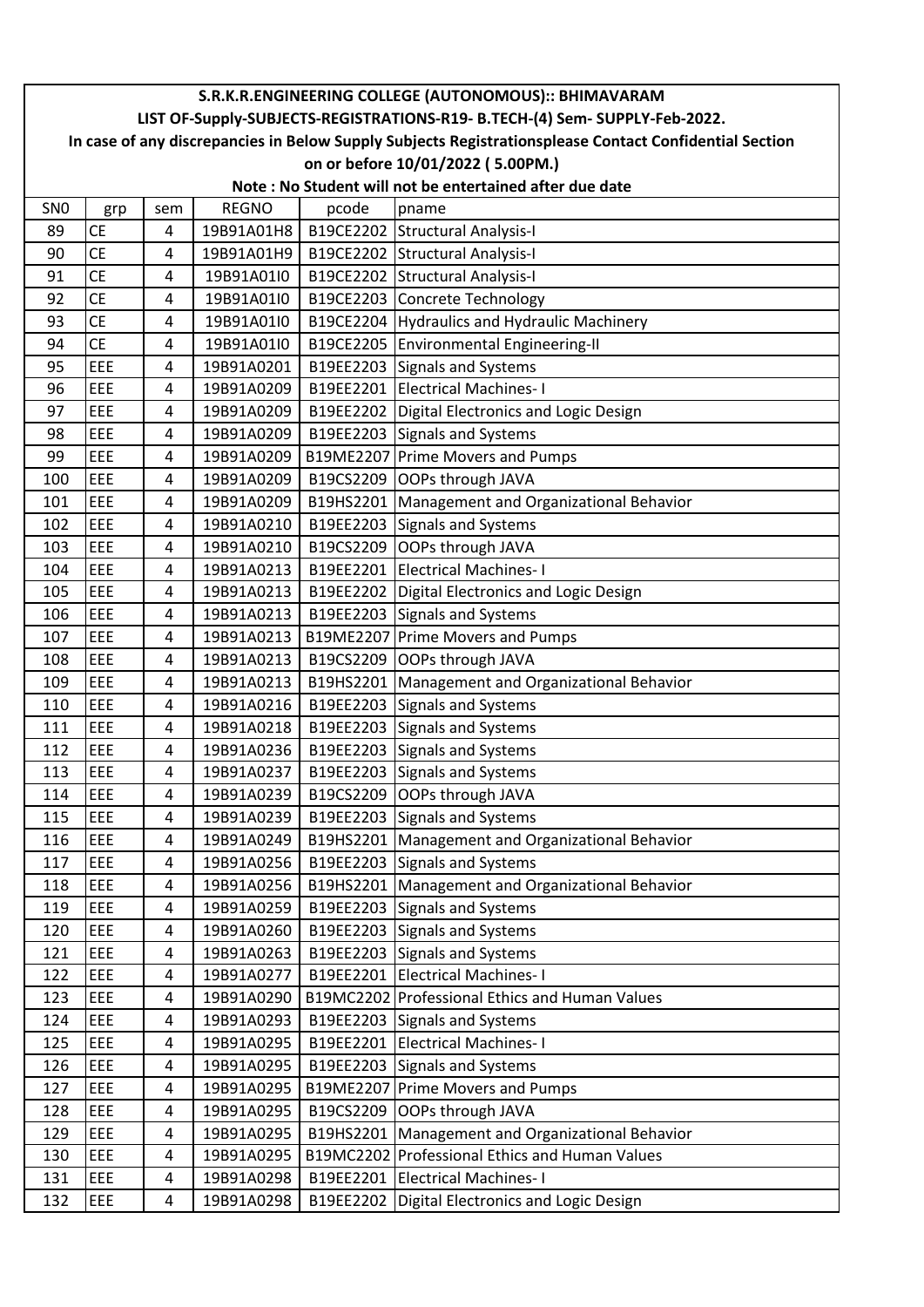|                 | S.R.K.R.ENGINEERING COLLEGE (AUTONOMOUS):: BHIMAVARAM                                                  |                |                          |           |                                                                                     |  |  |  |  |
|-----------------|--------------------------------------------------------------------------------------------------------|----------------|--------------------------|-----------|-------------------------------------------------------------------------------------|--|--|--|--|
|                 | LIST OF-Supply-SUBJECTS-REGISTRATIONS-R19- B.TECH-(4) Sem- SUPPLY-Feb-2022.                            |                |                          |           |                                                                                     |  |  |  |  |
|                 | In case of any discrepancies in Below Supply Subjects Registrationsplease Contact Confidential Section |                |                          |           |                                                                                     |  |  |  |  |
|                 | on or before 10/01/2022 (5.00PM.)                                                                      |                |                          |           |                                                                                     |  |  |  |  |
|                 |                                                                                                        |                |                          |           | Note: No Student will not be entertained after due date                             |  |  |  |  |
| SN <sub>0</sub> | grp                                                                                                    | sem            | <b>REGNO</b>             | pcode     | pname                                                                               |  |  |  |  |
| 89              | <b>CE</b>                                                                                              | 4              | 19B91A01H8               |           | B19CE2202 Structural Analysis-I                                                     |  |  |  |  |
| 90              | <b>CE</b>                                                                                              | 4              | 19B91A01H9               |           | B19CE2202 Structural Analysis-I                                                     |  |  |  |  |
| 91              | <b>CE</b>                                                                                              | $\overline{4}$ | 19B91A01I0               |           | B19CE2202 Structural Analysis-I                                                     |  |  |  |  |
| 92              | <b>CE</b>                                                                                              | 4              | 19B91A01I0               |           | B19CE2203 Concrete Technology                                                       |  |  |  |  |
| 93              | <b>CE</b>                                                                                              | 4              | 19B91A01I0               |           | B19CE2204 Hydraulics and Hydraulic Machinery                                        |  |  |  |  |
| 94              | <b>CE</b>                                                                                              | 4              | 19B91A01I0               |           | B19CE2205 Environmental Engineering-II                                              |  |  |  |  |
| 95              | EEE                                                                                                    | 4              | 19B91A0201               |           | B19EE2203 Signals and Systems                                                       |  |  |  |  |
| 96              | EEE                                                                                                    | 4              | 19B91A0209               |           | B19EE2201 Electrical Machines-1                                                     |  |  |  |  |
| 97              | EEE                                                                                                    | 4              | 19B91A0209               |           | B19EE2202 Digital Electronics and Logic Design                                      |  |  |  |  |
| 98              | EEE                                                                                                    | 4              | 19B91A0209               |           | B19EE2203 Signals and Systems                                                       |  |  |  |  |
| 99              | EEE                                                                                                    | 4              | 19B91A0209               |           | B19ME2207 Prime Movers and Pumps                                                    |  |  |  |  |
| 100             | EEE                                                                                                    | 4              | 19B91A0209               |           | B19CS2209 OOPs through JAVA                                                         |  |  |  |  |
| 101             | EEE                                                                                                    | 4              | 19B91A0209               | B19HS2201 | Management and Organizational Behavior                                              |  |  |  |  |
| 102             | EEE                                                                                                    | 4              | 19B91A0210               |           | B19EE2203 Signals and Systems                                                       |  |  |  |  |
| 103             | EEE                                                                                                    | 4              | 19B91A0210               |           | B19CS2209 OOPs through JAVA                                                         |  |  |  |  |
| 104             | EEE                                                                                                    | 4              | 19B91A0213               |           | B19EE2201 Electrical Machines-1                                                     |  |  |  |  |
| 105             | EEE                                                                                                    | 4              | 19B91A0213               |           | B19EE2202   Digital Electronics and Logic Design                                    |  |  |  |  |
| 106             | EEE                                                                                                    | 4              | 19B91A0213               |           | B19EE2203 Signals and Systems                                                       |  |  |  |  |
| 107             | EEE                                                                                                    | 4              | 19B91A0213               |           | B19ME2207 Prime Movers and Pumps                                                    |  |  |  |  |
| 108             | EEE                                                                                                    | 4              | 19B91A0213               |           | B19CS2209 OOPs through JAVA                                                         |  |  |  |  |
| 109             | EEE                                                                                                    | 4              | 19B91A0213               |           | B19HS2201   Management and Organizational Behavior                                  |  |  |  |  |
| 110             | EEE                                                                                                    | 4              | 19B91A0216               |           | B19EE2203 Signals and Systems                                                       |  |  |  |  |
| 111             | EEE                                                                                                    | 4              | 19B91A0218               | B19EE2203 | Signals and Systems                                                                 |  |  |  |  |
| 112             | EEE                                                                                                    | 4              | 19B91A0236               |           | B19EE2203 Signals and Systems                                                       |  |  |  |  |
| 113<br>114      | EEE<br>EEE                                                                                             | 4              | 19B91A0237<br>19B91A0239 |           | B19EE2203 Signals and Systems<br>B19CS2209 OOPs through JAVA                        |  |  |  |  |
| 115             | EEE                                                                                                    | 4              | 19B91A0239               |           |                                                                                     |  |  |  |  |
| 116             | EEE                                                                                                    | 4<br>4         | 19B91A0249               |           | B19EE2203 Signals and Systems<br>B19HS2201   Management and Organizational Behavior |  |  |  |  |
| 117             | <b>EEE</b>                                                                                             | 4              | 19B91A0256               |           |                                                                                     |  |  |  |  |
| 118             | EEE                                                                                                    | 4              | 19B91A0256               | B19HS2201 | B19EE2203 Signals and Systems<br>Management and Organizational Behavior             |  |  |  |  |
| 119             | EEE                                                                                                    | 4              | 19B91A0259               |           | B19EE2203 Signals and Systems                                                       |  |  |  |  |
| 120             | EEE                                                                                                    | 4              | 19B91A0260               |           | B19EE2203 Signals and Systems                                                       |  |  |  |  |
| 121             | EEE                                                                                                    | 4              | 19B91A0263               |           | B19EE2203 Signals and Systems                                                       |  |  |  |  |
| 122             | EEE                                                                                                    | 4              | 19B91A0277               |           | B19EE2201 Electrical Machines-1                                                     |  |  |  |  |
| 123             | EEE                                                                                                    | 4              | 19B91A0290               |           | B19MC2202 Professional Ethics and Human Values                                      |  |  |  |  |
| 124             | EEE                                                                                                    | 4              | 19B91A0293               |           | B19EE2203 Signals and Systems                                                       |  |  |  |  |
| 125             | EEE                                                                                                    | 4              | 19B91A0295               |           | B19EE2201 Electrical Machines-1                                                     |  |  |  |  |
| 126             | EEE                                                                                                    | 4              | 19B91A0295               |           | B19EE2203 Signals and Systems                                                       |  |  |  |  |
| 127             | EEE                                                                                                    | 4              | 19B91A0295               |           | B19ME2207 Prime Movers and Pumps                                                    |  |  |  |  |
| 128             | EEE                                                                                                    | 4              | 19B91A0295               |           | B19CS2209 OOPs through JAVA                                                         |  |  |  |  |
| 129             | EEE                                                                                                    | 4              | 19B91A0295               |           | B19HS2201   Management and Organizational Behavior                                  |  |  |  |  |
| 130             | EEE                                                                                                    | 4              | 19B91A0295               |           | B19MC2202 Professional Ethics and Human Values                                      |  |  |  |  |
| 131             | <b>EEE</b>                                                                                             | 4              | 19B91A0298               |           | B19EE2201 Electrical Machines-1                                                     |  |  |  |  |
| 132             | EEE                                                                                                    | 4              | 19B91A0298               | B19EE2202 | Digital Electronics and Logic Design                                                |  |  |  |  |
|                 |                                                                                                        |                |                          |           |                                                                                     |  |  |  |  |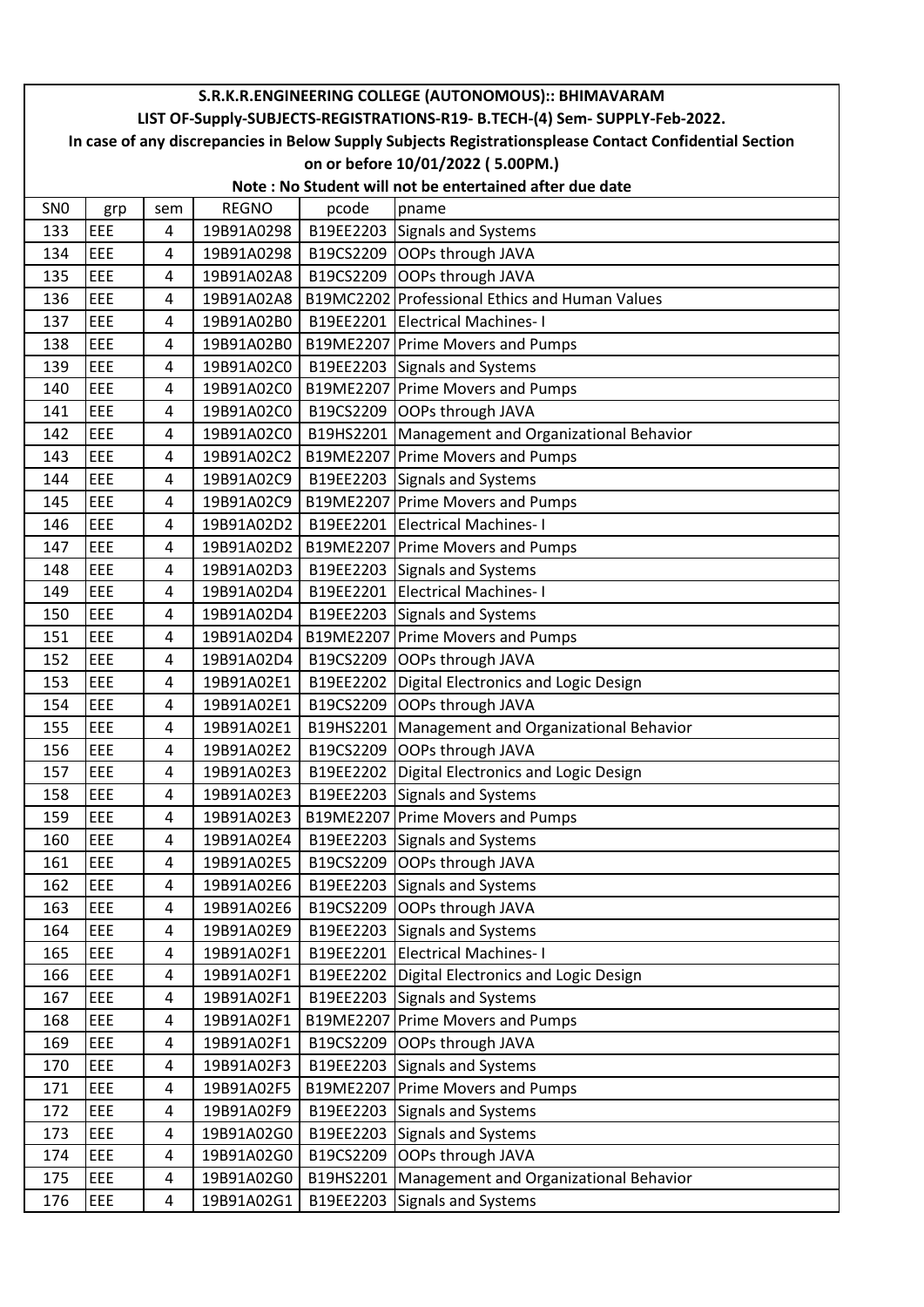|                 | S.R.K.R.ENGINEERING COLLEGE (AUTONOMOUS):: BHIMAVARAM                                                                                                                                 |     |              |           |                                                    |  |  |  |  |
|-----------------|---------------------------------------------------------------------------------------------------------------------------------------------------------------------------------------|-----|--------------|-----------|----------------------------------------------------|--|--|--|--|
|                 | LIST OF-Supply-SUBJECTS-REGISTRATIONS-R19- B.TECH-(4) Sem- SUPPLY-Feb-2022.<br>In case of any discrepancies in Below Supply Subjects Registrationsplease Contact Confidential Section |     |              |           |                                                    |  |  |  |  |
|                 |                                                                                                                                                                                       |     |              |           | on or before 10/01/2022 (5.00PM.)                  |  |  |  |  |
|                 | Note: No Student will not be entertained after due date                                                                                                                               |     |              |           |                                                    |  |  |  |  |
| SN <sub>0</sub> | grp                                                                                                                                                                                   | sem | <b>REGNO</b> | pcode     | pname                                              |  |  |  |  |
| 133             | EEE                                                                                                                                                                                   | 4   | 19B91A0298   |           | B19EE2203 Signals and Systems                      |  |  |  |  |
| 134             | EEE                                                                                                                                                                                   | 4   | 19B91A0298   |           | B19CS2209 OOPs through JAVA                        |  |  |  |  |
| 135             | EEE                                                                                                                                                                                   | 4   | 19B91A02A8   |           | B19CS2209 OOPs through JAVA                        |  |  |  |  |
| 136             | EEE                                                                                                                                                                                   | 4   | 19B91A02A8   |           | B19MC2202 Professional Ethics and Human Values     |  |  |  |  |
| 137             | EEE                                                                                                                                                                                   | 4   | 19B91A02B0   |           | B19EE2201 Electrical Machines-1                    |  |  |  |  |
| 138             | EEE                                                                                                                                                                                   | 4   | 19B91A02B0   |           | B19ME2207 Prime Movers and Pumps                   |  |  |  |  |
| 139             | EEE                                                                                                                                                                                   | 4   | 19B91A02C0   |           | B19EE2203 Signals and Systems                      |  |  |  |  |
| 140             | EEE                                                                                                                                                                                   | 4   | 19B91A02C0   |           | B19ME2207 Prime Movers and Pumps                   |  |  |  |  |
| 141             | EEE                                                                                                                                                                                   | 4   | 19B91A02C0   |           | B19CS2209 OOPs through JAVA                        |  |  |  |  |
| 142             | EEE                                                                                                                                                                                   | 4   | 19B91A02C0   |           | B19HS2201 Management and Organizational Behavior   |  |  |  |  |
| 143             | EEE                                                                                                                                                                                   | 4   | 19B91A02C2   |           | B19ME2207 Prime Movers and Pumps                   |  |  |  |  |
| 144             | EEE                                                                                                                                                                                   | 4   | 19B91A02C9   |           | B19EE2203 Signals and Systems                      |  |  |  |  |
| 145             | EEE                                                                                                                                                                                   | 4   | 19B91A02C9   |           | B19ME2207 Prime Movers and Pumps                   |  |  |  |  |
| 146             | EEE                                                                                                                                                                                   | 4   | 19B91A02D2   |           | B19EE2201 Electrical Machines-1                    |  |  |  |  |
| 147             | EEE                                                                                                                                                                                   | 4   | 19B91A02D2   |           | B19ME2207 Prime Movers and Pumps                   |  |  |  |  |
| 148             | EEE                                                                                                                                                                                   | 4   | 19B91A02D3   |           | B19EE2203 Signals and Systems                      |  |  |  |  |
| 149             | EEE                                                                                                                                                                                   | 4   | 19B91A02D4   |           | B19EE2201 Electrical Machines-1                    |  |  |  |  |
| 150             | EEE                                                                                                                                                                                   | 4   | 19B91A02D4   |           | B19EE2203 Signals and Systems                      |  |  |  |  |
| 151             | EEE                                                                                                                                                                                   | 4   | 19B91A02D4   |           | B19ME2207 Prime Movers and Pumps                   |  |  |  |  |
| 152             | EEE                                                                                                                                                                                   | 4   | 19B91A02D4   | B19CS2209 | OOPs through JAVA                                  |  |  |  |  |
| 153             | EEE                                                                                                                                                                                   | 4   | 19B91A02E1   | B19EE2202 | Digital Electronics and Logic Design               |  |  |  |  |
| 154             | EEE                                                                                                                                                                                   | 4   | 19B91A02E1   |           | B19CS2209 OOPs through JAVA                        |  |  |  |  |
| 155             | EEE                                                                                                                                                                                   | 4   | 19B91A02E1   |           | B19HS2201   Management and Organizational Behavior |  |  |  |  |
| 156             | EEE                                                                                                                                                                                   | 4   | 19B91A02E2   |           | B19CS2209 OOPs through JAVA                        |  |  |  |  |
| 157             | EEE                                                                                                                                                                                   | 4   | 19B91A02E3   |           | B19EE2202 Digital Electronics and Logic Design     |  |  |  |  |
| 158             | EEE                                                                                                                                                                                   | 4   | 19B91A02E3   |           | B19EE2203 Signals and Systems                      |  |  |  |  |
| 159             | EEE                                                                                                                                                                                   | 4   | 19B91A02E3   |           | B19ME2207 Prime Movers and Pumps                   |  |  |  |  |
| 160             | EEE                                                                                                                                                                                   | 4   | 19B91A02E4   |           | B19EE2203 Signals and Systems                      |  |  |  |  |
| 161             | EEE                                                                                                                                                                                   | 4   | 19B91A02E5   |           | B19CS2209 OOPs through JAVA                        |  |  |  |  |
| 162             | EEE                                                                                                                                                                                   | 4   | 19B91A02E6   |           | B19EE2203 Signals and Systems                      |  |  |  |  |
| 163             | EEE                                                                                                                                                                                   | 4   | 19B91A02E6   |           | B19CS2209 OOPs through JAVA                        |  |  |  |  |
| 164             | EEE                                                                                                                                                                                   | 4   | 19B91A02E9   |           | B19EE2203 Signals and Systems                      |  |  |  |  |
| 165             | EEE                                                                                                                                                                                   | 4   | 19B91A02F1   |           | B19EE2201 Electrical Machines-1                    |  |  |  |  |
| 166             | EEE                                                                                                                                                                                   | 4   | 19B91A02F1   |           | B19EE2202 Digital Electronics and Logic Design     |  |  |  |  |
| 167             | EEE                                                                                                                                                                                   | 4   | 19B91A02F1   |           | B19EE2203 Signals and Systems                      |  |  |  |  |
| 168             | EEE                                                                                                                                                                                   | 4   | 19B91A02F1   |           | B19ME2207 Prime Movers and Pumps                   |  |  |  |  |
| 169             | EEE                                                                                                                                                                                   | 4   | 19B91A02F1   | B19CS2209 | OOPs through JAVA                                  |  |  |  |  |
| 170             | EEE                                                                                                                                                                                   | 4   | 19B91A02F3   |           | B19EE2203 Signals and Systems                      |  |  |  |  |
| 171             | EEE                                                                                                                                                                                   | 4   | 19B91A02F5   |           | B19ME2207 Prime Movers and Pumps                   |  |  |  |  |
| 172             | EEE                                                                                                                                                                                   | 4   | 19B91A02F9   |           | B19EE2203 Signals and Systems                      |  |  |  |  |
| 173             | EEE                                                                                                                                                                                   | 4   | 19B91A02G0   |           | B19EE2203 Signals and Systems                      |  |  |  |  |
| 174             | EEE                                                                                                                                                                                   | 4   | 19B91A02G0   | B19CS2209 | OOPs through JAVA                                  |  |  |  |  |
| 175             | EEE                                                                                                                                                                                   | 4   | 19B91A02G0   |           | B19HS2201   Management and Organizational Behavior |  |  |  |  |
| 176             | EEE                                                                                                                                                                                   | 4   | 19B91A02G1   | B19EE2203 | Signals and Systems                                |  |  |  |  |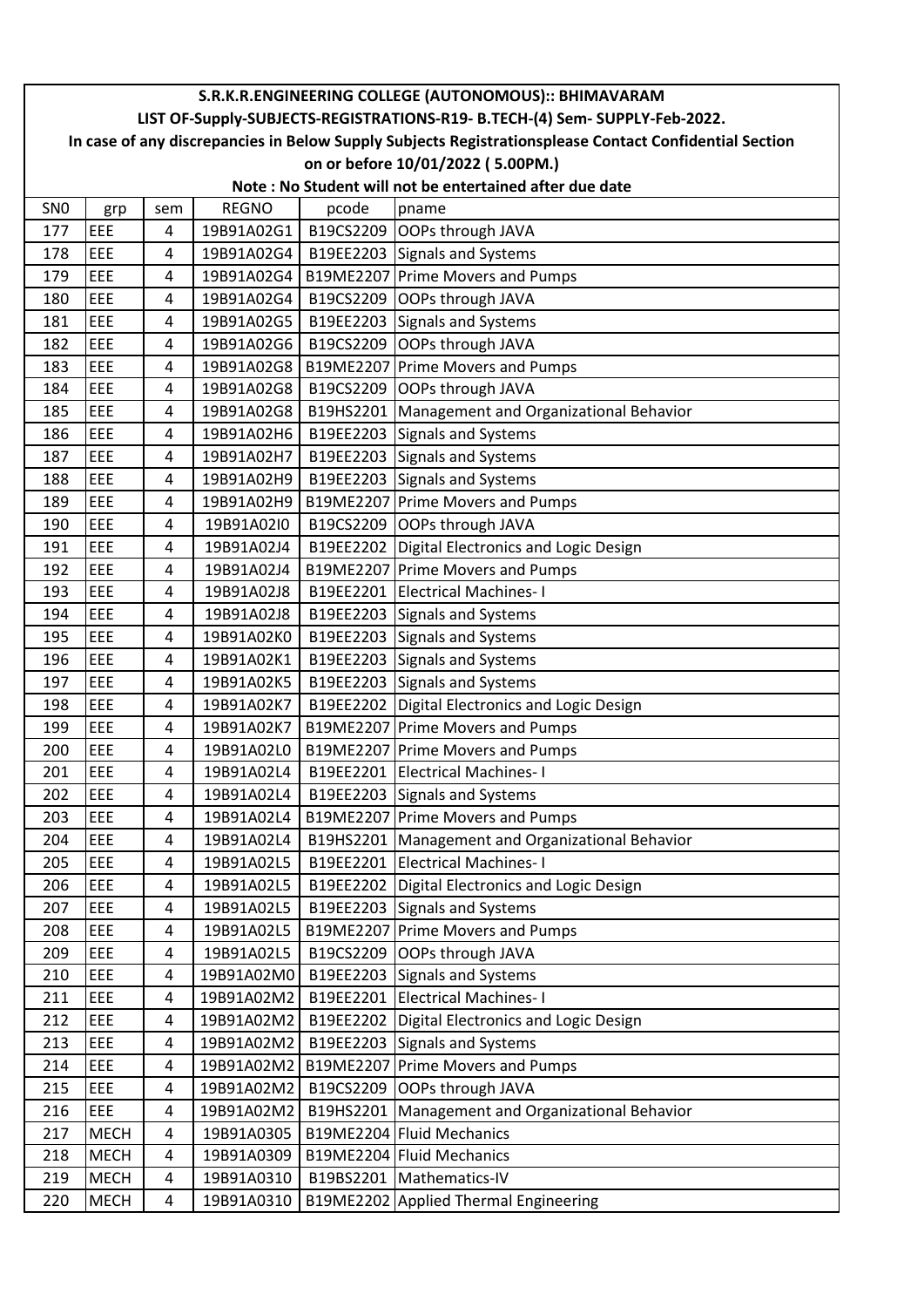|                 | S.R.K.R.ENGINEERING COLLEGE (AUTONOMOUS):: BHIMAVARAM                                        |                     |                          |       |                                                                                                        |  |  |  |
|-----------------|----------------------------------------------------------------------------------------------|---------------------|--------------------------|-------|--------------------------------------------------------------------------------------------------------|--|--|--|
|                 | LIST OF-Supply-SUBJECTS-REGISTRATIONS-R19- B.TECH-(4) Sem- SUPPLY-Feb-2022.                  |                     |                          |       |                                                                                                        |  |  |  |
|                 |                                                                                              |                     |                          |       | In case of any discrepancies in Below Supply Subjects Registrationsplease Contact Confidential Section |  |  |  |
|                 | on or before 10/01/2022 (5.00PM.)<br>Note: No Student will not be entertained after due date |                     |                          |       |                                                                                                        |  |  |  |
|                 |                                                                                              |                     |                          |       |                                                                                                        |  |  |  |
| SN <sub>0</sub> | grp                                                                                          | sem                 | <b>REGNO</b>             | pcode | pname                                                                                                  |  |  |  |
| 177             | EEE                                                                                          | 4                   | 19B91A02G1               |       | B19CS2209 OOPs through JAVA                                                                            |  |  |  |
| 178<br>179      | EEE<br>EEE                                                                                   | 4                   | 19B91A02G4               |       | B19EE2203 Signals and Systems                                                                          |  |  |  |
| 180             | EEE                                                                                          | 4<br>$\overline{4}$ | 19B91A02G4<br>19B91A02G4 |       | B19ME2207 Prime Movers and Pumps<br>B19CS2209 OOPs through JAVA                                        |  |  |  |
|                 | EEE                                                                                          |                     |                          |       |                                                                                                        |  |  |  |
| 181             | EEE                                                                                          | 4                   | 19B91A02G5               |       | B19EE2203 Signals and Systems<br>B19CS2209 OOPs through JAVA                                           |  |  |  |
| 182<br>183      | EEE                                                                                          | 4<br>$\overline{4}$ | 19B91A02G6               |       | B19ME2207 Prime Movers and Pumps                                                                       |  |  |  |
| 184             | EEE                                                                                          |                     | 19B91A02G8               |       |                                                                                                        |  |  |  |
| 185             | EEE                                                                                          | 4                   | 19B91A02G8<br>19B91A02G8 |       | B19CS2209 OOPs through JAVA                                                                            |  |  |  |
| 186             | EEE                                                                                          | 4<br>4              | 19B91A02H6               |       | B19HS2201   Management and Organizational Behavior                                                     |  |  |  |
| 187             | EEE                                                                                          | $\overline{4}$      | 19B91A02H7               |       | B19EE2203 Signals and Systems                                                                          |  |  |  |
|                 | EEE                                                                                          | 4                   |                          |       | B19EE2203 Signals and Systems<br>B19EE2203 Signals and Systems                                         |  |  |  |
| 188             | EEE                                                                                          | $\overline{4}$      | 19B91A02H9               |       | B19ME2207 Prime Movers and Pumps                                                                       |  |  |  |
| 189<br>190      | EEE                                                                                          | 4                   | 19B91A02H9<br>19B91A02I0 |       | B19CS2209 OOPs through JAVA                                                                            |  |  |  |
|                 | EEE                                                                                          |                     |                          |       |                                                                                                        |  |  |  |
| 191             | EEE                                                                                          | 4                   | 19B91A02J4               |       | B19EE2202 Digital Electronics and Logic Design                                                         |  |  |  |
| 192             |                                                                                              | 4                   | 19B91A02J4               |       | B19ME2207 Prime Movers and Pumps                                                                       |  |  |  |
| 193             | EEE<br>EEE                                                                                   | 4                   | 19B91A02J8               |       | B19EE2201 Electrical Machines-1                                                                        |  |  |  |
| 194             | EEE                                                                                          | 4<br>$\overline{4}$ | 19B91A02J8               |       | B19EE2203 Signals and Systems                                                                          |  |  |  |
| 195<br>196      | EEE                                                                                          |                     | 19B91A02K0               |       | B19EE2203 Signals and Systems                                                                          |  |  |  |
| 197             | EEE                                                                                          | 4                   | 19B91A02K1<br>19B91A02K5 |       | B19EE2203 Signals and Systems<br>B19EE2203 Signals and Systems                                         |  |  |  |
| 198             | EEE                                                                                          | 4<br>4              | 19B91A02K7               |       | B19EE2202 Digital Electronics and Logic Design                                                         |  |  |  |
| 199             | EEE                                                                                          | 4                   | 19B91A02K7               |       | B19ME2207 Prime Movers and Pumps                                                                       |  |  |  |
| 200             | EEE                                                                                          | 4                   | 19B91A02L0               |       | B19ME2207 Prime Movers and Pumps                                                                       |  |  |  |
| 201             | EEE                                                                                          | 4                   | 19B91A02L4               |       | B19EE2201 Electrical Machines-1                                                                        |  |  |  |
| 202             | EEE                                                                                          | 4                   | 19B91A02L4               |       | B19EE2203 Signals and Systems                                                                          |  |  |  |
| 203             | EEE                                                                                          | 4                   | 19B91A02L4               |       | B19ME2207 Prime Movers and Pumps                                                                       |  |  |  |
| 204             | EEE                                                                                          | 4                   | 19B91A02L4               |       | B19HS2201   Management and Organizational Behavior                                                     |  |  |  |
| 205             | EEE                                                                                          | 4                   | 19B91A02L5               |       | B19EE2201 Electrical Machines-1                                                                        |  |  |  |
| 206             | EEE                                                                                          | 4                   | 19B91A02L5               |       | B19EE2202 Digital Electronics and Logic Design                                                         |  |  |  |
| 207             | EEE                                                                                          | 4                   | 19B91A02L5               |       | B19EE2203 Signals and Systems                                                                          |  |  |  |
| 208             | EEE                                                                                          | 4                   | 19B91A02L5               |       | B19ME2207 Prime Movers and Pumps                                                                       |  |  |  |
| 209             | EEE                                                                                          | 4                   | 19B91A02L5               |       | B19CS2209 OOPs through JAVA                                                                            |  |  |  |
| 210             | EEE                                                                                          | 4                   | 19B91A02M0               |       | B19EE2203 Signals and Systems                                                                          |  |  |  |
| 211             | EEE                                                                                          | 4                   | 19B91A02M2               |       | B19EE2201 Electrical Machines-1                                                                        |  |  |  |
| 212             | EEE                                                                                          | 4                   | 19B91A02M2               |       | B19EE2202   Digital Electronics and Logic Design                                                       |  |  |  |
| 213             | EEE                                                                                          | 4                   | 19B91A02M2               |       | B19EE2203 Signals and Systems                                                                          |  |  |  |
| 214             | EEE                                                                                          | 4                   | 19B91A02M2               |       | B19ME2207 Prime Movers and Pumps                                                                       |  |  |  |
| 215             | EEE                                                                                          | 4                   | 19B91A02M2               |       | B19CS2209 OOPs through JAVA                                                                            |  |  |  |
| 216             | EEE                                                                                          | 4                   | 19B91A02M2               |       | B19HS2201   Management and Organizational Behavior                                                     |  |  |  |
| 217             | <b>MECH</b>                                                                                  | 4                   | 19B91A0305               |       | B19ME2204 Fluid Mechanics                                                                              |  |  |  |
| 218             | <b>MECH</b>                                                                                  | 4                   | 19B91A0309               |       | B19ME2204 Fluid Mechanics                                                                              |  |  |  |
| 219             | <b>MECH</b>                                                                                  | 4                   | 19B91A0310               |       | B19BS2201   Mathematics-IV                                                                             |  |  |  |
| 220             | <b>MECH</b>                                                                                  | $\overline{a}$      | 19B91A0310               |       | B19ME2202 Applied Thermal Engineering                                                                  |  |  |  |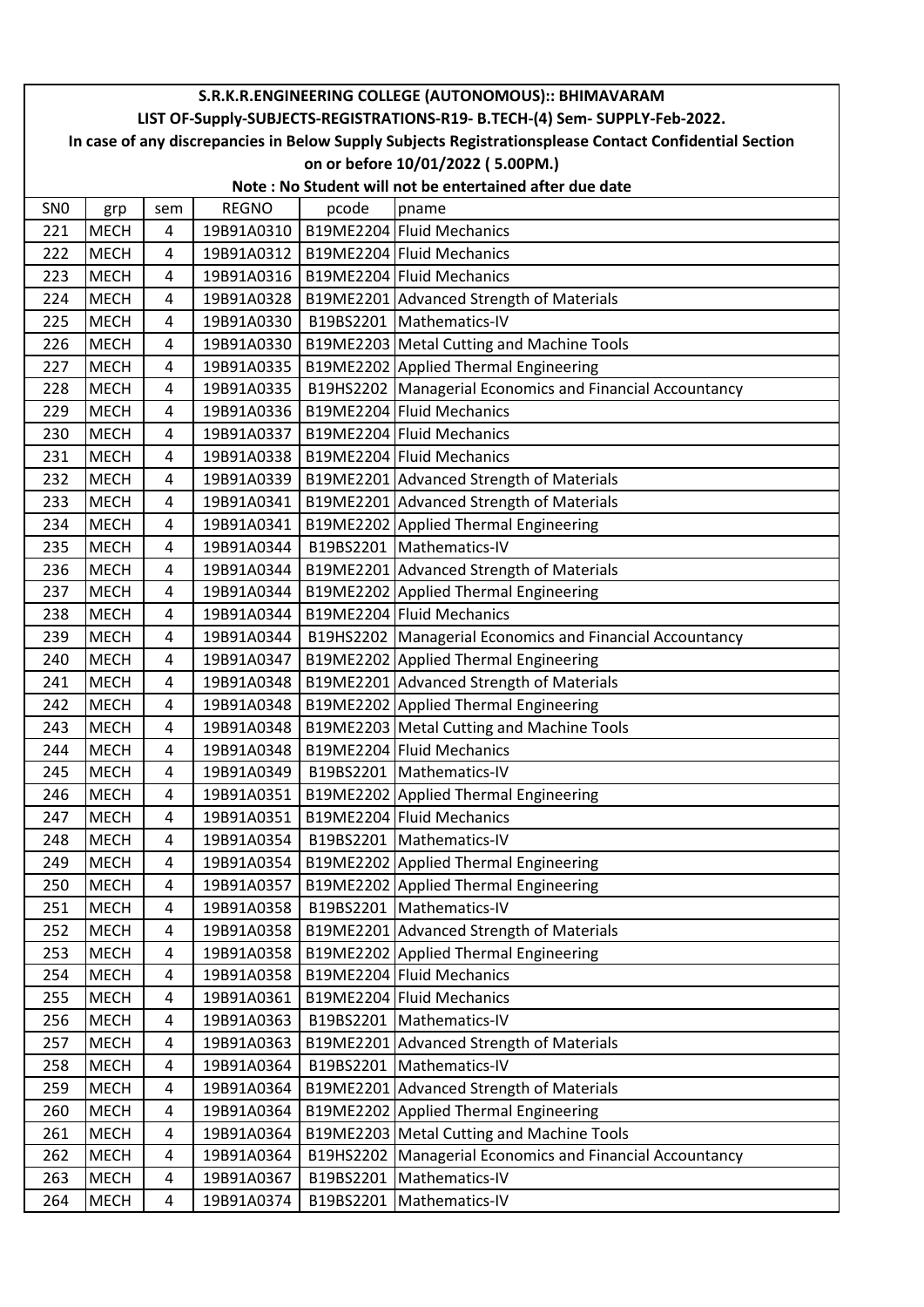|                 | S.R.K.R.ENGINEERING COLLEGE (AUTONOMOUS):: BHIMAVARAM<br>LIST OF-Supply-SUBJECTS-REGISTRATIONS-R19- B.TECH-(4) Sem- SUPPLY-Feb-2022. |                |              |       |                                                            |  |  |  |
|-----------------|--------------------------------------------------------------------------------------------------------------------------------------|----------------|--------------|-------|------------------------------------------------------------|--|--|--|
|                 | In case of any discrepancies in Below Supply Subjects Registrationsplease Contact Confidential Section                               |                |              |       |                                                            |  |  |  |
|                 | on or before 10/01/2022 (5.00PM.)                                                                                                    |                |              |       |                                                            |  |  |  |
|                 | Note: No Student will not be entertained after due date                                                                              |                |              |       |                                                            |  |  |  |
| SN <sub>0</sub> |                                                                                                                                      |                | <b>REGNO</b> |       |                                                            |  |  |  |
| 221             | grp<br><b>MECH</b>                                                                                                                   | sem            | 19B91A0310   | pcode | pname<br>B19ME2204 Fluid Mechanics                         |  |  |  |
| 222             | <b>MECH</b>                                                                                                                          | 4<br>4         | 19B91A0312   |       | B19ME2204 Fluid Mechanics                                  |  |  |  |
| 223             |                                                                                                                                      | $\overline{4}$ |              |       | B19ME2204 Fluid Mechanics                                  |  |  |  |
|                 | <b>MECH</b>                                                                                                                          |                | 19B91A0316   |       |                                                            |  |  |  |
| 224             | <b>MECH</b>                                                                                                                          | 4              | 19B91A0328   |       | B19ME2201 Advanced Strength of Materials                   |  |  |  |
| 225             | <b>MECH</b>                                                                                                                          | 4              | 19B91A0330   |       | B19BS2201   Mathematics-IV                                 |  |  |  |
| 226             | <b>MECH</b>                                                                                                                          | 4              | 19B91A0330   |       | B19ME2203 Metal Cutting and Machine Tools                  |  |  |  |
| 227             | <b>MECH</b>                                                                                                                          | 4              | 19B91A0335   |       | B19ME2202 Applied Thermal Engineering                      |  |  |  |
| 228             | <b>MECH</b>                                                                                                                          | 4              | 19B91A0335   |       | B19HS2202 Managerial Economics and Financial Accountancy   |  |  |  |
| 229             | <b>MECH</b>                                                                                                                          | 4              | 19B91A0336   |       | B19ME2204 Fluid Mechanics                                  |  |  |  |
| 230             | <b>MECH</b>                                                                                                                          | $\overline{4}$ | 19B91A0337   |       | B19ME2204 Fluid Mechanics                                  |  |  |  |
| 231             | <b>MECH</b>                                                                                                                          | 4              | 19B91A0338   |       | B19ME2204 Fluid Mechanics                                  |  |  |  |
| 232             | <b>MECH</b>                                                                                                                          | 4              | 19B91A0339   |       | B19ME2201 Advanced Strength of Materials                   |  |  |  |
| 233             | <b>MECH</b>                                                                                                                          | 4              | 19B91A0341   |       | B19ME2201 Advanced Strength of Materials                   |  |  |  |
| 234             | <b>MECH</b>                                                                                                                          | 4              | 19B91A0341   |       | B19ME2202 Applied Thermal Engineering                      |  |  |  |
| 235             | <b>MECH</b>                                                                                                                          | 4              | 19B91A0344   |       | B19BS2201   Mathematics-IV                                 |  |  |  |
| 236             | <b>MECH</b>                                                                                                                          | 4              | 19B91A0344   |       | B19ME2201 Advanced Strength of Materials                   |  |  |  |
| 237             | <b>MECH</b>                                                                                                                          | 4              | 19B91A0344   |       | B19ME2202 Applied Thermal Engineering                      |  |  |  |
| 238             | <b>MECH</b>                                                                                                                          | 4              | 19B91A0344   |       | B19ME2204 Fluid Mechanics                                  |  |  |  |
| 239             | <b>MECH</b>                                                                                                                          | 4              | 19B91A0344   |       | B19HS2202   Managerial Economics and Financial Accountancy |  |  |  |
| 240             | <b>MECH</b>                                                                                                                          | 4              | 19B91A0347   |       | B19ME2202 Applied Thermal Engineering                      |  |  |  |
| 241             | <b>MECH</b>                                                                                                                          | 4              | 19B91A0348   |       | B19ME2201 Advanced Strength of Materials                   |  |  |  |
| 242             | <b>MECH</b>                                                                                                                          | $\overline{4}$ | 19B91A0348   |       | B19ME2202 Applied Thermal Engineering                      |  |  |  |
| 243             | <b>MECH</b>                                                                                                                          | 4              | 19B91A0348   |       | B19ME2203 Metal Cutting and Machine Tools                  |  |  |  |
| 244             | <b>MECH</b>                                                                                                                          | 4              | 19B91A0348   |       | B19ME2204 Fluid Mechanics                                  |  |  |  |
| 245             | <b>MECH</b>                                                                                                                          | 4              | 19B91A0349   |       | B19BS2201   Mathematics-IV                                 |  |  |  |
| 246             | <b>MECH</b>                                                                                                                          | 4              | 19B91A0351   |       | B19ME2202 Applied Thermal Engineering                      |  |  |  |
| 247             | <b>MECH</b>                                                                                                                          | 4              | 19B91A0351   |       | B19ME2204 Fluid Mechanics                                  |  |  |  |
| 248             | <b>MECH</b>                                                                                                                          | 4              | 19B91A0354   |       | B19BS2201   Mathematics-IV                                 |  |  |  |
| 249             | <b>MECH</b>                                                                                                                          | 4              | 19B91A0354   |       | B19ME2202 Applied Thermal Engineering                      |  |  |  |
| 250             | <b>MECH</b>                                                                                                                          | 4              | 19B91A0357   |       | B19ME2202 Applied Thermal Engineering                      |  |  |  |
| 251             | <b>MECH</b>                                                                                                                          | 4              | 19B91A0358   |       | B19BS2201   Mathematics-IV                                 |  |  |  |
| 252             | <b>MECH</b>                                                                                                                          | 4              | 19B91A0358   |       | B19ME2201 Advanced Strength of Materials                   |  |  |  |
| 253             | <b>MECH</b>                                                                                                                          | 4              | 19B91A0358   |       | B19ME2202 Applied Thermal Engineering                      |  |  |  |
| 254             | <b>MECH</b>                                                                                                                          | 4              | 19B91A0358   |       | B19ME2204 Fluid Mechanics                                  |  |  |  |
| 255             | <b>MECH</b>                                                                                                                          | 4              | 19B91A0361   |       | B19ME2204 Fluid Mechanics                                  |  |  |  |
| 256             | <b>MECH</b>                                                                                                                          | 4              | 19B91A0363   |       | B19BS2201   Mathematics-IV                                 |  |  |  |
| 257             | <b>MECH</b>                                                                                                                          | 4              | 19B91A0363   |       | B19ME2201 Advanced Strength of Materials                   |  |  |  |
| 258             | <b>MECH</b>                                                                                                                          | 4              | 19B91A0364   |       | B19BS2201   Mathematics-IV                                 |  |  |  |
| 259             | <b>MECH</b>                                                                                                                          | 4              | 19B91A0364   |       | B19ME2201 Advanced Strength of Materials                   |  |  |  |
| 260             | <b>MECH</b>                                                                                                                          | 4              | 19B91A0364   |       | B19ME2202 Applied Thermal Engineering                      |  |  |  |
| 261             | <b>MECH</b>                                                                                                                          | 4              | 19B91A0364   |       | B19ME2203 Metal Cutting and Machine Tools                  |  |  |  |
| 262             | <b>MECH</b>                                                                                                                          | 4              | 19B91A0364   |       | B19HS2202 Managerial Economics and Financial Accountancy   |  |  |  |
| 263             | <b>MECH</b>                                                                                                                          | 4              | 19B91A0367   |       | B19BS2201   Mathematics-IV                                 |  |  |  |
| 264             | <b>MECH</b>                                                                                                                          | 4              | 19B91A0374   |       | B19BS2201   Mathematics-IV                                 |  |  |  |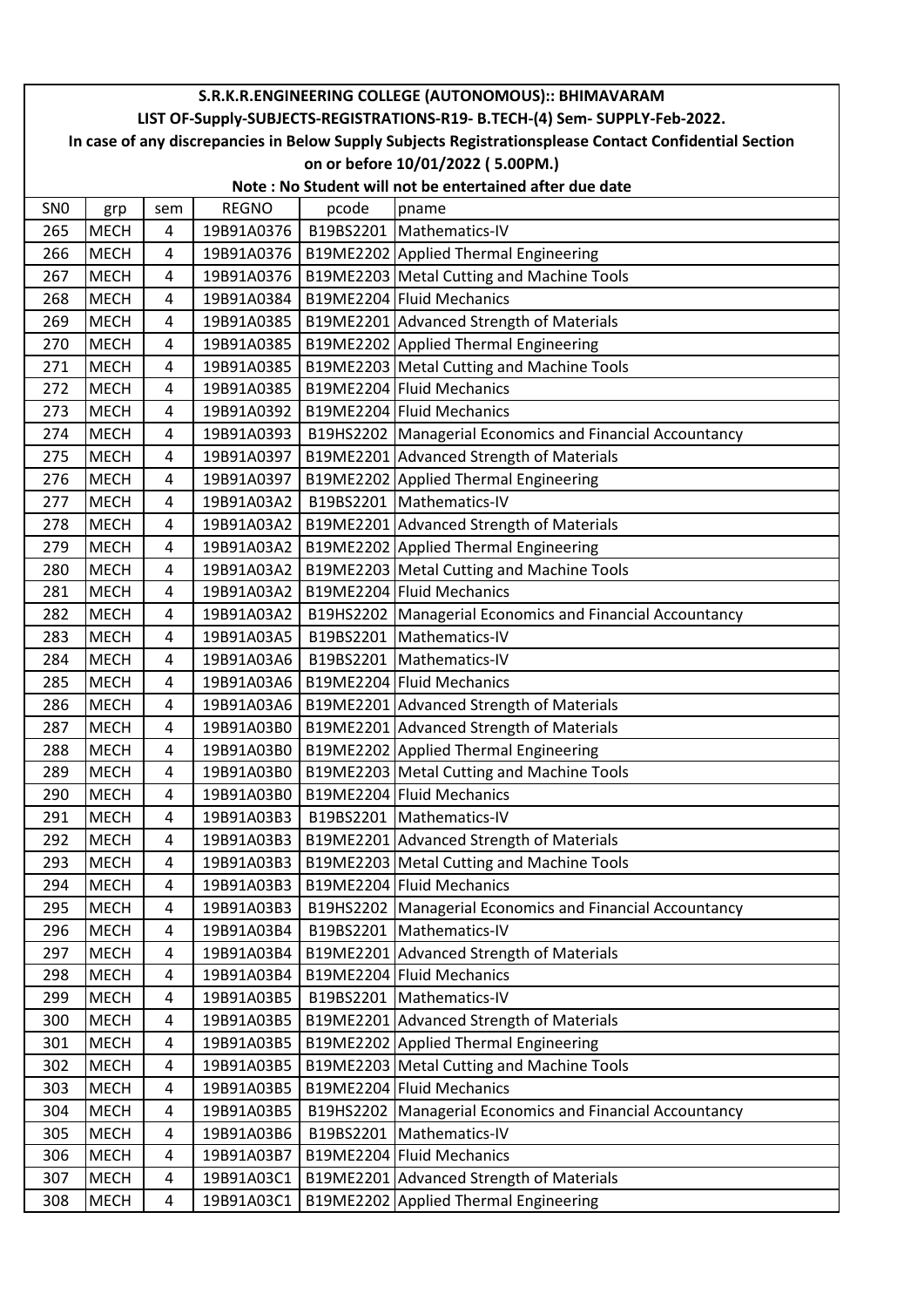|                 | S.R.K.R.ENGINEERING COLLEGE (AUTONOMOUS):: BHIMAVARAM                                                                                                                                 |     |              |           |                                                            |  |  |  |
|-----------------|---------------------------------------------------------------------------------------------------------------------------------------------------------------------------------------|-----|--------------|-----------|------------------------------------------------------------|--|--|--|
|                 | LIST OF-Supply-SUBJECTS-REGISTRATIONS-R19- B.TECH-(4) Sem- SUPPLY-Feb-2022.<br>In case of any discrepancies in Below Supply Subjects Registrationsplease Contact Confidential Section |     |              |           |                                                            |  |  |  |
|                 |                                                                                                                                                                                       |     |              |           |                                                            |  |  |  |
|                 | on or before 10/01/2022 (5.00PM.)<br>Note: No Student will not be entertained after due date                                                                                          |     |              |           |                                                            |  |  |  |
|                 |                                                                                                                                                                                       |     |              |           |                                                            |  |  |  |
| SN <sub>0</sub> | grp                                                                                                                                                                                   | sem | <b>REGNO</b> | pcode     | pname                                                      |  |  |  |
| 265             | <b>MECH</b>                                                                                                                                                                           | 4   | 19B91A0376   |           | B19BS2201   Mathematics-IV                                 |  |  |  |
| 266             | <b>MECH</b>                                                                                                                                                                           | 4   | 19B91A0376   |           | B19ME2202 Applied Thermal Engineering                      |  |  |  |
| 267             | <b>MECH</b>                                                                                                                                                                           | 4   | 19B91A0376   |           | B19ME2203 Metal Cutting and Machine Tools                  |  |  |  |
| 268             | <b>MECH</b>                                                                                                                                                                           | 4   | 19B91A0384   |           | B19ME2204 Fluid Mechanics                                  |  |  |  |
| 269             | <b>MECH</b>                                                                                                                                                                           | 4   | 19B91A0385   |           | B19ME2201 Advanced Strength of Materials                   |  |  |  |
| 270             | <b>MECH</b>                                                                                                                                                                           | 4   | 19B91A0385   |           | B19ME2202 Applied Thermal Engineering                      |  |  |  |
| 271             | <b>MECH</b>                                                                                                                                                                           | 4   | 19B91A0385   |           | B19ME2203 Metal Cutting and Machine Tools                  |  |  |  |
| 272             | <b>MECH</b>                                                                                                                                                                           | 4   | 19B91A0385   |           | B19ME2204 Fluid Mechanics                                  |  |  |  |
| 273             | <b>MECH</b>                                                                                                                                                                           | 4   | 19B91A0392   |           | B19ME2204 Fluid Mechanics                                  |  |  |  |
| 274             | <b>MECH</b>                                                                                                                                                                           | 4   | 19B91A0393   |           | B19HS2202 Managerial Economics and Financial Accountancy   |  |  |  |
| 275             | <b>MECH</b>                                                                                                                                                                           | 4   | 19B91A0397   |           | B19ME2201 Advanced Strength of Materials                   |  |  |  |
| 276             | <b>MECH</b>                                                                                                                                                                           | 4   | 19B91A0397   |           | B19ME2202 Applied Thermal Engineering                      |  |  |  |
| 277             | <b>MECH</b>                                                                                                                                                                           | 4   | 19B91A03A2   |           | B19BS2201 Mathematics-IV                                   |  |  |  |
| 278             | <b>MECH</b>                                                                                                                                                                           | 4   | 19B91A03A2   |           | B19ME2201 Advanced Strength of Materials                   |  |  |  |
| 279             | <b>MECH</b>                                                                                                                                                                           | 4   | 19B91A03A2   |           | B19ME2202 Applied Thermal Engineering                      |  |  |  |
| 280             | MECH                                                                                                                                                                                  | 4   | 19B91A03A2   |           | B19ME2203 Metal Cutting and Machine Tools                  |  |  |  |
| 281             | <b>MECH</b>                                                                                                                                                                           | 4   | 19B91A03A2   |           | B19ME2204 Fluid Mechanics                                  |  |  |  |
| 282             | <b>MECH</b>                                                                                                                                                                           | 4   | 19B91A03A2   |           | B19HS2202   Managerial Economics and Financial Accountancy |  |  |  |
| 283             | MECH                                                                                                                                                                                  | 4   | 19B91A03A5   | B19BS2201 | Mathematics-IV                                             |  |  |  |
| 284             | <b>MECH</b>                                                                                                                                                                           | 4   | 19B91A03A6   |           | B19BS2201   Mathematics-IV                                 |  |  |  |
| 285             | <b>MECH</b>                                                                                                                                                                           | 4   | 19B91A03A6   |           | B19ME2204 Fluid Mechanics                                  |  |  |  |
| 286             | <b>MECH</b>                                                                                                                                                                           | 4   | 19B91A03A6   |           | B19ME2201 Advanced Strength of Materials                   |  |  |  |
| 287             | <b>MECH</b>                                                                                                                                                                           | 4   | 19B91A03B0   |           | B19ME2201 Advanced Strength of Materials                   |  |  |  |
| 288             | <b>MECH</b>                                                                                                                                                                           | 4   | 19B91A03B0   |           | B19ME2202 Applied Thermal Engineering                      |  |  |  |
| 289             | <b>MECH</b>                                                                                                                                                                           | 4   | 19B91A03B0   |           | B19ME2203 Metal Cutting and Machine Tools                  |  |  |  |
| 290             | <b>MECH</b>                                                                                                                                                                           | 4   | 19B91A03B0   |           | B19ME2204 Fluid Mechanics                                  |  |  |  |
| 291             | <b>MECH</b>                                                                                                                                                                           | 4   | 19B91A03B3   |           | B19BS2201   Mathematics-IV                                 |  |  |  |
| 292             | MECH                                                                                                                                                                                  | 4   | 19B91A03B3   |           | B19ME2201 Advanced Strength of Materials                   |  |  |  |
| 293             | <b>MECH</b>                                                                                                                                                                           | 4   | 19B91A03B3   |           | B19ME2203 Metal Cutting and Machine Tools                  |  |  |  |
| 294             | <b>MECH</b>                                                                                                                                                                           | 4   | 19B91A03B3   |           | B19ME2204 Fluid Mechanics                                  |  |  |  |
| 295             | <b>MECH</b>                                                                                                                                                                           | 4   | 19B91A03B3   |           | B19HS2202 Managerial Economics and Financial Accountancy   |  |  |  |
| 296             | <b>MECH</b>                                                                                                                                                                           | 4   | 19B91A03B4   |           | B19BS2201   Mathematics-IV                                 |  |  |  |
| 297             | <b>MECH</b>                                                                                                                                                                           | 4   | 19B91A03B4   |           | B19ME2201 Advanced Strength of Materials                   |  |  |  |
| 298             | <b>MECH</b>                                                                                                                                                                           | 4   | 19B91A03B4   |           | B19ME2204 Fluid Mechanics                                  |  |  |  |
| 299             | MECH                                                                                                                                                                                  | 4   | 19B91A03B5   |           | B19BS2201   Mathematics-IV                                 |  |  |  |
| 300             | <b>MECH</b>                                                                                                                                                                           | 4   | 19B91A03B5   |           | B19ME2201 Advanced Strength of Materials                   |  |  |  |
| 301             | <b>MECH</b>                                                                                                                                                                           | 4   | 19B91A03B5   |           | B19ME2202 Applied Thermal Engineering                      |  |  |  |
| 302             | <b>MECH</b>                                                                                                                                                                           | 4   | 19B91A03B5   |           | B19ME2203 Metal Cutting and Machine Tools                  |  |  |  |
| 303             | <b>MECH</b>                                                                                                                                                                           | 4   | 19B91A03B5   |           | B19ME2204 Fluid Mechanics                                  |  |  |  |
| 304             | <b>MECH</b>                                                                                                                                                                           | 4   | 19B91A03B5   |           | B19HS2202 Managerial Economics and Financial Accountancy   |  |  |  |
| 305             | <b>MECH</b>                                                                                                                                                                           | 4   | 19B91A03B6   |           | B19BS2201   Mathematics-IV                                 |  |  |  |
| 306             | MECH                                                                                                                                                                                  | 4   | 19B91A03B7   |           | B19ME2204 Fluid Mechanics                                  |  |  |  |
| 307             | <b>MECH</b>                                                                                                                                                                           | 4   | 19B91A03C1   |           | B19ME2201 Advanced Strength of Materials                   |  |  |  |
| 308             | <b>MECH</b>                                                                                                                                                                           | 4   | 19B91A03C1   |           | B19ME2202 Applied Thermal Engineering                      |  |  |  |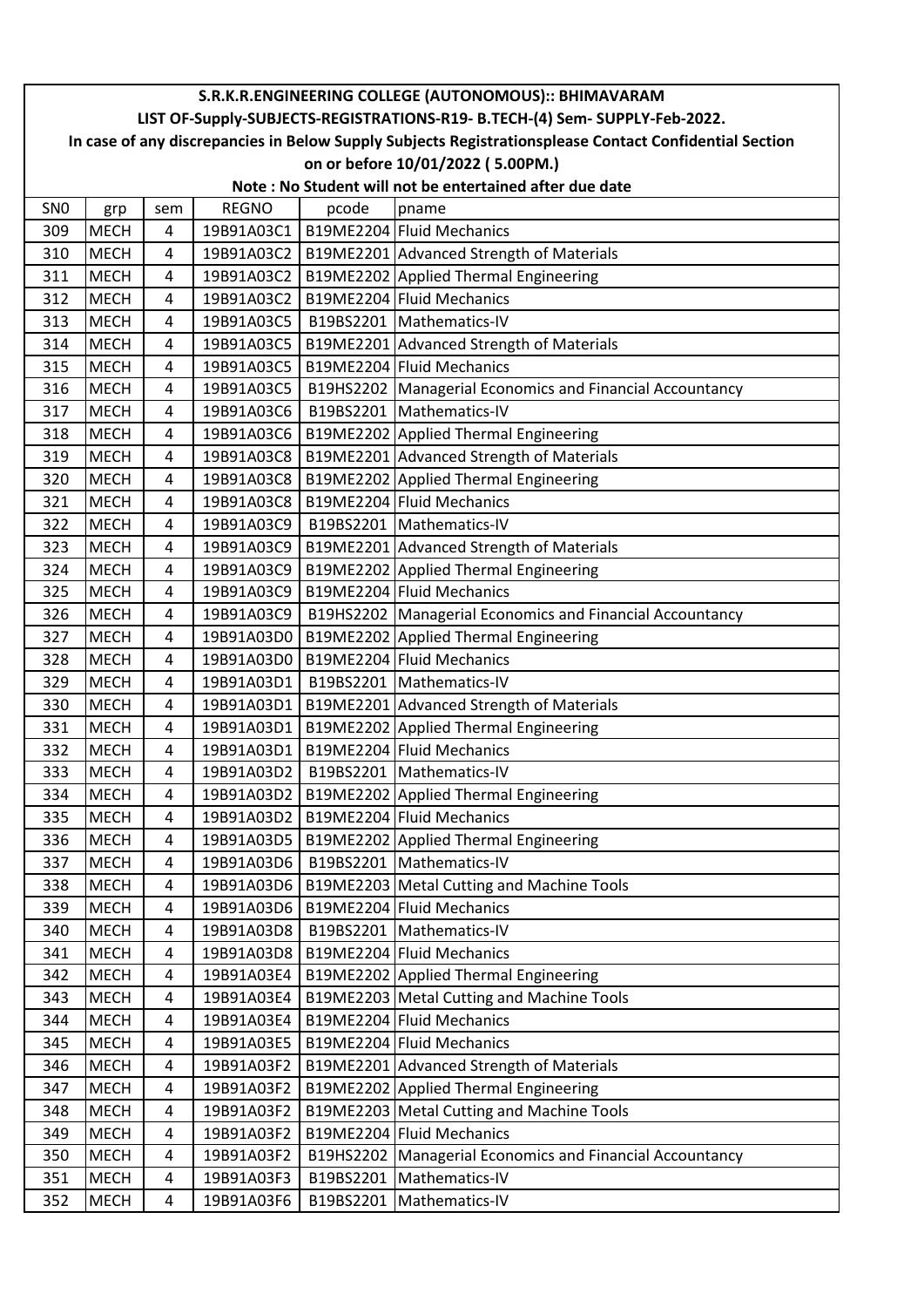|                 | S.R.K.R.ENGINEERING COLLEGE (AUTONOMOUS):: BHIMAVARAM                                                  |                |              |       |                                                            |  |  |  |
|-----------------|--------------------------------------------------------------------------------------------------------|----------------|--------------|-------|------------------------------------------------------------|--|--|--|
|                 | LIST OF-Supply-SUBJECTS-REGISTRATIONS-R19- B.TECH-(4) Sem- SUPPLY-Feb-2022.                            |                |              |       |                                                            |  |  |  |
|                 | In case of any discrepancies in Below Supply Subjects Registrationsplease Contact Confidential Section |                |              |       |                                                            |  |  |  |
|                 | on or before 10/01/2022 (5.00PM.)                                                                      |                |              |       |                                                            |  |  |  |
|                 |                                                                                                        |                |              |       | Note: No Student will not be entertained after due date    |  |  |  |
| SN <sub>0</sub> | grp                                                                                                    | sem            | <b>REGNO</b> | pcode | pname                                                      |  |  |  |
| 309             | <b>MECH</b>                                                                                            | 4              | 19B91A03C1   |       | B19ME2204 Fluid Mechanics                                  |  |  |  |
| 310             | <b>MECH</b>                                                                                            | 4              | 19B91A03C2   |       | B19ME2201 Advanced Strength of Materials                   |  |  |  |
| 311             | <b>MECH</b>                                                                                            | 4              | 19B91A03C2   |       | B19ME2202 Applied Thermal Engineering                      |  |  |  |
| 312             | <b>MECH</b>                                                                                            | 4              | 19B91A03C2   |       | B19ME2204 Fluid Mechanics                                  |  |  |  |
| 313             | <b>MECH</b>                                                                                            | 4              | 19B91A03C5   |       | B19BS2201   Mathematics-IV                                 |  |  |  |
| 314             | <b>MECH</b>                                                                                            | 4              | 19B91A03C5   |       | B19ME2201 Advanced Strength of Materials                   |  |  |  |
| 315             | <b>MECH</b>                                                                                            | 4              | 19B91A03C5   |       | B19ME2204 Fluid Mechanics                                  |  |  |  |
| 316             | <b>MECH</b>                                                                                            | 4              | 19B91A03C5   |       | B19HS2202   Managerial Economics and Financial Accountancy |  |  |  |
| 317             | <b>MECH</b>                                                                                            | 4              | 19B91A03C6   |       | B19BS2201   Mathematics-IV                                 |  |  |  |
| 318             | <b>MECH</b>                                                                                            | 4              | 19B91A03C6   |       | B19ME2202 Applied Thermal Engineering                      |  |  |  |
| 319             | <b>MECH</b>                                                                                            | 4              | 19B91A03C8   |       | B19ME2201 Advanced Strength of Materials                   |  |  |  |
| 320             | <b>MECH</b>                                                                                            | 4              | 19B91A03C8   |       | B19ME2202 Applied Thermal Engineering                      |  |  |  |
| 321             | <b>MECH</b>                                                                                            | 4              | 19B91A03C8   |       | B19ME2204 Fluid Mechanics                                  |  |  |  |
| 322             | <b>MECH</b>                                                                                            | $\overline{4}$ | 19B91A03C9   |       | B19BS2201   Mathematics-IV                                 |  |  |  |
| 323             | <b>MECH</b>                                                                                            | 4              | 19B91A03C9   |       | B19ME2201 Advanced Strength of Materials                   |  |  |  |
| 324             | <b>MECH</b>                                                                                            | 4              | 19B91A03C9   |       | B19ME2202 Applied Thermal Engineering                      |  |  |  |
| 325             | <b>MECH</b>                                                                                            | 4              | 19B91A03C9   |       | B19ME2204 Fluid Mechanics                                  |  |  |  |
| 326             | <b>MECH</b>                                                                                            | 4              | 19B91A03C9   |       | B19HS2202 Managerial Economics and Financial Accountancy   |  |  |  |
| 327             | <b>MECH</b>                                                                                            | 4              | 19B91A03D0   |       | B19ME2202 Applied Thermal Engineering                      |  |  |  |
| 328             | <b>MECH</b>                                                                                            | 4              | 19B91A03D0   |       | B19ME2204 Fluid Mechanics                                  |  |  |  |
| 329             | <b>MECH</b>                                                                                            | 4              | 19B91A03D1   |       | B19BS2201   Mathematics-IV                                 |  |  |  |
| 330             | <b>MECH</b>                                                                                            | 4              | 19B91A03D1   |       | B19ME2201 Advanced Strength of Materials                   |  |  |  |
| 331             | <b>MECH</b>                                                                                            | 4              | 19B91A03D1   |       | B19ME2202 Applied Thermal Engineering                      |  |  |  |
| 332             | <b>MECH</b>                                                                                            | 4              | 19B91A03D1   |       | B19ME2204 Fluid Mechanics                                  |  |  |  |
| 333             | <b>MECH</b>                                                                                            | 4              |              |       | 19B91A03D2   B19BS2201   Mathematics-IV                    |  |  |  |
| 334             | <b>MECH</b>                                                                                            | 4              | 19B91A03D2   |       | B19ME2202 Applied Thermal Engineering                      |  |  |  |
| 335             | <b>MECH</b>                                                                                            | 4              | 19B91A03D2   |       | B19ME2204 Fluid Mechanics                                  |  |  |  |
| 336             | <b>MECH</b>                                                                                            | 4              | 19B91A03D5   |       | B19ME2202 Applied Thermal Engineering                      |  |  |  |
| 337             | <b>MECH</b>                                                                                            | 4              | 19B91A03D6   |       | B19BS2201 Mathematics-IV                                   |  |  |  |
| 338             | <b>MECH</b>                                                                                            | 4              | 19B91A03D6   |       | B19ME2203 Metal Cutting and Machine Tools                  |  |  |  |
| 339             | <b>MECH</b>                                                                                            | 4              | 19B91A03D6   |       | B19ME2204 Fluid Mechanics                                  |  |  |  |
| 340             | <b>MECH</b>                                                                                            | 4              | 19B91A03D8   |       | B19BS2201 Mathematics-IV                                   |  |  |  |
| 341             | <b>MECH</b>                                                                                            | 4              | 19B91A03D8   |       | B19ME2204 Fluid Mechanics                                  |  |  |  |
| 342             | <b>MECH</b>                                                                                            | 4              | 19B91A03E4   |       | B19ME2202 Applied Thermal Engineering                      |  |  |  |
| 343             | <b>MECH</b>                                                                                            | 4              | 19B91A03E4   |       | B19ME2203 Metal Cutting and Machine Tools                  |  |  |  |
| 344             | <b>MECH</b>                                                                                            | 4              | 19B91A03E4   |       | B19ME2204 Fluid Mechanics                                  |  |  |  |
| 345             | <b>MECH</b>                                                                                            | 4              | 19B91A03E5   |       | B19ME2204 Fluid Mechanics                                  |  |  |  |
| 346             | <b>MECH</b>                                                                                            | 4              | 19B91A03F2   |       | B19ME2201 Advanced Strength of Materials                   |  |  |  |
| 347             | <b>MECH</b>                                                                                            | 4              | 19B91A03F2   |       | B19ME2202 Applied Thermal Engineering                      |  |  |  |
| 348             | <b>MECH</b>                                                                                            | 4              | 19B91A03F2   |       | B19ME2203 Metal Cutting and Machine Tools                  |  |  |  |
| 349             | <b>MECH</b>                                                                                            | 4              | 19B91A03F2   |       | B19ME2204 Fluid Mechanics                                  |  |  |  |
| 350             | <b>MECH</b>                                                                                            | 4              | 19B91A03F2   |       | B19HS2202 Managerial Economics and Financial Accountancy   |  |  |  |
| 351             | <b>MECH</b>                                                                                            | 4              | 19B91A03F3   |       | B19BS2201   Mathematics-IV                                 |  |  |  |
| 352             | <b>MECH</b>                                                                                            | 4              | 19B91A03F6   |       | B19BS2201 Mathematics-IV                                   |  |  |  |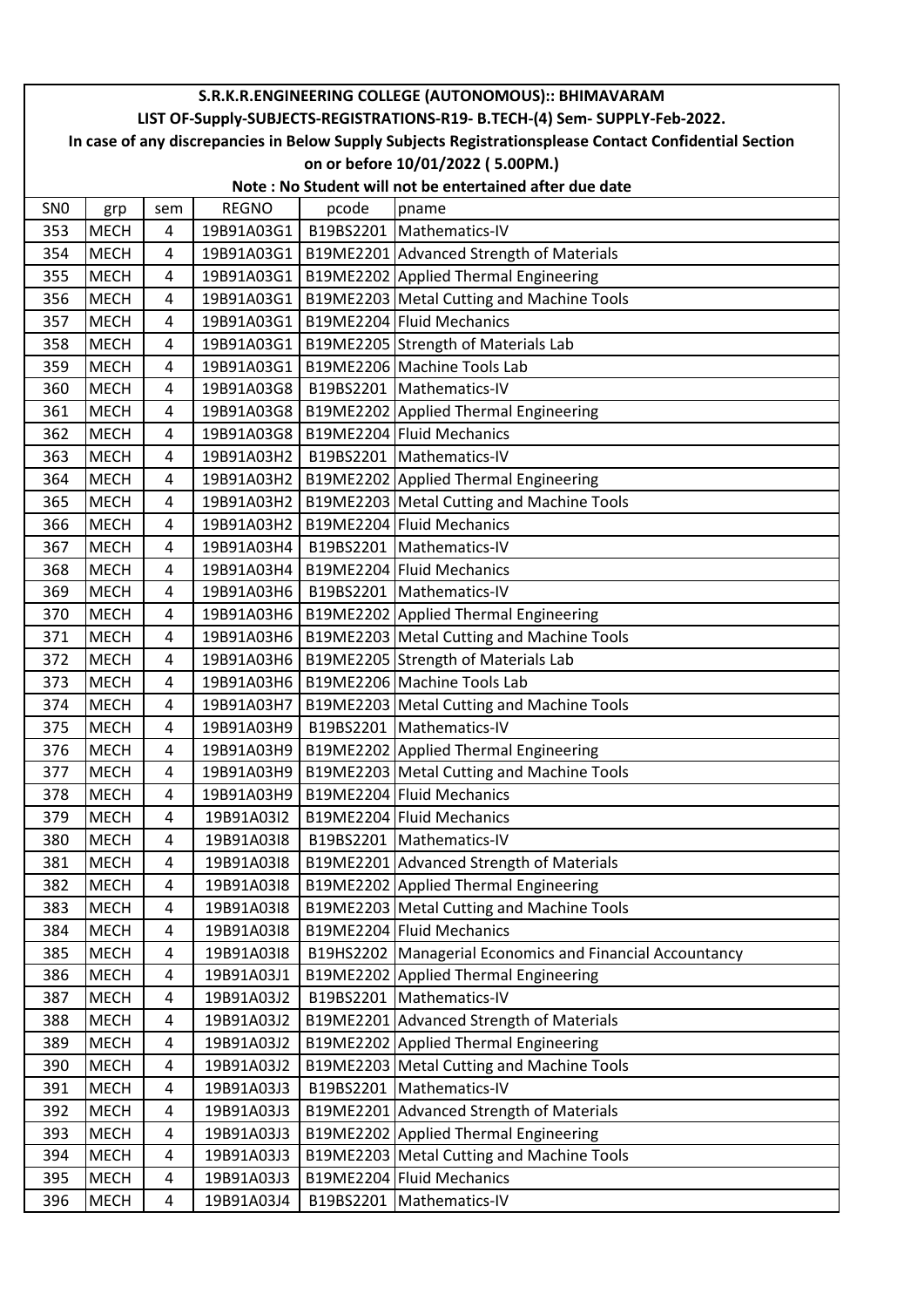|                 | S.R.K.R.ENGINEERING COLLEGE (AUTONOMOUS):: BHIMAVARAM                                                  |                |              |       |                                                            |  |  |
|-----------------|--------------------------------------------------------------------------------------------------------|----------------|--------------|-------|------------------------------------------------------------|--|--|
|                 | LIST OF-Supply-SUBJECTS-REGISTRATIONS-R19- B.TECH-(4) Sem- SUPPLY-Feb-2022.                            |                |              |       |                                                            |  |  |
|                 | In case of any discrepancies in Below Supply Subjects Registrationsplease Contact Confidential Section |                |              |       |                                                            |  |  |
|                 | on or before 10/01/2022 (5.00PM.)                                                                      |                |              |       |                                                            |  |  |
|                 |                                                                                                        |                |              |       | Note: No Student will not be entertained after due date    |  |  |
| SN <sub>0</sub> | grp                                                                                                    | sem            | <b>REGNO</b> | pcode | pname                                                      |  |  |
| 353             | <b>MECH</b>                                                                                            | 4              | 19B91A03G1   |       | B19BS2201 Mathematics-IV                                   |  |  |
| 354             | <b>MECH</b>                                                                                            | 4              | 19B91A03G1   |       | B19ME2201 Advanced Strength of Materials                   |  |  |
| 355             | <b>MECH</b>                                                                                            | 4              | 19B91A03G1   |       | B19ME2202 Applied Thermal Engineering                      |  |  |
| 356             | <b>MECH</b>                                                                                            | 4              | 19B91A03G1   |       | B19ME2203 Metal Cutting and Machine Tools                  |  |  |
| 357             | <b>MECH</b>                                                                                            | 4              | 19B91A03G1   |       | B19ME2204 Fluid Mechanics                                  |  |  |
| 358             | <b>MECH</b>                                                                                            | 4              | 19B91A03G1   |       | B19ME2205 Strength of Materials Lab                        |  |  |
| 359             | <b>MECH</b>                                                                                            | 4              | 19B91A03G1   |       | B19ME2206 Machine Tools Lab                                |  |  |
| 360             | <b>MECH</b>                                                                                            | 4              | 19B91A03G8   |       | B19BS2201   Mathematics-IV                                 |  |  |
| 361             | <b>MECH</b>                                                                                            | $\overline{4}$ | 19B91A03G8   |       | B19ME2202 Applied Thermal Engineering                      |  |  |
| 362             | <b>MECH</b>                                                                                            | 4              | 19B91A03G8   |       | B19ME2204 Fluid Mechanics                                  |  |  |
| 363             | <b>MECH</b>                                                                                            | 4              | 19B91A03H2   |       | B19BS2201 Mathematics-IV                                   |  |  |
| 364             | <b>MECH</b>                                                                                            | 4              | 19B91A03H2   |       | B19ME2202 Applied Thermal Engineering                      |  |  |
| 365             | <b>MECH</b>                                                                                            | 4              | 19B91A03H2   |       | B19ME2203 Metal Cutting and Machine Tools                  |  |  |
| 366             | <b>MECH</b>                                                                                            | $\overline{4}$ | 19B91A03H2   |       | B19ME2204 Fluid Mechanics                                  |  |  |
| 367             | <b>MECH</b>                                                                                            | 4              | 19B91A03H4   |       | B19BS2201 Mathematics-IV                                   |  |  |
| 368             | <b>MECH</b>                                                                                            | 4              | 19B91A03H4   |       | B19ME2204 Fluid Mechanics                                  |  |  |
| 369             | <b>MECH</b>                                                                                            | 4              | 19B91A03H6   |       | B19BS2201   Mathematics-IV                                 |  |  |
| 370             | <b>MECH</b>                                                                                            | 4              | 19B91A03H6   |       | B19ME2202 Applied Thermal Engineering                      |  |  |
| 371             | <b>MECH</b>                                                                                            | 4              | 19B91A03H6   |       | B19ME2203 Metal Cutting and Machine Tools                  |  |  |
| 372             | <b>MECH</b>                                                                                            | 4              | 19B91A03H6   |       | B19ME2205 Strength of Materials Lab                        |  |  |
| 373             | <b>MECH</b>                                                                                            | 4              | 19B91A03H6   |       | B19ME2206 Machine Tools Lab                                |  |  |
| 374             | <b>MECH</b>                                                                                            | 4              | 19B91A03H7   |       | B19ME2203 Metal Cutting and Machine Tools                  |  |  |
| 375             | <b>MECH</b>                                                                                            | 4              | 19B91A03H9   |       | B19BS2201 Mathematics-IV                                   |  |  |
| 376             | <b>MECH</b>                                                                                            | 4              | 19B91A03H9   |       | B19ME2202 Applied Thermal Engineering                      |  |  |
| 377             | <b>MECH</b>                                                                                            | 4              |              |       | 19B91A03H9   B19ME2203 Metal Cutting and Machine Tools     |  |  |
| 378             | <b>MECH</b>                                                                                            | 4              | 19B91A03H9   |       | B19ME2204 Fluid Mechanics                                  |  |  |
| 379             | <b>MECH</b>                                                                                            | 4              | 19B91A03I2   |       | B19ME2204 Fluid Mechanics                                  |  |  |
| 380             | <b>MECH</b>                                                                                            | 4              | 19B91A03I8   |       | B19BS2201   Mathematics-IV                                 |  |  |
| 381             | <b>MECH</b>                                                                                            | 4              | 19B91A03I8   |       | B19ME2201 Advanced Strength of Materials                   |  |  |
| 382             | <b>MECH</b>                                                                                            | 4              | 19B91A03I8   |       | B19ME2202 Applied Thermal Engineering                      |  |  |
| 383             | <b>MECH</b>                                                                                            | 4              | 19B91A03I8   |       | B19ME2203 Metal Cutting and Machine Tools                  |  |  |
| 384             | <b>MECH</b>                                                                                            | 4              | 19B91A03I8   |       | B19ME2204 Fluid Mechanics                                  |  |  |
| 385             | <b>MECH</b>                                                                                            | 4              | 19B91A03I8   |       | B19HS2202   Managerial Economics and Financial Accountancy |  |  |
| 386             | <b>MECH</b>                                                                                            | 4              | 19B91A03J1   |       | B19ME2202 Applied Thermal Engineering                      |  |  |
| 387             | <b>MECH</b>                                                                                            | 4              | 19B91A03J2   |       | B19BS2201   Mathematics-IV                                 |  |  |
| 388             | <b>MECH</b>                                                                                            | 4              | 19B91A03J2   |       | B19ME2201 Advanced Strength of Materials                   |  |  |
| 389             | <b>MECH</b>                                                                                            | 4              | 19B91A03J2   |       | B19ME2202 Applied Thermal Engineering                      |  |  |
| 390             | <b>MECH</b>                                                                                            | 4              | 19B91A03J2   |       | B19ME2203 Metal Cutting and Machine Tools                  |  |  |
| 391             | <b>MECH</b>                                                                                            | 4              | 19B91A03J3   |       | B19BS2201 Mathematics-IV                                   |  |  |
| 392             | <b>MECH</b>                                                                                            | 4              | 19B91A03J3   |       | B19ME2201 Advanced Strength of Materials                   |  |  |
| 393             | <b>MECH</b>                                                                                            | 4              | 19B91A03J3   |       | B19ME2202 Applied Thermal Engineering                      |  |  |
| 394             | <b>MECH</b>                                                                                            | 4              | 19B91A03J3   |       | B19ME2203 Metal Cutting and Machine Tools                  |  |  |
| 395             | <b>MECH</b>                                                                                            | 4              | 19B91A03J3   |       | B19ME2204 Fluid Mechanics                                  |  |  |
| 396             | <b>MECH</b>                                                                                            | 4              | 19B91A03J4   |       | B19BS2201 Mathematics-IV                                   |  |  |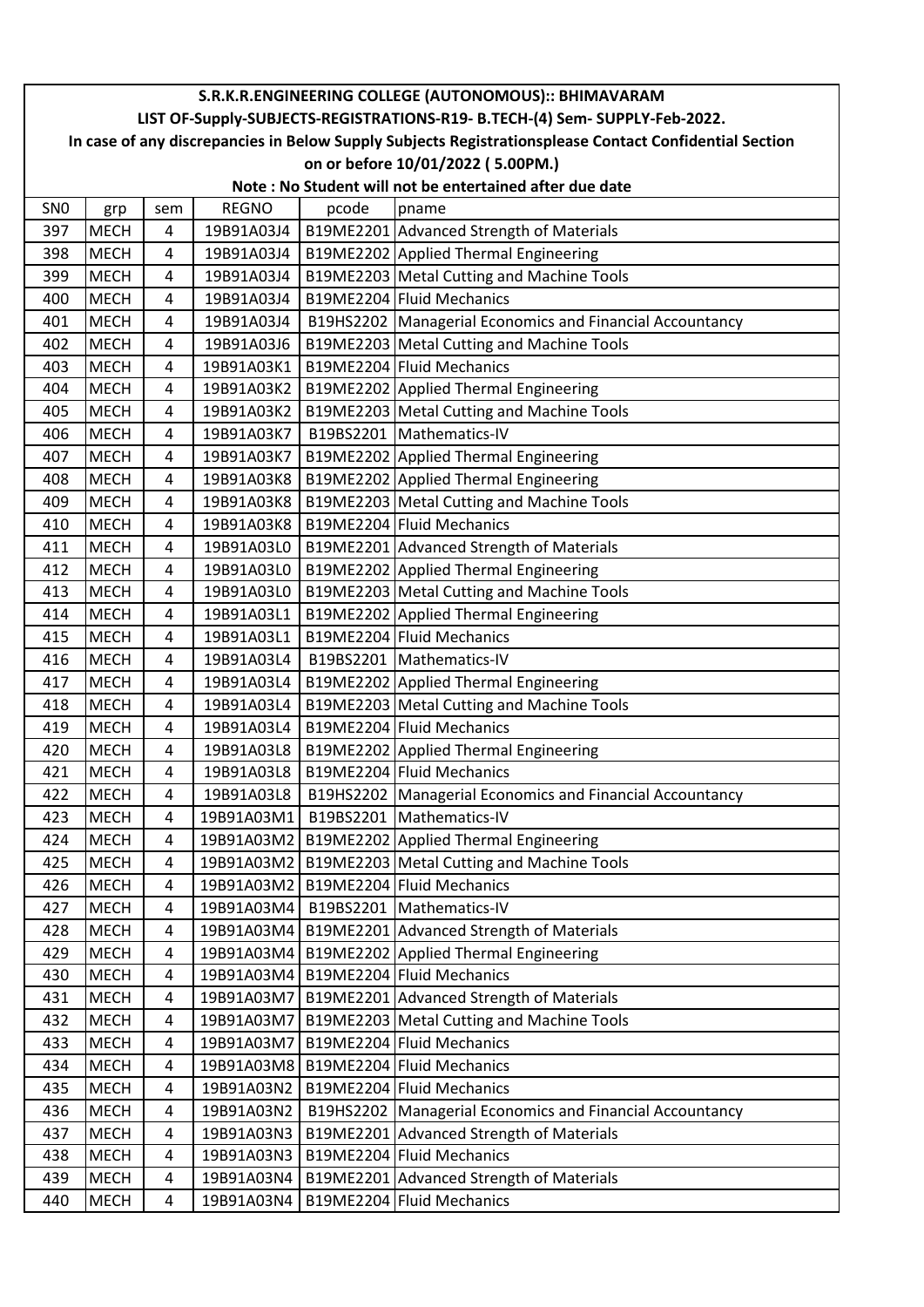|                 | S.R.K.R.ENGINEERING COLLEGE (AUTONOMOUS):: BHIMAVARAM                                                  |                |              |       |                                                            |  |  |  |  |
|-----------------|--------------------------------------------------------------------------------------------------------|----------------|--------------|-------|------------------------------------------------------------|--|--|--|--|
|                 | LIST OF-Supply-SUBJECTS-REGISTRATIONS-R19- B.TECH-(4) Sem- SUPPLY-Feb-2022.                            |                |              |       |                                                            |  |  |  |  |
|                 | In case of any discrepancies in Below Supply Subjects Registrationsplease Contact Confidential Section |                |              |       |                                                            |  |  |  |  |
|                 |                                                                                                        |                |              |       | on or before 10/01/2022 (5.00PM.)                          |  |  |  |  |
|                 |                                                                                                        |                |              |       | Note: No Student will not be entertained after due date    |  |  |  |  |
| SN <sub>0</sub> | grp                                                                                                    | sem            | <b>REGNO</b> | pcode | pname                                                      |  |  |  |  |
| 397             | <b>MECH</b>                                                                                            | 4              | 19B91A03J4   |       | B19ME2201 Advanced Strength of Materials                   |  |  |  |  |
| 398             | <b>MECH</b>                                                                                            | 4              | 19B91A03J4   |       | B19ME2202 Applied Thermal Engineering                      |  |  |  |  |
| 399             | <b>MECH</b>                                                                                            | 4              | 19B91A03J4   |       | B19ME2203 Metal Cutting and Machine Tools                  |  |  |  |  |
| 400             | <b>MECH</b>                                                                                            | 4              | 19B91A03J4   |       | B19ME2204 Fluid Mechanics                                  |  |  |  |  |
| 401             | <b>MECH</b>                                                                                            | 4              | 19B91A03J4   |       | B19HS2202 Managerial Economics and Financial Accountancy   |  |  |  |  |
| 402             | <b>MECH</b>                                                                                            | 4              | 19B91A03J6   |       | B19ME2203 Metal Cutting and Machine Tools                  |  |  |  |  |
| 403             | <b>MECH</b>                                                                                            | 4              | 19B91A03K1   |       | B19ME2204 Fluid Mechanics                                  |  |  |  |  |
| 404             | <b>MECH</b>                                                                                            | 4              | 19B91A03K2   |       | B19ME2202 Applied Thermal Engineering                      |  |  |  |  |
| 405             | <b>MECH</b>                                                                                            | 4              | 19B91A03K2   |       | B19ME2203 Metal Cutting and Machine Tools                  |  |  |  |  |
| 406             | <b>MECH</b>                                                                                            | 4              | 19B91A03K7   |       | B19BS2201 Mathematics-IV                                   |  |  |  |  |
| 407             | <b>MECH</b>                                                                                            | 4              | 19B91A03K7   |       | B19ME2202 Applied Thermal Engineering                      |  |  |  |  |
| 408             | <b>MECH</b>                                                                                            | 4              | 19B91A03K8   |       | B19ME2202 Applied Thermal Engineering                      |  |  |  |  |
| 409             | <b>MECH</b>                                                                                            | 4              | 19B91A03K8   |       | B19ME2203   Metal Cutting and Machine Tools                |  |  |  |  |
| 410             | <b>MECH</b>                                                                                            | 4              | 19B91A03K8   |       | B19ME2204 Fluid Mechanics                                  |  |  |  |  |
| 411             | <b>MECH</b>                                                                                            | 4              | 19B91A03L0   |       | B19ME2201 Advanced Strength of Materials                   |  |  |  |  |
| 412             | <b>MECH</b>                                                                                            | 4              | 19B91A03L0   |       | B19ME2202 Applied Thermal Engineering                      |  |  |  |  |
| 413             | <b>MECH</b>                                                                                            | $\overline{4}$ | 19B91A03L0   |       | B19ME2203 Metal Cutting and Machine Tools                  |  |  |  |  |
| 414             | <b>MECH</b>                                                                                            | 4              | 19B91A03L1   |       | B19ME2202 Applied Thermal Engineering                      |  |  |  |  |
| 415             | <b>MECH</b>                                                                                            | 4              | 19B91A03L1   |       | B19ME2204 Fluid Mechanics                                  |  |  |  |  |
| 416             | <b>MECH</b>                                                                                            | 4              | 19B91A03L4   |       | B19BS2201   Mathematics-IV                                 |  |  |  |  |
| 417             | <b>MECH</b>                                                                                            | 4              | 19B91A03L4   |       | B19ME2202 Applied Thermal Engineering                      |  |  |  |  |
| 418             | <b>MECH</b>                                                                                            | $\overline{4}$ | 19B91A03L4   |       | B19ME2203 Metal Cutting and Machine Tools                  |  |  |  |  |
| 419             | <b>MECH</b>                                                                                            | 4              | 19B91A03L4   |       | B19ME2204 Fluid Mechanics                                  |  |  |  |  |
| 420             | <b>MECH</b>                                                                                            | 4              | 19B91A03L8   |       | B19ME2202 Applied Thermal Engineering                      |  |  |  |  |
| 421             | <b>MECH</b>                                                                                            | 4              | 19B91A03L8   |       | B19ME2204 Fluid Mechanics                                  |  |  |  |  |
| 422             | <b>MECH</b>                                                                                            | 4              | 19B91A03L8   |       | B19HS2202 Managerial Economics and Financial Accountancy   |  |  |  |  |
| 423             | <b>MECH</b>                                                                                            | 4              | 19B91A03M1   |       | B19BS2201   Mathematics-IV                                 |  |  |  |  |
| 424             | <b>MECH</b>                                                                                            | 4              | 19B91A03M2   |       | B19ME2202 Applied Thermal Engineering                      |  |  |  |  |
| 425             | <b>MECH</b>                                                                                            | 4              | 19B91A03M2   |       | B19ME2203 Metal Cutting and Machine Tools                  |  |  |  |  |
| 426             | <b>MECH</b>                                                                                            | 4              | 19B91A03M2   |       | B19ME2204 Fluid Mechanics                                  |  |  |  |  |
| 427             | <b>MECH</b>                                                                                            | 4              | 19B91A03M4   |       | B19BS2201   Mathematics-IV                                 |  |  |  |  |
| 428             | <b>MECH</b>                                                                                            | 4              | 19B91A03M4   |       | B19ME2201 Advanced Strength of Materials                   |  |  |  |  |
| 429             | <b>MECH</b>                                                                                            | 4              | 19B91A03M4   |       | B19ME2202 Applied Thermal Engineering                      |  |  |  |  |
| 430             | <b>MECH</b>                                                                                            | 4              | 19B91A03M4   |       | B19ME2204 Fluid Mechanics                                  |  |  |  |  |
| 431             | <b>MECH</b>                                                                                            | 4              | 19B91A03M7   |       | B19ME2201 Advanced Strength of Materials                   |  |  |  |  |
| 432             | <b>MECH</b>                                                                                            | 4              | 19B91A03M7   |       | B19ME2203 Metal Cutting and Machine Tools                  |  |  |  |  |
| 433             | <b>MECH</b>                                                                                            | 4              | 19B91A03M7   |       | B19ME2204 Fluid Mechanics                                  |  |  |  |  |
| 434             | <b>MECH</b>                                                                                            | 4              | 19B91A03M8   |       | B19ME2204 Fluid Mechanics                                  |  |  |  |  |
| 435             | <b>MECH</b>                                                                                            | 4              | 19B91A03N2   |       | B19ME2204 Fluid Mechanics                                  |  |  |  |  |
| 436             | <b>MECH</b>                                                                                            | 4              | 19B91A03N2   |       | B19HS2202   Managerial Economics and Financial Accountancy |  |  |  |  |
| 437             | <b>MECH</b>                                                                                            | 4              | 19B91A03N3   |       | B19ME2201 Advanced Strength of Materials                   |  |  |  |  |
| 438             | <b>MECH</b>                                                                                            | 4              | 19B91A03N3   |       | B19ME2204 Fluid Mechanics                                  |  |  |  |  |
| 439             | <b>MECH</b>                                                                                            | 4              | 19B91A03N4   |       | B19ME2201 Advanced Strength of Materials                   |  |  |  |  |
| 440             | <b>MECH</b>                                                                                            | 4              | 19B91A03N4   |       | B19ME2204 Fluid Mechanics                                  |  |  |  |  |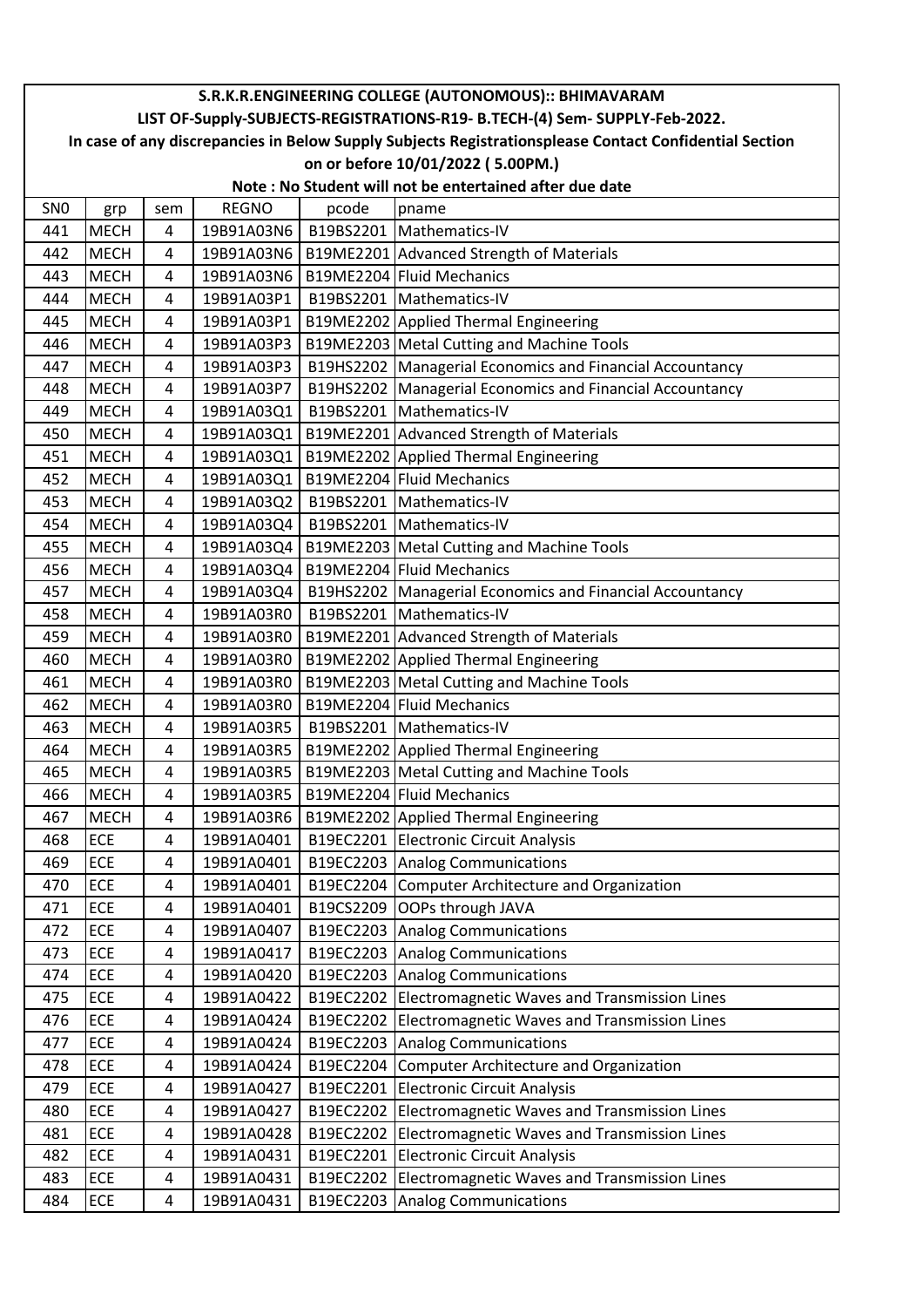|                 | S.R.K.R.ENGINEERING COLLEGE (AUTONOMOUS):: BHIMAVARAM                                                                                                                                 |                     |                          |           |                                                                                      |  |  |  |
|-----------------|---------------------------------------------------------------------------------------------------------------------------------------------------------------------------------------|---------------------|--------------------------|-----------|--------------------------------------------------------------------------------------|--|--|--|
|                 | LIST OF-Supply-SUBJECTS-REGISTRATIONS-R19- B.TECH-(4) Sem- SUPPLY-Feb-2022.<br>In case of any discrepancies in Below Supply Subjects Registrationsplease Contact Confidential Section |                     |                          |           |                                                                                      |  |  |  |
|                 |                                                                                                                                                                                       |                     |                          |           |                                                                                      |  |  |  |
|                 | on or before 10/01/2022 (5.00PM.)<br>Note: No Student will not be entertained after due date                                                                                          |                     |                          |           |                                                                                      |  |  |  |
|                 |                                                                                                                                                                                       |                     |                          |           |                                                                                      |  |  |  |
| SN <sub>0</sub> | grp                                                                                                                                                                                   | sem                 | <b>REGNO</b>             | pcode     | pname                                                                                |  |  |  |
| 441             | <b>MECH</b>                                                                                                                                                                           | 4                   | 19B91A03N6               |           | B19BS2201   Mathematics-IV                                                           |  |  |  |
| 442             | <b>MECH</b>                                                                                                                                                                           | 4                   | 19B91A03N6               |           | B19ME2201 Advanced Strength of Materials<br>B19ME2204 Fluid Mechanics                |  |  |  |
| 443<br>444      | <b>MECH</b><br><b>MECH</b>                                                                                                                                                            | 4<br>4              | 19B91A03N6<br>19B91A03P1 |           | B19BS2201   Mathematics-IV                                                           |  |  |  |
|                 |                                                                                                                                                                                       | 4                   |                          |           |                                                                                      |  |  |  |
| 445             | <b>MECH</b><br><b>MECH</b>                                                                                                                                                            |                     | 19B91A03P1<br>19B91A03P3 |           | B19ME2202 Applied Thermal Engineering                                                |  |  |  |
| 446<br>447      | <b>MECH</b>                                                                                                                                                                           | 4<br>4              | 19B91A03P3               |           | B19ME2203 Metal Cutting and Machine Tools                                            |  |  |  |
|                 |                                                                                                                                                                                       |                     |                          |           | B19HS2202   Managerial Economics and Financial Accountancy                           |  |  |  |
| 448             | <b>MECH</b><br><b>MECH</b>                                                                                                                                                            | 4                   | 19B91A03P7<br>19B91A03Q1 |           | B19HS2202 Managerial Economics and Financial Accountancy<br>B19BS2201 Mathematics-IV |  |  |  |
| 449<br>450      | <b>MECH</b>                                                                                                                                                                           | 4<br>4              | 19B91A03Q1               |           |                                                                                      |  |  |  |
| 451             | <b>MECH</b>                                                                                                                                                                           | 4                   | 19B91A03Q1               |           | B19ME2201 Advanced Strength of Materials<br>B19ME2202 Applied Thermal Engineering    |  |  |  |
|                 |                                                                                                                                                                                       | 4                   |                          |           | B19ME2204 Fluid Mechanics                                                            |  |  |  |
| 452             | <b>MECH</b>                                                                                                                                                                           |                     | 19B91A03Q1               |           |                                                                                      |  |  |  |
| 453<br>454      | <b>MECH</b>                                                                                                                                                                           | 4<br>$\overline{4}$ | 19B91A03Q2<br>19B91A03Q4 |           | B19BS2201   Mathematics-IV<br>B19BS2201   Mathematics-IV                             |  |  |  |
|                 | <b>MECH</b>                                                                                                                                                                           |                     |                          |           |                                                                                      |  |  |  |
| 455             | <b>MECH</b>                                                                                                                                                                           | 4                   | 19B91A03Q4               |           | B19ME2203   Metal Cutting and Machine Tools<br>B19ME2204 Fluid Mechanics             |  |  |  |
| 456             | <b>MECH</b>                                                                                                                                                                           | 4                   | 19B91A03Q4               |           |                                                                                      |  |  |  |
| 457             | <b>MECH</b>                                                                                                                                                                           | 4                   | 19B91A03Q4               |           | B19HS2202 Managerial Economics and Financial Accountancy                             |  |  |  |
| 458             | <b>MECH</b>                                                                                                                                                                           | 4<br>$\overline{4}$ | 19B91A03R0               |           | B19BS2201   Mathematics-IV                                                           |  |  |  |
| 459             | <b>MECH</b>                                                                                                                                                                           |                     | 19B91A03R0               |           | B19ME2201 Advanced Strength of Materials                                             |  |  |  |
| 460             | <b>MECH</b>                                                                                                                                                                           | 4                   | 19B91A03R0               |           | B19ME2202 Applied Thermal Engineering                                                |  |  |  |
| 461             | <b>MECH</b>                                                                                                                                                                           | 4                   | 19B91A03R0               |           | B19ME2203 Metal Cutting and Machine Tools                                            |  |  |  |
| 462<br>463      | <b>MECH</b>                                                                                                                                                                           | 4                   | 19B91A03R0               |           | B19ME2204 Fluid Mechanics                                                            |  |  |  |
|                 | <b>MECH</b>                                                                                                                                                                           | 4                   | 19B91A03R5               |           | B19BS2201   Mathematics-IV                                                           |  |  |  |
| 464             | <b>MECH</b>                                                                                                                                                                           | 4                   | 19B91A03R5               |           | B19ME2202 Applied Thermal Engineering                                                |  |  |  |
| 465             | <b>MECH</b>                                                                                                                                                                           | 4                   | 19B91A03R5               |           | B19ME2203 Metal Cutting and Machine Tools                                            |  |  |  |
| 466             | <b>MECH</b>                                                                                                                                                                           | 4                   | 19B91A03R5               |           | B19ME2204 Fluid Mechanics                                                            |  |  |  |
| 467             | <b>MECH</b>                                                                                                                                                                           | 4                   | 19B91A03R6               |           | B19ME2202 Applied Thermal Engineering                                                |  |  |  |
| 468             | ECE                                                                                                                                                                                   | 4                   | 19B91A0401               |           | B19EC2201 Electronic Circuit Analysis                                                |  |  |  |
| 469             | ECE<br><b>ECE</b>                                                                                                                                                                     | 4                   | 19B91A0401               |           | B19EC2203 Analog Communications<br>B19EC2204 Computer Architecture and Organization  |  |  |  |
| 470             |                                                                                                                                                                                       | 4                   | 19B91A0401               |           |                                                                                      |  |  |  |
| 471<br>472      | ECE<br>ECE                                                                                                                                                                            | 4                   | 19B91A0401               |           | B19CS2209 OOPs through JAVA                                                          |  |  |  |
| 473             | ECE                                                                                                                                                                                   | 4<br>4              | 19B91A0407<br>19B91A0417 |           | B19EC2203 Analog Communications<br>B19EC2203 Analog Communications                   |  |  |  |
|                 |                                                                                                                                                                                       |                     |                          |           |                                                                                      |  |  |  |
| 474             | ECE                                                                                                                                                                                   | 4                   | 19B91A0420               |           | B19EC2203 Analog Communications                                                      |  |  |  |
| 475             | ECE                                                                                                                                                                                   | 4                   | 19B91A0422               |           | B19EC2202 Electromagnetic Waves and Transmission Lines                               |  |  |  |
| 476<br>477      | <b>ECE</b><br>ECE                                                                                                                                                                     | 4<br>4              | 19B91A0424<br>19B91A0424 | B19EC2202 | Electromagnetic Waves and Transmission Lines                                         |  |  |  |
| 478             | ECE                                                                                                                                                                                   | 4                   |                          |           | B19EC2203 Analog Communications                                                      |  |  |  |
|                 |                                                                                                                                                                                       |                     | 19B91A0424               |           | B19EC2204 Computer Architecture and Organization                                     |  |  |  |
| 479             | ECE                                                                                                                                                                                   | 4                   | 19B91A0427               |           | B19EC2201 Electronic Circuit Analysis                                                |  |  |  |
| 480             | ECE                                                                                                                                                                                   | 4                   | 19B91A0427               |           | B19EC2202 Electromagnetic Waves and Transmission Lines                               |  |  |  |
| 481             | ECE                                                                                                                                                                                   | 4                   | 19B91A0428               | B19EC2202 | Electromagnetic Waves and Transmission Lines                                         |  |  |  |
| 482             | <b>ECE</b>                                                                                                                                                                            | 4                   | 19B91A0431               |           | B19EC2201 Electronic Circuit Analysis                                                |  |  |  |
| 483             | ECE                                                                                                                                                                                   | 4                   | 19B91A0431               |           | B19EC2202 Electromagnetic Waves and Transmission Lines                               |  |  |  |
| 484             | ECE                                                                                                                                                                                   | 4                   | 19B91A0431               |           | B19EC2203 Analog Communications                                                      |  |  |  |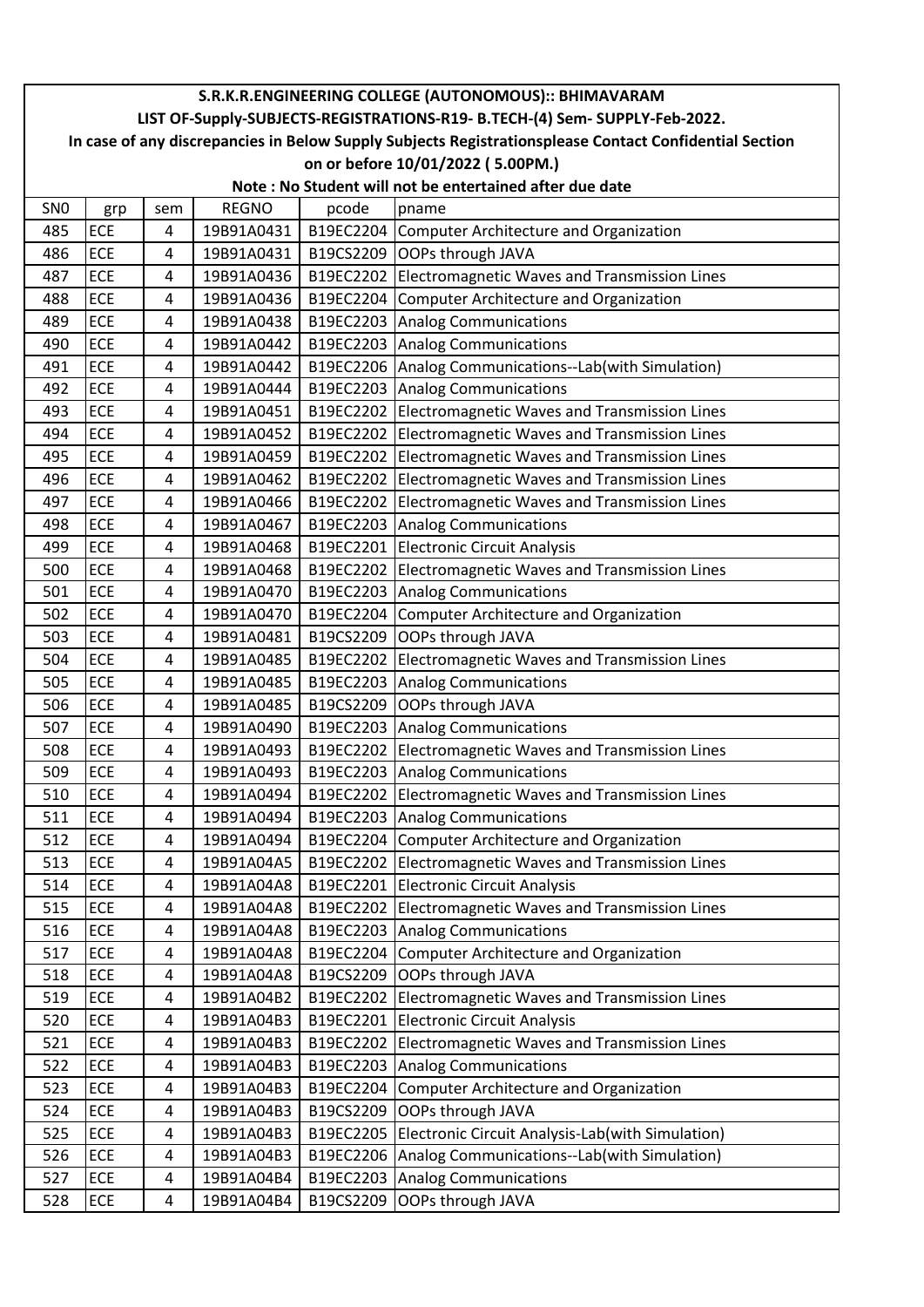|                 | S.R.K.R.ENGINEERING COLLEGE (AUTONOMOUS):: BHIMAVARAM                                                  |                |              |           |                                                         |  |  |  |
|-----------------|--------------------------------------------------------------------------------------------------------|----------------|--------------|-----------|---------------------------------------------------------|--|--|--|
|                 | LIST OF-Supply-SUBJECTS-REGISTRATIONS-R19- B.TECH-(4) Sem- SUPPLY-Feb-2022.                            |                |              |           |                                                         |  |  |  |
|                 | In case of any discrepancies in Below Supply Subjects Registrationsplease Contact Confidential Section |                |              |           |                                                         |  |  |  |
|                 |                                                                                                        |                |              |           | on or before 10/01/2022 (5.00PM.)                       |  |  |  |
|                 |                                                                                                        |                |              |           | Note: No Student will not be entertained after due date |  |  |  |
| SN <sub>0</sub> | grp                                                                                                    | sem            | <b>REGNO</b> | pcode     | pname                                                   |  |  |  |
| 485             | <b>ECE</b>                                                                                             | 4              | 19B91A0431   |           | B19EC2204 Computer Architecture and Organization        |  |  |  |
| 486             | <b>ECE</b>                                                                                             | 4              | 19B91A0431   |           | B19CS2209 OOPs through JAVA                             |  |  |  |
| 487             | ECE                                                                                                    | $\overline{4}$ | 19B91A0436   |           | B19EC2202 Electromagnetic Waves and Transmission Lines  |  |  |  |
| 488             | <b>ECE</b>                                                                                             | 4              | 19B91A0436   |           | B19EC2204 Computer Architecture and Organization        |  |  |  |
| 489             | ECE                                                                                                    | 4              | 19B91A0438   |           | B19EC2203 Analog Communications                         |  |  |  |
| 490             | ECE                                                                                                    | 4              | 19B91A0442   |           | B19EC2203 Analog Communications                         |  |  |  |
| 491             | <b>ECE</b>                                                                                             | 4              | 19B91A0442   |           | B19EC2206 Analog Communications--Lab(with Simulation)   |  |  |  |
| 492             | ECE                                                                                                    | 4              | 19B91A0444   |           | B19EC2203 Analog Communications                         |  |  |  |
| 493             | <b>ECE</b>                                                                                             | 4              | 19B91A0451   |           | B19EC2202 Electromagnetic Waves and Transmission Lines  |  |  |  |
| 494             | ECE                                                                                                    | 4              | 19B91A0452   |           | B19EC2202 Electromagnetic Waves and Transmission Lines  |  |  |  |
| 495             | ECE                                                                                                    | 4              | 19B91A0459   |           | B19EC2202 Electromagnetic Waves and Transmission Lines  |  |  |  |
| 496             | <b>ECE</b>                                                                                             | 4              | 19B91A0462   |           | B19EC2202 Electromagnetic Waves and Transmission Lines  |  |  |  |
| 497             | ECE                                                                                                    | 4              | 19B91A0466   |           | B19EC2202 Electromagnetic Waves and Transmission Lines  |  |  |  |
| 498             | <b>ECE</b>                                                                                             | 4              | 19B91A0467   |           | B19EC2203 Analog Communications                         |  |  |  |
| 499             | ECE                                                                                                    | 4              | 19B91A0468   |           | B19EC2201 Electronic Circuit Analysis                   |  |  |  |
| 500             | <b>ECE</b>                                                                                             | 4              | 19B91A0468   |           | B19EC2202 Electromagnetic Waves and Transmission Lines  |  |  |  |
| 501             | <b>ECE</b>                                                                                             | $\overline{4}$ | 19B91A0470   |           | B19EC2203 Analog Communications                         |  |  |  |
| 502             | ECE                                                                                                    | 4              | 19B91A0470   |           | B19EC2204 Computer Architecture and Organization        |  |  |  |
| 503             | <b>ECE</b>                                                                                             | 4              | 19B91A0481   |           | B19CS2209 OOPs through JAVA                             |  |  |  |
| 504             | ECE                                                                                                    | 4              | 19B91A0485   |           | B19EC2202 Electromagnetic Waves and Transmission Lines  |  |  |  |
| 505             | ECE                                                                                                    | 4              | 19B91A0485   |           | B19EC2203 Analog Communications                         |  |  |  |
| 506             | ECE                                                                                                    | $\overline{4}$ | 19B91A0485   | B19CS2209 | OOPs through JAVA                                       |  |  |  |
| 507             | <b>ECE</b>                                                                                             | 4              | 19B91A0490   | B19EC2203 | <b>Analog Communications</b>                            |  |  |  |
| 508             | ECE                                                                                                    | 4              | 19B91A0493   |           | B19EC2202 Electromagnetic Waves and Transmission Lines  |  |  |  |
| 509             | ECE                                                                                                    | 4              | 19B91A0493   |           | B19EC2203 Analog Communications                         |  |  |  |
| 510             | ECE                                                                                                    | 4              | 19B91A0494   |           | B19EC2202 Electromagnetic Waves and Transmission Lines  |  |  |  |
| 511             | ECE                                                                                                    | 4              | 19B91A0494   |           | B19EC2203 Analog Communications                         |  |  |  |
| 512             | ECE                                                                                                    | 4              | 19B91A0494   |           | B19EC2204 Computer Architecture and Organization        |  |  |  |
| 513             | ECE                                                                                                    | 4              | 19B91A04A5   | B19EC2202 | Electromagnetic Waves and Transmission Lines            |  |  |  |
| 514             | ECE                                                                                                    | 4              | 19B91A04A8   | B19EC2201 | <b>Electronic Circuit Analysis</b>                      |  |  |  |
| 515             | ECE                                                                                                    | 4              | 19B91A04A8   | B19EC2202 | Electromagnetic Waves and Transmission Lines            |  |  |  |
| 516             | ECE                                                                                                    | 4              | 19B91A04A8   | B19EC2203 | Analog Communications                                   |  |  |  |
| 517             | ECE                                                                                                    | 4              | 19B91A04A8   |           | B19EC2204 Computer Architecture and Organization        |  |  |  |
| 518             | ECE                                                                                                    | 4              | 19B91A04A8   | B19CS2209 | OOPs through JAVA                                       |  |  |  |
| 519             | ECE                                                                                                    | 4              | 19B91A04B2   | B19EC2202 | Electromagnetic Waves and Transmission Lines            |  |  |  |
| 520             | ECE                                                                                                    | 4              | 19B91A04B3   | B19EC2201 | <b>Electronic Circuit Analysis</b>                      |  |  |  |
| 521             | ECE                                                                                                    | 4              | 19B91A04B3   | B19EC2202 | Electromagnetic Waves and Transmission Lines            |  |  |  |
| 522             | ECE                                                                                                    | 4              | 19B91A04B3   |           | B19EC2203 Analog Communications                         |  |  |  |
| 523             | ECE                                                                                                    | 4              | 19B91A04B3   | B19EC2204 | Computer Architecture and Organization                  |  |  |  |
| 524             | ECE                                                                                                    | 4              | 19B91A04B3   | B19CS2209 | OOPs through JAVA                                       |  |  |  |
| 525             | ECE                                                                                                    | 4              | 19B91A04B3   | B19EC2205 | Electronic Circuit Analysis-Lab(with Simulation)        |  |  |  |
| 526             | ECE                                                                                                    | 4              | 19B91A04B3   | B19EC2206 | Analog Communications--Lab(with Simulation)             |  |  |  |
| 527             | ECE                                                                                                    | 4              | 19B91A04B4   | B19EC2203 | <b>Analog Communications</b>                            |  |  |  |
| 528             | ECE                                                                                                    | 4              | 19B91A04B4   | B19CS2209 | OOPs through JAVA                                       |  |  |  |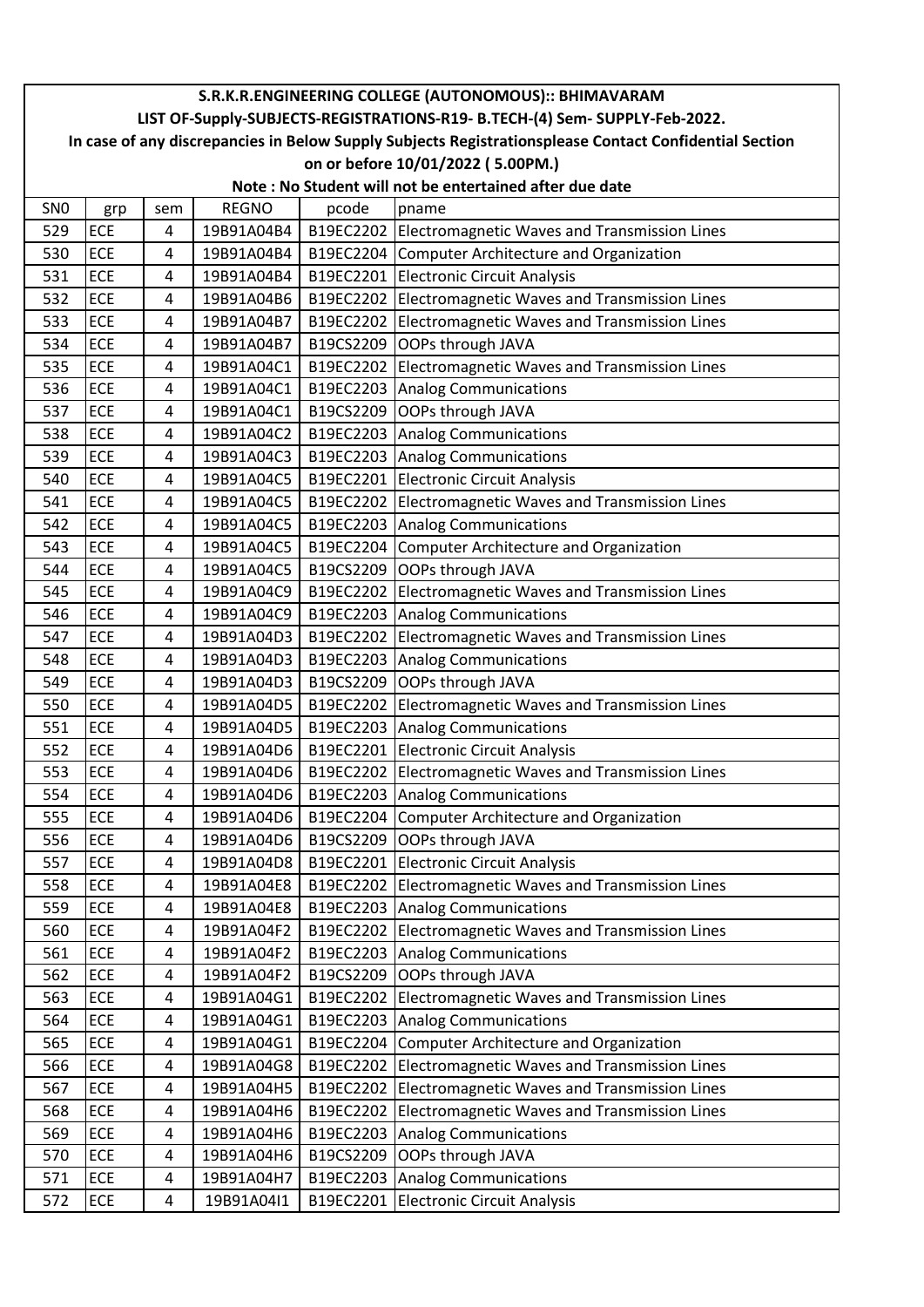|                 | S.R.K.R.ENGINEERING COLLEGE (AUTONOMOUS):: BHIMAVARAM                                                  |                     |                          |       |                                                                                       |  |  |  |
|-----------------|--------------------------------------------------------------------------------------------------------|---------------------|--------------------------|-------|---------------------------------------------------------------------------------------|--|--|--|
|                 | LIST OF-Supply-SUBJECTS-REGISTRATIONS-R19- B.TECH-(4) Sem- SUPPLY-Feb-2022.                            |                     |                          |       |                                                                                       |  |  |  |
|                 | In case of any discrepancies in Below Supply Subjects Registrationsplease Contact Confidential Section |                     |                          |       |                                                                                       |  |  |  |
|                 | on or before 10/01/2022 (5.00PM.)<br>Note: No Student will not be entertained after due date           |                     |                          |       |                                                                                       |  |  |  |
|                 |                                                                                                        |                     |                          |       |                                                                                       |  |  |  |
| SN <sub>0</sub> | grp                                                                                                    | sem                 | <b>REGNO</b>             | pcode | pname                                                                                 |  |  |  |
| 529             | ECE                                                                                                    | 4                   | 19B91A04B4               |       | B19EC2202 Electromagnetic Waves and Transmission Lines                                |  |  |  |
| 530<br>531      | ECE<br>ECE                                                                                             | 4                   | 19B91A04B4               |       | B19EC2204 Computer Architecture and Organization                                      |  |  |  |
| 532             | ECE                                                                                                    | 4<br>$\overline{4}$ | 19B91A04B4<br>19B91A04B6 |       | B19EC2201 Electronic Circuit Analysis                                                 |  |  |  |
|                 | ECE                                                                                                    |                     |                          |       | B19EC2202 Electromagnetic Waves and Transmission Lines                                |  |  |  |
| 533             |                                                                                                        | 4                   | 19B91A04B7               |       | B19EC2202 Electromagnetic Waves and Transmission Lines                                |  |  |  |
| 534<br>535      | ECE<br>ECE                                                                                             | 4<br>4              | 19B91A04B7<br>19B91A04C1 |       | B19CS2209 OOPs through JAVA                                                           |  |  |  |
|                 |                                                                                                        |                     |                          |       | B19EC2202 Electromagnetic Waves and Transmission Lines                                |  |  |  |
| 536<br>537      | ECE<br>ECE                                                                                             | 4                   | 19B91A04C1<br>19B91A04C1 |       | B19EC2203 Analog Communications<br>B19CS2209 OOPs through JAVA                        |  |  |  |
| 538             | ECE                                                                                                    | 4<br>4              | 19B91A04C2               |       |                                                                                       |  |  |  |
| 539             | ECE                                                                                                    | $\overline{4}$      | 19B91A04C3               |       | B19EC2203 Analog Communications<br>B19EC2203 Analog Communications                    |  |  |  |
| 540             | ECE                                                                                                    | 4                   | 19B91A04C5               |       |                                                                                       |  |  |  |
|                 |                                                                                                        |                     |                          |       | B19EC2201 Electronic Circuit Analysis                                                 |  |  |  |
| 541<br>542      | ECE<br>ECE                                                                                             | 4<br>4              | 19B91A04C5               |       | B19EC2202 Electromagnetic Waves and Transmission Lines                                |  |  |  |
| 543             |                                                                                                        |                     | 19B91A04C5               |       | B19EC2203 Analog Communications                                                       |  |  |  |
|                 | ECE<br>ECE                                                                                             | 4                   | 19B91A04C5               |       | B19EC2204 Computer Architecture and Organization                                      |  |  |  |
| 544             |                                                                                                        | 4                   | 19B91A04C5               |       | B19CS2209 OOPs through JAVA                                                           |  |  |  |
| 545             | ECE<br>ECE                                                                                             | 4                   | 19B91A04C9<br>19B91A04C9 |       | B19EC2202 Electromagnetic Waves and Transmission Lines                                |  |  |  |
| 546<br>547      | ECE                                                                                                    | 4<br>4              |                          |       | B19EC2203 Analog Communications                                                       |  |  |  |
| 548             | ECE                                                                                                    |                     | 19B91A04D3               |       | B19EC2202 Electromagnetic Waves and Transmission Lines                                |  |  |  |
| 549             | ECE                                                                                                    | 4                   | 19B91A04D3               |       | B19EC2203 Analog Communications                                                       |  |  |  |
| 550             | ECE                                                                                                    | 4<br>4              | 19B91A04D3<br>19B91A04D5 |       | B19CS2209 OOPs through JAVA<br>B19EC2202 Electromagnetic Waves and Transmission Lines |  |  |  |
| 551             | ECE                                                                                                    | $\overline{4}$      | 19B91A04D5               |       | B19EC2203 Analog Communications                                                       |  |  |  |
| 552             | ECE                                                                                                    | 4                   | 19B91A04D6               |       | B19EC2201 Electronic Circuit Analysis                                                 |  |  |  |
| 553             | ECE                                                                                                    | 4                   | 19B91A04D6               |       | B19EC2202 Electromagnetic Waves and Transmission Lines                                |  |  |  |
| 554             | ECE                                                                                                    | 4                   | 19B91A04D6               |       | B19EC2203 Analog Communications                                                       |  |  |  |
| 555             | ECE                                                                                                    | 4                   | 19B91A04D6               |       | B19EC2204 Computer Architecture and Organization                                      |  |  |  |
| 556             | ECE                                                                                                    | 4                   | 19B91A04D6               |       | B19CS2209 OOPs through JAVA                                                           |  |  |  |
| 557             | ECE                                                                                                    | 4                   | 19B91A04D8               |       | B19EC2201 Electronic Circuit Analysis                                                 |  |  |  |
| 558             | ECE                                                                                                    | 4                   | 19B91A04E8               |       | B19EC2202 Electromagnetic Waves and Transmission Lines                                |  |  |  |
| 559             | ECE                                                                                                    | 4                   | 19B91A04E8               |       | B19EC2203 Analog Communications                                                       |  |  |  |
| 560             | ECE                                                                                                    | 4                   | 19B91A04F2               |       | B19EC2202 Electromagnetic Waves and Transmission Lines                                |  |  |  |
| 561             | ECE                                                                                                    | 4                   | 19B91A04F2               |       | B19EC2203 Analog Communications                                                       |  |  |  |
| 562             | ECE                                                                                                    | 4                   | 19B91A04F2               |       | B19CS2209 OOPs through JAVA                                                           |  |  |  |
| 563             | ECE                                                                                                    | 4                   | 19B91A04G1               |       | B19EC2202 Electromagnetic Waves and Transmission Lines                                |  |  |  |
| 564             | ECE                                                                                                    | 4                   | 19B91A04G1               |       | B19EC2203 Analog Communications                                                       |  |  |  |
| 565             | ECE                                                                                                    | 4                   | 19B91A04G1               |       | B19EC2204 Computer Architecture and Organization                                      |  |  |  |
| 566             | ECE                                                                                                    | 4                   | 19B91A04G8               |       | B19EC2202 Electromagnetic Waves and Transmission Lines                                |  |  |  |
| 567             | ECE                                                                                                    | 4                   | 19B91A04H5               |       | B19EC2202 Electromagnetic Waves and Transmission Lines                                |  |  |  |
| 568             | ECE                                                                                                    | 4                   | 19B91A04H6               |       | B19EC2202 Electromagnetic Waves and Transmission Lines                                |  |  |  |
| 569             | ECE                                                                                                    | 4                   | 19B91A04H6               |       | B19EC2203 Analog Communications                                                       |  |  |  |
| 570             | ECE                                                                                                    | 4                   | 19B91A04H6               |       | B19CS2209 OOPs through JAVA                                                           |  |  |  |
| 571             | ECE                                                                                                    | 4                   | 19B91A04H7               |       | B19EC2203 Analog Communications                                                       |  |  |  |
| 572             | ECE                                                                                                    | 4                   | 19B91A04I1               |       | B19EC2201 Electronic Circuit Analysis                                                 |  |  |  |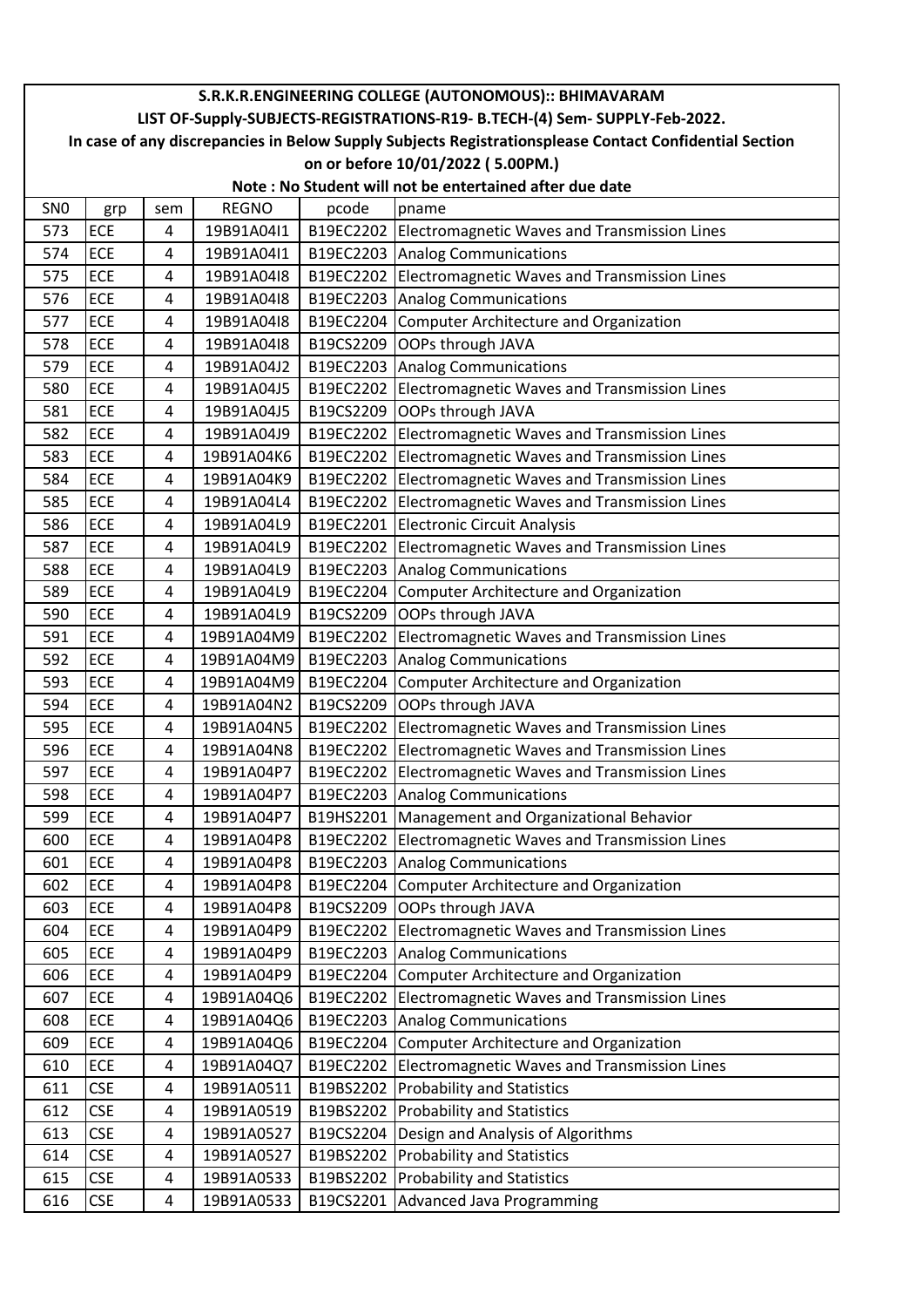|                 | S.R.K.R.ENGINEERING COLLEGE (AUTONOMOUS):: BHIMAVARAM                                                  |     |              |           |                                                        |  |  |  |
|-----------------|--------------------------------------------------------------------------------------------------------|-----|--------------|-----------|--------------------------------------------------------|--|--|--|
|                 | LIST OF-Supply-SUBJECTS-REGISTRATIONS-R19- B.TECH-(4) Sem- SUPPLY-Feb-2022.                            |     |              |           |                                                        |  |  |  |
|                 | In case of any discrepancies in Below Supply Subjects Registrationsplease Contact Confidential Section |     |              |           |                                                        |  |  |  |
|                 | on or before 10/01/2022 (5.00PM.)<br>Note: No Student will not be entertained after due date           |     |              |           |                                                        |  |  |  |
|                 |                                                                                                        |     |              |           |                                                        |  |  |  |
| SN <sub>0</sub> | grp                                                                                                    | sem | <b>REGNO</b> | pcode     | pname                                                  |  |  |  |
| 573             | ECE                                                                                                    | 4   | 19B91A04I1   |           | B19EC2202 Electromagnetic Waves and Transmission Lines |  |  |  |
| 574             | ECE                                                                                                    | 4   | 19B91A04I1   |           | B19EC2203 Analog Communications                        |  |  |  |
| 575             | ECE<br><b>ECE</b>                                                                                      | 4   | 19B91A04I8   |           | B19EC2202 Electromagnetic Waves and Transmission Lines |  |  |  |
| 576             |                                                                                                        | 4   | 19B91A04I8   |           | B19EC2203 Analog Communications                        |  |  |  |
| 577             | ECE                                                                                                    | 4   | 19B91A04I8   |           | B19EC2204 Computer Architecture and Organization       |  |  |  |
| 578             | ECE                                                                                                    | 4   | 19B91A04I8   |           | B19CS2209 OOPs through JAVA                            |  |  |  |
| 579             | ECE                                                                                                    | 4   | 19B91A04J2   |           | B19EC2203 Analog Communications                        |  |  |  |
| 580             | ECE                                                                                                    | 4   | 19B91A04J5   |           | B19EC2202 Electromagnetic Waves and Transmission Lines |  |  |  |
| 581             | <b>ECE</b>                                                                                             | 4   | 19B91A04J5   |           | B19CS2209 OOPs through JAVA                            |  |  |  |
| 582             | ECE                                                                                                    | 4   | 19B91A04J9   | B19EC2202 | Electromagnetic Waves and Transmission Lines           |  |  |  |
| 583             | ECE                                                                                                    | 4   | 19B91A04K6   |           | B19EC2202 Electromagnetic Waves and Transmission Lines |  |  |  |
| 584             | ECE                                                                                                    | 4   | 19B91A04K9   |           | B19EC2202 Electromagnetic Waves and Transmission Lines |  |  |  |
| 585             | ECE                                                                                                    | 4   | 19B91A04L4   |           | B19EC2202 Electromagnetic Waves and Transmission Lines |  |  |  |
| 586             | <b>ECE</b>                                                                                             | 4   | 19B91A04L9   |           | B19EC2201 Electronic Circuit Analysis                  |  |  |  |
| 587             | ECE                                                                                                    | 4   | 19B91A04L9   |           | B19EC2202 Electromagnetic Waves and Transmission Lines |  |  |  |
| 588             | ECE                                                                                                    | 4   | 19B91A04L9   |           | B19EC2203 Analog Communications                        |  |  |  |
| 589             | ECE                                                                                                    | 4   | 19B91A04L9   |           | B19EC2204 Computer Architecture and Organization       |  |  |  |
| 590             | ECE                                                                                                    | 4   | 19B91A04L9   |           | B19CS2209 OOPs through JAVA                            |  |  |  |
| 591             | ECE                                                                                                    | 4   | 19B91A04M9   | B19EC2202 | Electromagnetic Waves and Transmission Lines           |  |  |  |
| 592             | ECE                                                                                                    | 4   | 19B91A04M9   |           | B19EC2203 Analog Communications                        |  |  |  |
| 593             | ECE                                                                                                    | 4   | 19B91A04M9   |           | B19EC2204 Computer Architecture and Organization       |  |  |  |
| 594             | ECE                                                                                                    | 4   | 19B91A04N2   | B19CS2209 | OOPs through JAVA                                      |  |  |  |
| 595             | <b>ECE</b>                                                                                             | 4   | 19B91A04N5   |           | B19EC2202 Electromagnetic Waves and Transmission Lines |  |  |  |
| 596             | ECE                                                                                                    | 4   | 19B91A04N8   | B19EC2202 | Electromagnetic Waves and Transmission Lines           |  |  |  |
| 597             | $\mathsf{ECE}$                                                                                         | 4   | 19B91A04P7   |           | B19EC2202 Electromagnetic Waves and Transmission Lines |  |  |  |
| 598             | ECE                                                                                                    | 4   | 19B91A04P7   |           | B19EC2203 Analog Communications                        |  |  |  |
| 599             | ECE                                                                                                    | 4   | 19B91A04P7   |           | B19HS2201   Management and Organizational Behavior     |  |  |  |
| 600             | ECE                                                                                                    | 4   | 19B91A04P8   |           | B19EC2202 Electromagnetic Waves and Transmission Lines |  |  |  |
| 601             | ECE                                                                                                    | 4   | 19B91A04P8   | B19EC2203 | Analog Communications                                  |  |  |  |
| 602             | ECE                                                                                                    | 4   | 19B91A04P8   |           | B19EC2204 Computer Architecture and Organization       |  |  |  |
| 603             | ECE                                                                                                    | 4   | 19B91A04P8   |           | B19CS2209 OOPs through JAVA                            |  |  |  |
| 604             | ECE                                                                                                    | 4   | 19B91A04P9   | B19EC2202 | Electromagnetic Waves and Transmission Lines           |  |  |  |
| 605             | ECE                                                                                                    | 4   | 19B91A04P9   |           | B19EC2203 Analog Communications                        |  |  |  |
| 606             | ECE                                                                                                    | 4   | 19B91A04P9   |           | B19EC2204 Computer Architecture and Organization       |  |  |  |
| 607             | ECE                                                                                                    | 4   | 19B91A04Q6   |           | B19EC2202 Electromagnetic Waves and Transmission Lines |  |  |  |
| 608             | <b>ECE</b>                                                                                             | 4   | 19B91A04Q6   |           | B19EC2203 Analog Communications                        |  |  |  |
| 609             | ECE                                                                                                    | 4   | 19B91A04Q6   |           | B19EC2204 Computer Architecture and Organization       |  |  |  |
| 610             | ECE                                                                                                    | 4   | 19B91A04Q7   | B19EC2202 | Electromagnetic Waves and Transmission Lines           |  |  |  |
| 611             | <b>CSE</b>                                                                                             | 4   | 19B91A0511   |           | B19BS2202 Probability and Statistics                   |  |  |  |
| 612             | <b>CSE</b>                                                                                             | 4   | 19B91A0519   |           | B19BS2202 Probability and Statistics                   |  |  |  |
| 613             | <b>CSE</b>                                                                                             | 4   | 19B91A0527   |           | B19CS2204   Design and Analysis of Algorithms          |  |  |  |
| 614             | <b>CSE</b>                                                                                             | 4   | 19B91A0527   |           | B19BS2202 Probability and Statistics                   |  |  |  |
| 615             | <b>CSE</b>                                                                                             | 4   | 19B91A0533   |           | B19BS2202 Probability and Statistics                   |  |  |  |
| 616             | <b>CSE</b>                                                                                             | 4   | 19B91A0533   |           | B19CS2201 Advanced Java Programming                    |  |  |  |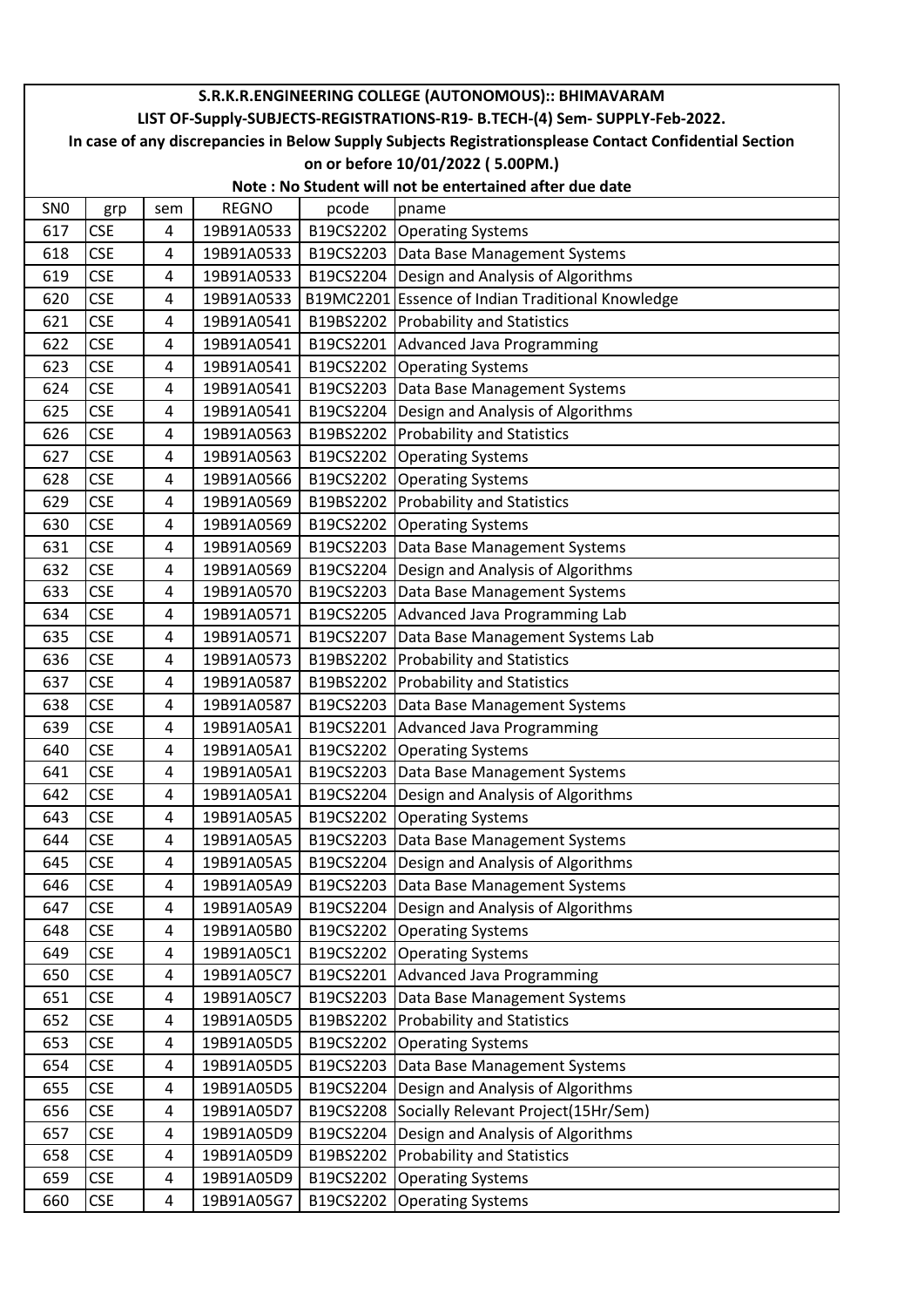|                 | S.R.K.R.ENGINEERING COLLEGE (AUTONOMOUS):: BHIMAVARAM                                                  |     |              |           |                                                         |  |  |  |
|-----------------|--------------------------------------------------------------------------------------------------------|-----|--------------|-----------|---------------------------------------------------------|--|--|--|
|                 | LIST OF-Supply-SUBJECTS-REGISTRATIONS-R19- B.TECH-(4) Sem- SUPPLY-Feb-2022.                            |     |              |           |                                                         |  |  |  |
|                 | In case of any discrepancies in Below Supply Subjects Registrationsplease Contact Confidential Section |     |              |           |                                                         |  |  |  |
|                 | on or before 10/01/2022 (5.00PM.)                                                                      |     |              |           |                                                         |  |  |  |
|                 |                                                                                                        |     |              |           | Note: No Student will not be entertained after due date |  |  |  |
| SN <sub>0</sub> | grp                                                                                                    | sem | <b>REGNO</b> | pcode     | pname                                                   |  |  |  |
| 617             | <b>CSE</b>                                                                                             | 4   | 19B91A0533   |           | B19CS2202 Operating Systems                             |  |  |  |
| 618             | <b>CSE</b>                                                                                             | 4   | 19B91A0533   |           | B19CS2203   Data Base Management Systems                |  |  |  |
| 619             | <b>CSE</b>                                                                                             | 4   | 19B91A0533   |           | B19CS2204   Design and Analysis of Algorithms           |  |  |  |
| 620             | <b>CSE</b>                                                                                             | 4   | 19B91A0533   |           | B19MC2201 Essence of Indian Traditional Knowledge       |  |  |  |
| 621             | <b>CSE</b>                                                                                             | 4   | 19B91A0541   |           | B19BS2202 Probability and Statistics                    |  |  |  |
| 622             | <b>CSE</b>                                                                                             | 4   | 19B91A0541   |           | B19CS2201 Advanced Java Programming                     |  |  |  |
| 623             | <b>CSE</b>                                                                                             | 4   | 19B91A0541   |           | B19CS2202 Operating Systems                             |  |  |  |
| 624             | <b>CSE</b>                                                                                             | 4   | 19B91A0541   |           | B19CS2203 Data Base Management Systems                  |  |  |  |
| 625             | <b>CSE</b>                                                                                             | 4   | 19B91A0541   |           | B19CS2204   Design and Analysis of Algorithms           |  |  |  |
| 626             | <b>CSE</b>                                                                                             | 4   | 19B91A0563   |           | B19BS2202 Probability and Statistics                    |  |  |  |
| 627             | <b>CSE</b>                                                                                             | 4   | 19B91A0563   |           | B19CS2202 Operating Systems                             |  |  |  |
| 628             | <b>CSE</b>                                                                                             | 4   | 19B91A0566   |           | B19CS2202 Operating Systems                             |  |  |  |
| 629             | <b>CSE</b>                                                                                             | 4   | 19B91A0569   |           | B19BS2202 Probability and Statistics                    |  |  |  |
| 630             | <b>CSE</b>                                                                                             | 4   | 19B91A0569   |           | B19CS2202 Operating Systems                             |  |  |  |
| 631             | <b>CSE</b>                                                                                             | 4   | 19B91A0569   |           | B19CS2203   Data Base Management Systems                |  |  |  |
| 632             | <b>CSE</b>                                                                                             | 4   | 19B91A0569   |           | B19CS2204   Design and Analysis of Algorithms           |  |  |  |
| 633             | <b>CSE</b>                                                                                             | 4   | 19B91A0570   |           | B19CS2203   Data Base Management Systems                |  |  |  |
| 634             | <b>CSE</b>                                                                                             | 4   | 19B91A0571   |           | B19CS2205   Advanced Java Programming Lab               |  |  |  |
| 635             | <b>CSE</b>                                                                                             | 4   | 19B91A0571   | B19CS2207 | Data Base Management Systems Lab                        |  |  |  |
| 636             | <b>CSE</b>                                                                                             | 4   | 19B91A0573   |           | B19BS2202 Probability and Statistics                    |  |  |  |
| 637             | <b>CSE</b>                                                                                             | 4   | 19B91A0587   |           | B19BS2202 Probability and Statistics                    |  |  |  |
| 638             | <b>CSE</b>                                                                                             | 4   | 19B91A0587   |           | B19CS2203   Data Base Management Systems                |  |  |  |
| 639             | <b>CSE</b>                                                                                             | 4   | 19B91A05A1   |           | B19CS2201 Advanced Java Programming                     |  |  |  |
| 640             | <b>CSE</b>                                                                                             | 4   | 19B91A05A1   |           | B19CS2202 Operating Systems                             |  |  |  |
| 641             | $\mathsf{CSE}\xspace$                                                                                  | 4   | 19B91A05A1   |           | B19CS2203 Data Base Management Systems                  |  |  |  |
| 642             | <b>CSE</b>                                                                                             | 4   | 19B91A05A1   |           | B19CS2204   Design and Analysis of Algorithms           |  |  |  |
| 643             | <b>CSE</b>                                                                                             | 4   | 19B91A05A5   |           | B19CS2202 Operating Systems                             |  |  |  |
| 644             | <b>CSE</b>                                                                                             | 4   | 19B91A05A5   |           | B19CS2203   Data Base Management Systems                |  |  |  |
| 645             | <b>CSE</b>                                                                                             | 4   | 19B91A05A5   |           | B19CS2204 Design and Analysis of Algorithms             |  |  |  |
| 646             | <b>CSE</b>                                                                                             | 4   | 19B91A05A9   |           | B19CS2203   Data Base Management Systems                |  |  |  |
| 647             | <b>CSE</b>                                                                                             | 4   | 19B91A05A9   |           | B19CS2204   Design and Analysis of Algorithms           |  |  |  |
| 648             | <b>CSE</b>                                                                                             | 4   | 19B91A05B0   | B19CS2202 | <b>Operating Systems</b>                                |  |  |  |
| 649             | <b>CSE</b>                                                                                             | 4   | 19B91A05C1   |           | B19CS2202 Operating Systems                             |  |  |  |
| 650             | <b>CSE</b>                                                                                             | 4   | 19B91A05C7   |           | B19CS2201 Advanced Java Programming                     |  |  |  |
| 651             | <b>CSE</b>                                                                                             | 4   | 19B91A05C7   |           | B19CS2203   Data Base Management Systems                |  |  |  |
| 652             | <b>CSE</b>                                                                                             | 4   | 19B91A05D5   | B19BS2202 | <b>Probability and Statistics</b>                       |  |  |  |
| 653             | <b>CSE</b>                                                                                             | 4   | 19B91A05D5   |           | B19CS2202 Operating Systems                             |  |  |  |
| 654             | <b>CSE</b>                                                                                             | 4   | 19B91A05D5   |           | B19CS2203   Data Base Management Systems                |  |  |  |
| 655             | <b>CSE</b>                                                                                             | 4   | 19B91A05D5   |           | B19CS2204   Design and Analysis of Algorithms           |  |  |  |
| 656             | <b>CSE</b>                                                                                             | 4   | 19B91A05D7   |           | B19CS2208 Socially Relevant Project(15Hr/Sem)           |  |  |  |
| 657             | <b>CSE</b>                                                                                             | 4   | 19B91A05D9   |           | B19CS2204   Design and Analysis of Algorithms           |  |  |  |
| 658             | <b>CSE</b>                                                                                             | 4   | 19B91A05D9   |           | B19BS2202 Probability and Statistics                    |  |  |  |
| 659             | <b>CSE</b>                                                                                             | 4   | 19B91A05D9   |           | B19CS2202 Operating Systems                             |  |  |  |
| 660             | <b>CSE</b>                                                                                             | 4   | 19B91A05G7   |           | B19CS2202 Operating Systems                             |  |  |  |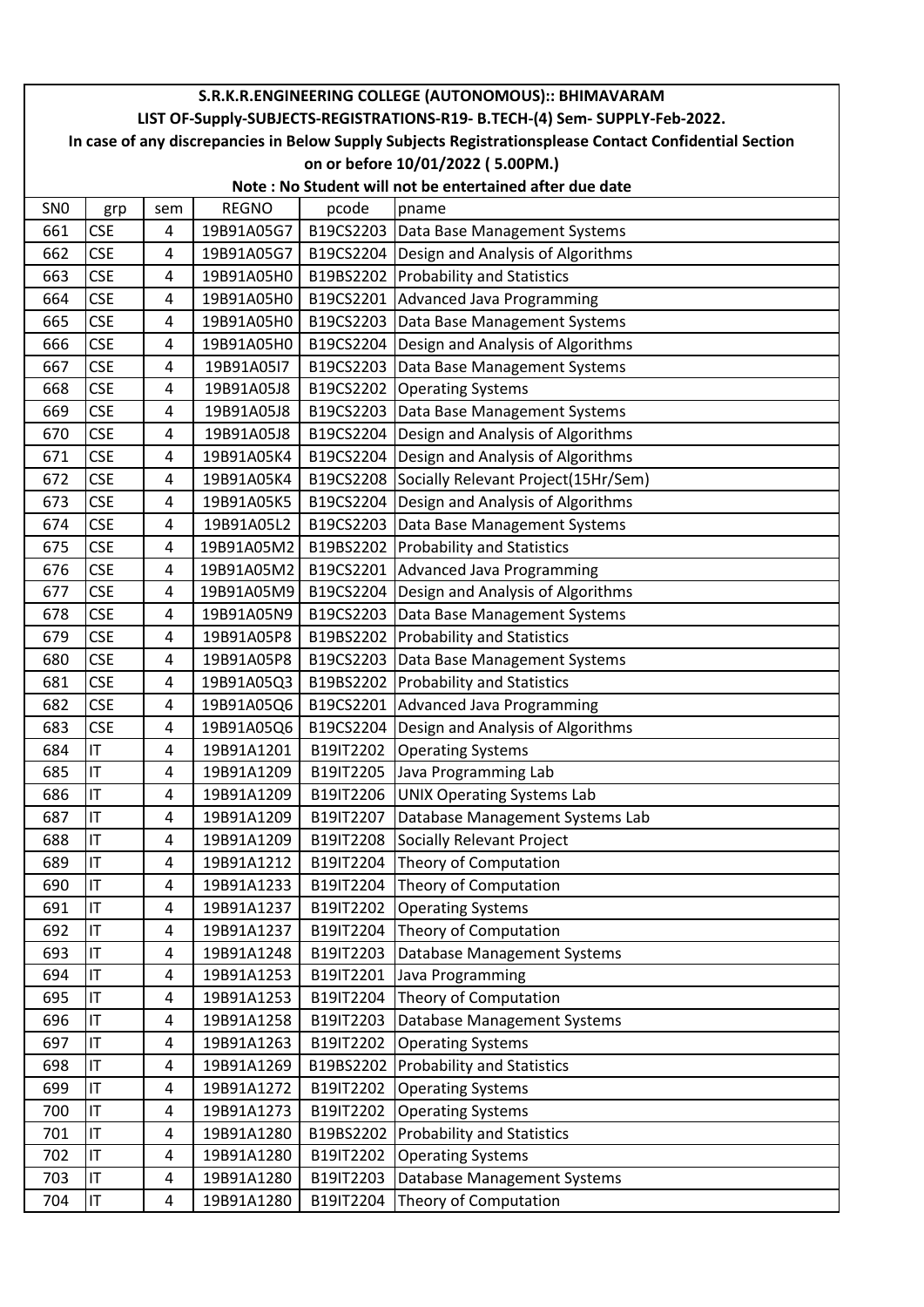|                 | S.R.K.R.ENGINEERING COLLEGE (AUTONOMOUS):: BHIMAVARAM                                                  |     |              |           |                                               |  |  |  |  |
|-----------------|--------------------------------------------------------------------------------------------------------|-----|--------------|-----------|-----------------------------------------------|--|--|--|--|
|                 | LIST OF-Supply-SUBJECTS-REGISTRATIONS-R19- B.TECH-(4) Sem- SUPPLY-Feb-2022.                            |     |              |           |                                               |  |  |  |  |
|                 | In case of any discrepancies in Below Supply Subjects Registrationsplease Contact Confidential Section |     |              |           |                                               |  |  |  |  |
|                 | on or before 10/01/2022 (5.00PM.)<br>Note: No Student will not be entertained after due date           |     |              |           |                                               |  |  |  |  |
| SN <sub>0</sub> |                                                                                                        | sem | <b>REGNO</b> | pcode     | pname                                         |  |  |  |  |
| 661             | grp<br><b>CSE</b>                                                                                      | 4   | 19B91A05G7   |           | B19CS2203   Data Base Management Systems      |  |  |  |  |
| 662             | <b>CSE</b>                                                                                             | 4   | 19B91A05G7   |           | B19CS2204   Design and Analysis of Algorithms |  |  |  |  |
| 663             | <b>CSE</b>                                                                                             | 4   | 19B91A05H0   |           | B19BS2202 Probability and Statistics          |  |  |  |  |
| 664             | <b>CSE</b>                                                                                             | 4   | 19B91A05H0   |           | B19CS2201 Advanced Java Programming           |  |  |  |  |
| 665             | <b>CSE</b>                                                                                             | 4   | 19B91A05H0   |           | B19CS2203   Data Base Management Systems      |  |  |  |  |
| 666             | <b>CSE</b>                                                                                             | 4   | 19B91A05H0   | B19CS2204 | Design and Analysis of Algorithms             |  |  |  |  |
| 667             | <b>CSE</b>                                                                                             | 4   | 19B91A05I7   |           | B19CS2203 Data Base Management Systems        |  |  |  |  |
| 668             | <b>CSE</b>                                                                                             | 4   | 19B91A05J8   | B19CS2202 | <b>Operating Systems</b>                      |  |  |  |  |
| 669             | <b>CSE</b>                                                                                             | 4   | 19B91A05J8   | B19CS2203 | Data Base Management Systems                  |  |  |  |  |
| 670             | <b>CSE</b>                                                                                             | 4   | 19B91A05J8   |           | B19CS2204 Design and Analysis of Algorithms   |  |  |  |  |
| 671             | <b>CSE</b>                                                                                             | 4   | 19B91A05K4   | B19CS2204 | Design and Analysis of Algorithms             |  |  |  |  |
| 672             | <b>CSE</b>                                                                                             | 4   | 19B91A05K4   |           | B19CS2208 Socially Relevant Project(15Hr/Sem) |  |  |  |  |
| 673             | <b>CSE</b>                                                                                             | 4   | 19B91A05K5   | B19CS2204 | Design and Analysis of Algorithms             |  |  |  |  |
| 674             | <b>CSE</b>                                                                                             | 4   | 19B91A05L2   | B19CS2203 | Data Base Management Systems                  |  |  |  |  |
| 675             | <b>CSE</b>                                                                                             | 4   | 19B91A05M2   | B19BS2202 | <b>Probability and Statistics</b>             |  |  |  |  |
| 676             | <b>CSE</b>                                                                                             | 4   | 19B91A05M2   |           | B19CS2201 Advanced Java Programming           |  |  |  |  |
| 677             | <b>CSE</b>                                                                                             | 4   | 19B91A05M9   |           | B19CS2204 Design and Analysis of Algorithms   |  |  |  |  |
| 678             | <b>CSE</b>                                                                                             | 4   | 19B91A05N9   | B19CS2203 | Data Base Management Systems                  |  |  |  |  |
| 679             | <b>CSE</b>                                                                                             | 4   | 19B91A05P8   |           | B19BS2202 Probability and Statistics          |  |  |  |  |
| 680             | <b>CSE</b>                                                                                             | 4   | 19B91A05P8   | B19CS2203 | Data Base Management Systems                  |  |  |  |  |
| 681             | <b>CSE</b>                                                                                             | 4   | 19B91A05Q3   |           | B19BS2202 Probability and Statistics          |  |  |  |  |
| 682             | <b>CSE</b>                                                                                             | 4   | 19B91A05Q6   |           | B19CS2201 Advanced Java Programming           |  |  |  |  |
| 683             | <b>CSE</b>                                                                                             | 4   | 19B91A05Q6   |           | B19CS2204 Design and Analysis of Algorithms   |  |  |  |  |
| 684             | IT                                                                                                     | 4   | 19B91A1201   | B19IT2202 | <b>Operating Systems</b>                      |  |  |  |  |
| 685             | IT                                                                                                     | 4   | 19B91A1209   | B19IT2205 | Java Programming Lab                          |  |  |  |  |
| 686             | IT                                                                                                     | 4   | 19B91A1209   |           | B19IT2206   UNIX Operating Systems Lab        |  |  |  |  |
| 687             | IT                                                                                                     | 4   | 19B91A1209   | B19IT2207 | Database Management Systems Lab               |  |  |  |  |
| 688             | IT                                                                                                     | 4   | 19B91A1209   | B19IT2208 | Socially Relevant Project                     |  |  |  |  |
| 689             | IT                                                                                                     | 4   | 19B91A1212   | B19IT2204 | Theory of Computation                         |  |  |  |  |
| 690             | IT                                                                                                     | 4   | 19B91A1233   |           | B19IT2204 Theory of Computation               |  |  |  |  |
| 691             | IT                                                                                                     | 4   | 19B91A1237   |           | B19IT2202 Operating Systems                   |  |  |  |  |
| 692             | IT                                                                                                     | 4   | 19B91A1237   | B19IT2204 | Theory of Computation                         |  |  |  |  |
| 693             | IT                                                                                                     | 4   | 19B91A1248   | B19IT2203 | Database Management Systems                   |  |  |  |  |
| 694             | IT                                                                                                     | 4   | 19B91A1253   | B19IT2201 | Java Programming                              |  |  |  |  |
| 695             | IT                                                                                                     | 4   | 19B91A1253   |           | B19IT2204 Theory of Computation               |  |  |  |  |
| 696             | IT                                                                                                     | 4   | 19B91A1258   | B19IT2203 | Database Management Systems                   |  |  |  |  |
| 697             | IT                                                                                                     | 4   | 19B91A1263   | B19IT2202 | <b>Operating Systems</b>                      |  |  |  |  |
| 698             | IT                                                                                                     | 4   | 19B91A1269   |           | B19BS2202 Probability and Statistics          |  |  |  |  |
| 699             | $\mathsf{I}\mathsf{T}$                                                                                 | 4   | 19B91A1272   | B19IT2202 | <b>Operating Systems</b>                      |  |  |  |  |
| 700             | IT                                                                                                     | 4   | 19B91A1273   |           | B19IT2202 Operating Systems                   |  |  |  |  |
| 701             | IT                                                                                                     | 4   | 19B91A1280   | B19BS2202 | <b>Probability and Statistics</b>             |  |  |  |  |
| 702             | IT                                                                                                     | 4   | 19B91A1280   | B19IT2202 | <b>Operating Systems</b>                      |  |  |  |  |
| 703             | IT                                                                                                     | 4   | 19B91A1280   | B19IT2203 | Database Management Systems                   |  |  |  |  |
| 704             | IT                                                                                                     | 4   | 19B91A1280   | B19IT2204 | Theory of Computation                         |  |  |  |  |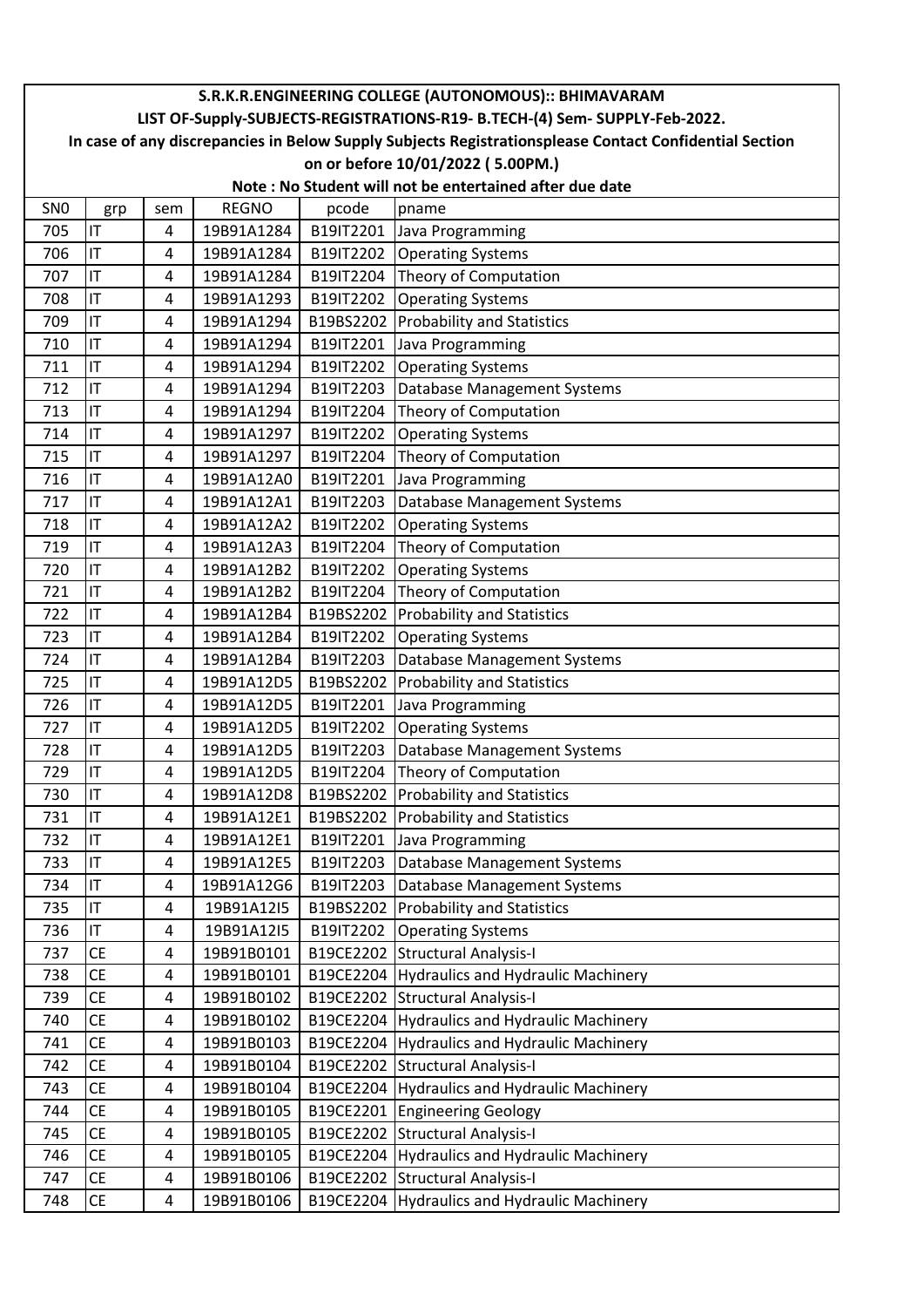|                 | S.R.K.R.ENGINEERING COLLEGE (AUTONOMOUS):: BHIMAVARAM                                                  |                         |                          |                        |                                                                         |  |  |  |
|-----------------|--------------------------------------------------------------------------------------------------------|-------------------------|--------------------------|------------------------|-------------------------------------------------------------------------|--|--|--|
|                 | LIST OF-Supply-SUBJECTS-REGISTRATIONS-R19- B.TECH-(4) Sem- SUPPLY-Feb-2022.                            |                         |                          |                        |                                                                         |  |  |  |
|                 | In case of any discrepancies in Below Supply Subjects Registrationsplease Contact Confidential Section |                         |                          |                        |                                                                         |  |  |  |
|                 | on or before 10/01/2022 (5.00PM.)<br>Note: No Student will not be entertained after due date           |                         |                          |                        |                                                                         |  |  |  |
|                 |                                                                                                        |                         |                          |                        |                                                                         |  |  |  |
| SN <sub>0</sub> | grp                                                                                                    | sem                     | <b>REGNO</b>             | pcode                  | pname                                                                   |  |  |  |
| 705             | IT                                                                                                     | 4                       | 19B91A1284               |                        | B19IT2201 Java Programming                                              |  |  |  |
| 706             | IT                                                                                                     | 4                       | 19B91A1284               |                        | B19IT2202 Operating Systems                                             |  |  |  |
| 707             | IT                                                                                                     | 4                       | 19B91A1284               |                        | B19IT2204 Theory of Computation                                         |  |  |  |
| 708             | IT                                                                                                     | 4                       | 19B91A1293               |                        | B19IT2202 Operating Systems                                             |  |  |  |
| 709             | IT                                                                                                     | 4                       | 19B91A1294               |                        | B19BS2202 Probability and Statistics                                    |  |  |  |
| 710             | IT<br>IT                                                                                               | 4                       | 19B91A1294               |                        | B19IT2201 Java Programming                                              |  |  |  |
| 711             |                                                                                                        | 4                       | 19B91A1294               |                        | B19IT2202 Operating Systems                                             |  |  |  |
| 712             | IT<br>IT                                                                                               | 4                       | 19B91A1294               | B19IT2203              | Database Management Systems                                             |  |  |  |
| 713<br>714      | IT                                                                                                     | 4                       | 19B91A1294<br>19B91A1297 | B19IT2204<br>B19IT2202 | Theory of Computation                                                   |  |  |  |
| 715             | IT                                                                                                     | 4<br>$\overline{4}$     | 19B91A1297               |                        | <b>Operating Systems</b>                                                |  |  |  |
|                 |                                                                                                        |                         |                          | B19IT2204              | Theory of Computation                                                   |  |  |  |
| 716             | IT                                                                                                     | 4                       | 19B91A12A0               | B19IT2201              | Java Programming                                                        |  |  |  |
| 717<br>718      | IT<br>IT                                                                                               | 4                       | 19B91A12A1               | B19IT2203              | Database Management Systems                                             |  |  |  |
|                 | IT                                                                                                     | 4                       | 19B91A12A2               | B19IT2202              | <b>Operating Systems</b>                                                |  |  |  |
| 719             | IT                                                                                                     | 4                       | 19B91A12A3               | B19IT2204              | Theory of Computation                                                   |  |  |  |
| 720             | IT                                                                                                     | 4                       | 19B91A12B2               | B19IT2202              | <b>Operating Systems</b>                                                |  |  |  |
| 721<br>722      | IT                                                                                                     | 4<br>4                  | 19B91A12B2<br>19B91A12B4 |                        | B19IT2204 Theory of Computation<br>B19BS2202 Probability and Statistics |  |  |  |
| 723             | IT                                                                                                     | 4                       |                          |                        |                                                                         |  |  |  |
| 724             | IT                                                                                                     |                         | 19B91A12B4<br>19B91A12B4 |                        | B19IT2202 Operating Systems                                             |  |  |  |
| 725             | IT                                                                                                     | 4                       |                          | B19IT2203              | Database Management Systems                                             |  |  |  |
| 726             | IT                                                                                                     | 4<br>4                  | 19B91A12D5<br>19B91A12D5 |                        | B19BS2202 Probability and Statistics                                    |  |  |  |
| 727             | IT                                                                                                     | $\overline{4}$          | 19B91A12D5               | B19IT2201<br>B19IT2202 | Java Programming<br><b>Operating Systems</b>                            |  |  |  |
| 728             | IT                                                                                                     | 4                       | 19B91A12D5               | B19IT2203              | Database Management Systems                                             |  |  |  |
| 729             | IT                                                                                                     | 4                       | 19B91A12D5               |                        | B19IT2204 Theory of Computation                                         |  |  |  |
| 730             | IT                                                                                                     | 4                       | 19B91A12D8               |                        | B19BS2202 Probability and Statistics                                    |  |  |  |
| 731             | IT                                                                                                     | 4                       | 19B91A12E1               |                        | B19BS2202 Probability and Statistics                                    |  |  |  |
| 732             | IT                                                                                                     | 4                       | 19B91A12E1               |                        | B19IT2201 Java Programming                                              |  |  |  |
| 733             | IT                                                                                                     | 4                       | 19B91A12E5               | B19IT2203              | Database Management Systems                                             |  |  |  |
| 734             | IT                                                                                                     | 4                       | 19B91A12G6               | B19IT2203              | Database Management Systems                                             |  |  |  |
| 735             | IT                                                                                                     | 4                       | 19B91A12I5               |                        | B19BS2202 Probability and Statistics                                    |  |  |  |
| 736             | IT.                                                                                                    | 4                       | 19B91A12I5               | B19IT2202              | <b>Operating Systems</b>                                                |  |  |  |
| 737             | <b>CE</b>                                                                                              | 4                       | 19B91B0101               |                        | B19CE2202 Structural Analysis-I                                         |  |  |  |
| 738             | <b>CE</b>                                                                                              | 4                       | 19B91B0101               |                        | B19CE2204 Hydraulics and Hydraulic Machinery                            |  |  |  |
| 739             | <b>CE</b>                                                                                              | 4                       | 19B91B0102               |                        | B19CE2202 Structural Analysis-I                                         |  |  |  |
| 740             | CE                                                                                                     | 4                       | 19B91B0102               |                        | B19CE2204 Hydraulics and Hydraulic Machinery                            |  |  |  |
| 741             | CE                                                                                                     | 4                       | 19B91B0103               |                        | B19CE2204 Hydraulics and Hydraulic Machinery                            |  |  |  |
| 742             | CE                                                                                                     | $\overline{4}$          | 19B91B0104               |                        | B19CE2202 Structural Analysis-I                                         |  |  |  |
| 743             | <b>CE</b>                                                                                              | 4                       | 19B91B0104               |                        | B19CE2204 Hydraulics and Hydraulic Machinery                            |  |  |  |
| 744             | <b>CE</b>                                                                                              | 4                       | 19B91B0105               |                        | B19CE2201 Engineering Geology                                           |  |  |  |
| 745             | CE                                                                                                     | 4                       | 19B91B0105               |                        | B19CE2202 Structural Analysis-I                                         |  |  |  |
| 746             | <b>CE</b>                                                                                              | 4                       | 19B91B0105               |                        | B19CE2204 Hydraulics and Hydraulic Machinery                            |  |  |  |
| 747             | СE                                                                                                     | 4                       | 19B91B0106               |                        | B19CE2202 Structural Analysis-I                                         |  |  |  |
| 748             | <b>CE</b>                                                                                              | $\overline{\mathbf{4}}$ | 19B91B0106               |                        | B19CE2204 Hydraulics and Hydraulic Machinery                            |  |  |  |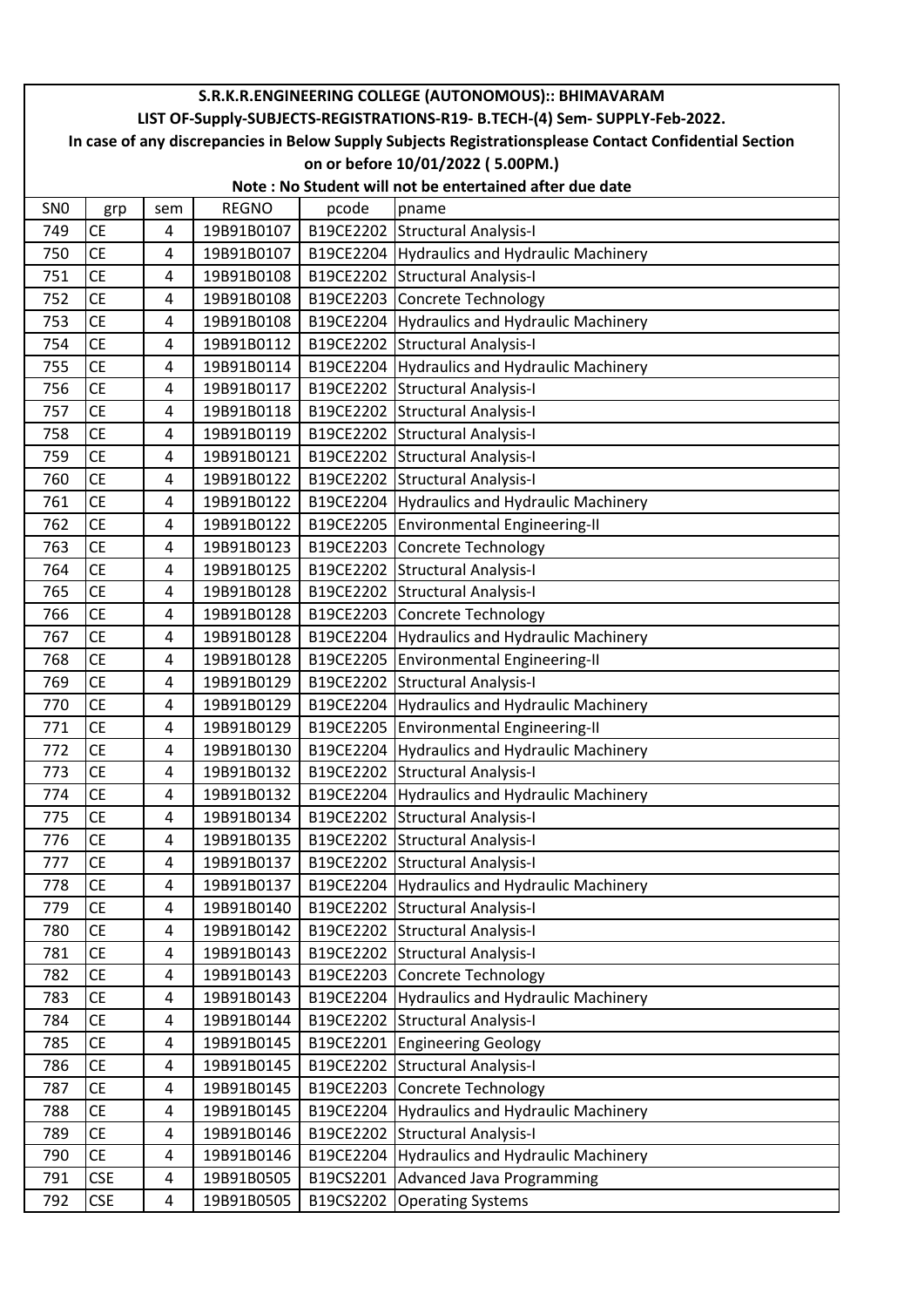| LIST OF-Supply-SUBJECTS-REGISTRATIONS-R19- B.TECH-(4) Sem- SUPPLY-Feb-2022.<br>In case of any discrepancies in Below Supply Subjects Registrationsplease Contact Confidential Section<br>on or before 10/01/2022 (5.00PM.)<br>Note: No Student will not be entertained after due date<br>SN <sub>0</sub><br><b>REGNO</b><br>pcode<br>pname<br>grp<br>sem<br>B19CE2202 Structural Analysis-I<br>749<br><b>CE</b><br>19B91B0107<br>4<br><b>CE</b><br>B19CE2204 Hydraulics and Hydraulic Machinery<br>750<br>4<br>19B91B0107<br>B19CE2202 Structural Analysis-I<br>751<br><b>CE</b><br>19B91B0108<br>4<br><b>CE</b><br>752<br>19B91B0108<br>B19CE2203 Concrete Technology<br>4<br><b>CE</b><br>B19CE2204 Hydraulics and Hydraulic Machinery<br>753<br>19B91B0108<br>4<br><b>CE</b><br>B19CE2202 Structural Analysis-I<br>19B91B0112<br>754<br>4<br><b>CE</b><br>B19CE2204 Hydraulics and Hydraulic Machinery<br>755<br>4<br>19B91B0114<br><b>CE</b><br>B19CE2202 Structural Analysis-I<br>756<br>19B91B0117<br>4<br><b>CE</b><br>B19CE2202 Structural Analysis-I<br>757<br>19B91B0118<br>4<br><b>CE</b><br>758<br>19B91B0119<br>B19CE2202 Structural Analysis-I<br>4<br><b>CE</b><br>B19CE2202 Structural Analysis-I<br>759<br>19B91B0121<br>$\overline{4}$<br><b>CE</b><br>760<br>4<br>19B91B0122<br>B19CE2202 Structural Analysis-I<br><b>CE</b><br>19B91B0122<br>B19CE2204 Hydraulics and Hydraulic Machinery<br>761<br>4<br><b>CE</b><br>762<br>B19CE2205 Environmental Engineering-II<br>4<br>19B91B0122<br><b>CE</b><br>B19CE2203 Concrete Technology<br>763<br>19B91B0123<br>4<br><b>CE</b><br>19B91B0125<br>B19CE2202 Structural Analysis-I<br>764<br>4<br><b>CE</b><br>19B91B0128<br>765<br>B19CE2202 Structural Analysis-I<br>4 |
|----------------------------------------------------------------------------------------------------------------------------------------------------------------------------------------------------------------------------------------------------------------------------------------------------------------------------------------------------------------------------------------------------------------------------------------------------------------------------------------------------------------------------------------------------------------------------------------------------------------------------------------------------------------------------------------------------------------------------------------------------------------------------------------------------------------------------------------------------------------------------------------------------------------------------------------------------------------------------------------------------------------------------------------------------------------------------------------------------------------------------------------------------------------------------------------------------------------------------------------------------------------------------------------------------------------------------------------------------------------------------------------------------------------------------------------------------------------------------------------------------------------------------------------------------------------------------------------------------------------------------------------------------------------------------------------------------------------------------------------|
|                                                                                                                                                                                                                                                                                                                                                                                                                                                                                                                                                                                                                                                                                                                                                                                                                                                                                                                                                                                                                                                                                                                                                                                                                                                                                                                                                                                                                                                                                                                                                                                                                                                                                                                                        |
|                                                                                                                                                                                                                                                                                                                                                                                                                                                                                                                                                                                                                                                                                                                                                                                                                                                                                                                                                                                                                                                                                                                                                                                                                                                                                                                                                                                                                                                                                                                                                                                                                                                                                                                                        |
|                                                                                                                                                                                                                                                                                                                                                                                                                                                                                                                                                                                                                                                                                                                                                                                                                                                                                                                                                                                                                                                                                                                                                                                                                                                                                                                                                                                                                                                                                                                                                                                                                                                                                                                                        |
|                                                                                                                                                                                                                                                                                                                                                                                                                                                                                                                                                                                                                                                                                                                                                                                                                                                                                                                                                                                                                                                                                                                                                                                                                                                                                                                                                                                                                                                                                                                                                                                                                                                                                                                                        |
|                                                                                                                                                                                                                                                                                                                                                                                                                                                                                                                                                                                                                                                                                                                                                                                                                                                                                                                                                                                                                                                                                                                                                                                                                                                                                                                                                                                                                                                                                                                                                                                                                                                                                                                                        |
|                                                                                                                                                                                                                                                                                                                                                                                                                                                                                                                                                                                                                                                                                                                                                                                                                                                                                                                                                                                                                                                                                                                                                                                                                                                                                                                                                                                                                                                                                                                                                                                                                                                                                                                                        |
|                                                                                                                                                                                                                                                                                                                                                                                                                                                                                                                                                                                                                                                                                                                                                                                                                                                                                                                                                                                                                                                                                                                                                                                                                                                                                                                                                                                                                                                                                                                                                                                                                                                                                                                                        |
|                                                                                                                                                                                                                                                                                                                                                                                                                                                                                                                                                                                                                                                                                                                                                                                                                                                                                                                                                                                                                                                                                                                                                                                                                                                                                                                                                                                                                                                                                                                                                                                                                                                                                                                                        |
|                                                                                                                                                                                                                                                                                                                                                                                                                                                                                                                                                                                                                                                                                                                                                                                                                                                                                                                                                                                                                                                                                                                                                                                                                                                                                                                                                                                                                                                                                                                                                                                                                                                                                                                                        |
|                                                                                                                                                                                                                                                                                                                                                                                                                                                                                                                                                                                                                                                                                                                                                                                                                                                                                                                                                                                                                                                                                                                                                                                                                                                                                                                                                                                                                                                                                                                                                                                                                                                                                                                                        |
|                                                                                                                                                                                                                                                                                                                                                                                                                                                                                                                                                                                                                                                                                                                                                                                                                                                                                                                                                                                                                                                                                                                                                                                                                                                                                                                                                                                                                                                                                                                                                                                                                                                                                                                                        |
|                                                                                                                                                                                                                                                                                                                                                                                                                                                                                                                                                                                                                                                                                                                                                                                                                                                                                                                                                                                                                                                                                                                                                                                                                                                                                                                                                                                                                                                                                                                                                                                                                                                                                                                                        |
|                                                                                                                                                                                                                                                                                                                                                                                                                                                                                                                                                                                                                                                                                                                                                                                                                                                                                                                                                                                                                                                                                                                                                                                                                                                                                                                                                                                                                                                                                                                                                                                                                                                                                                                                        |
|                                                                                                                                                                                                                                                                                                                                                                                                                                                                                                                                                                                                                                                                                                                                                                                                                                                                                                                                                                                                                                                                                                                                                                                                                                                                                                                                                                                                                                                                                                                                                                                                                                                                                                                                        |
|                                                                                                                                                                                                                                                                                                                                                                                                                                                                                                                                                                                                                                                                                                                                                                                                                                                                                                                                                                                                                                                                                                                                                                                                                                                                                                                                                                                                                                                                                                                                                                                                                                                                                                                                        |
|                                                                                                                                                                                                                                                                                                                                                                                                                                                                                                                                                                                                                                                                                                                                                                                                                                                                                                                                                                                                                                                                                                                                                                                                                                                                                                                                                                                                                                                                                                                                                                                                                                                                                                                                        |
|                                                                                                                                                                                                                                                                                                                                                                                                                                                                                                                                                                                                                                                                                                                                                                                                                                                                                                                                                                                                                                                                                                                                                                                                                                                                                                                                                                                                                                                                                                                                                                                                                                                                                                                                        |
|                                                                                                                                                                                                                                                                                                                                                                                                                                                                                                                                                                                                                                                                                                                                                                                                                                                                                                                                                                                                                                                                                                                                                                                                                                                                                                                                                                                                                                                                                                                                                                                                                                                                                                                                        |
|                                                                                                                                                                                                                                                                                                                                                                                                                                                                                                                                                                                                                                                                                                                                                                                                                                                                                                                                                                                                                                                                                                                                                                                                                                                                                                                                                                                                                                                                                                                                                                                                                                                                                                                                        |
|                                                                                                                                                                                                                                                                                                                                                                                                                                                                                                                                                                                                                                                                                                                                                                                                                                                                                                                                                                                                                                                                                                                                                                                                                                                                                                                                                                                                                                                                                                                                                                                                                                                                                                                                        |
|                                                                                                                                                                                                                                                                                                                                                                                                                                                                                                                                                                                                                                                                                                                                                                                                                                                                                                                                                                                                                                                                                                                                                                                                                                                                                                                                                                                                                                                                                                                                                                                                                                                                                                                                        |
|                                                                                                                                                                                                                                                                                                                                                                                                                                                                                                                                                                                                                                                                                                                                                                                                                                                                                                                                                                                                                                                                                                                                                                                                                                                                                                                                                                                                                                                                                                                                                                                                                                                                                                                                        |
| <b>CE</b><br>19B91B0128<br>B19CE2203 Concrete Technology<br>766<br>4                                                                                                                                                                                                                                                                                                                                                                                                                                                                                                                                                                                                                                                                                                                                                                                                                                                                                                                                                                                                                                                                                                                                                                                                                                                                                                                                                                                                                                                                                                                                                                                                                                                                   |
| <b>CE</b><br>B19CE2204 Hydraulics and Hydraulic Machinery<br>767<br>4<br>19B91B0128                                                                                                                                                                                                                                                                                                                                                                                                                                                                                                                                                                                                                                                                                                                                                                                                                                                                                                                                                                                                                                                                                                                                                                                                                                                                                                                                                                                                                                                                                                                                                                                                                                                    |
| B19CE2205 Environmental Engineering-II<br><b>CE</b><br>19B91B0128<br>768<br>4                                                                                                                                                                                                                                                                                                                                                                                                                                                                                                                                                                                                                                                                                                                                                                                                                                                                                                                                                                                                                                                                                                                                                                                                                                                                                                                                                                                                                                                                                                                                                                                                                                                          |
| <b>CE</b><br>B19CE2202 Structural Analysis-I<br>769<br>4<br>19B91B0129                                                                                                                                                                                                                                                                                                                                                                                                                                                                                                                                                                                                                                                                                                                                                                                                                                                                                                                                                                                                                                                                                                                                                                                                                                                                                                                                                                                                                                                                                                                                                                                                                                                                 |
| B19CE2204 Hydraulics and Hydraulic Machinery<br>770<br><b>CE</b><br>19B91B0129<br>4                                                                                                                                                                                                                                                                                                                                                                                                                                                                                                                                                                                                                                                                                                                                                                                                                                                                                                                                                                                                                                                                                                                                                                                                                                                                                                                                                                                                                                                                                                                                                                                                                                                    |
| <b>CE</b><br>771<br>19B91B0129<br>B19CE2205   Environmental Engineering-II<br>4                                                                                                                                                                                                                                                                                                                                                                                                                                                                                                                                                                                                                                                                                                                                                                                                                                                                                                                                                                                                                                                                                                                                                                                                                                                                                                                                                                                                                                                                                                                                                                                                                                                        |
| <b>CE</b><br>B19CE2204 Hydraulics and Hydraulic Machinery<br>772<br>4<br>19B91B0130                                                                                                                                                                                                                                                                                                                                                                                                                                                                                                                                                                                                                                                                                                                                                                                                                                                                                                                                                                                                                                                                                                                                                                                                                                                                                                                                                                                                                                                                                                                                                                                                                                                    |
| <b>CE</b><br>B19CE2202 Structural Analysis-I<br>773<br>4<br>19B91B0132                                                                                                                                                                                                                                                                                                                                                                                                                                                                                                                                                                                                                                                                                                                                                                                                                                                                                                                                                                                                                                                                                                                                                                                                                                                                                                                                                                                                                                                                                                                                                                                                                                                                 |
| <b>CE</b><br>B19CE2204 Hydraulics and Hydraulic Machinery<br>4<br>19B91B0132<br>774                                                                                                                                                                                                                                                                                                                                                                                                                                                                                                                                                                                                                                                                                                                                                                                                                                                                                                                                                                                                                                                                                                                                                                                                                                                                                                                                                                                                                                                                                                                                                                                                                                                    |
| B19CE2202 Structural Analysis-I<br>CE<br>19B91B0134<br>775<br>4                                                                                                                                                                                                                                                                                                                                                                                                                                                                                                                                                                                                                                                                                                                                                                                                                                                                                                                                                                                                                                                                                                                                                                                                                                                                                                                                                                                                                                                                                                                                                                                                                                                                        |
| <b>CE</b><br>19B91B0135<br>B19CE2202 Structural Analysis-I<br>776<br>4                                                                                                                                                                                                                                                                                                                                                                                                                                                                                                                                                                                                                                                                                                                                                                                                                                                                                                                                                                                                                                                                                                                                                                                                                                                                                                                                                                                                                                                                                                                                                                                                                                                                 |
| CE<br>B19CE2202 Structural Analysis-I<br>777<br>19B91B0137<br>4                                                                                                                                                                                                                                                                                                                                                                                                                                                                                                                                                                                                                                                                                                                                                                                                                                                                                                                                                                                                                                                                                                                                                                                                                                                                                                                                                                                                                                                                                                                                                                                                                                                                        |
| B19CE2204 Hydraulics and Hydraulic Machinery<br>778<br>CE<br>19B91B0137<br>4                                                                                                                                                                                                                                                                                                                                                                                                                                                                                                                                                                                                                                                                                                                                                                                                                                                                                                                                                                                                                                                                                                                                                                                                                                                                                                                                                                                                                                                                                                                                                                                                                                                           |
| <b>CE</b><br>B19CE2202 Structural Analysis-I<br>779<br>19B91B0140<br>4                                                                                                                                                                                                                                                                                                                                                                                                                                                                                                                                                                                                                                                                                                                                                                                                                                                                                                                                                                                                                                                                                                                                                                                                                                                                                                                                                                                                                                                                                                                                                                                                                                                                 |
| 19B91B0142<br>B19CE2202 Structural Analysis-I<br>780<br>CE<br>4<br><b>CE</b><br>B19CE2202 Structural Analysis-I<br>781                                                                                                                                                                                                                                                                                                                                                                                                                                                                                                                                                                                                                                                                                                                                                                                                                                                                                                                                                                                                                                                                                                                                                                                                                                                                                                                                                                                                                                                                                                                                                                                                                 |
| 19B91B0143<br>4                                                                                                                                                                                                                                                                                                                                                                                                                                                                                                                                                                                                                                                                                                                                                                                                                                                                                                                                                                                                                                                                                                                                                                                                                                                                                                                                                                                                                                                                                                                                                                                                                                                                                                                        |
| 782<br>CE<br>B19CE2203 Concrete Technology<br>19B91B0143<br>4<br>783<br>CE                                                                                                                                                                                                                                                                                                                                                                                                                                                                                                                                                                                                                                                                                                                                                                                                                                                                                                                                                                                                                                                                                                                                                                                                                                                                                                                                                                                                                                                                                                                                                                                                                                                             |
| B19CE2204 Hydraulics and Hydraulic Machinery<br>19B91B0143<br>4<br><b>CE</b><br>784                                                                                                                                                                                                                                                                                                                                                                                                                                                                                                                                                                                                                                                                                                                                                                                                                                                                                                                                                                                                                                                                                                                                                                                                                                                                                                                                                                                                                                                                                                                                                                                                                                                    |
| B19CE2202 Structural Analysis-I<br>19B91B0144<br>4<br>19B91B0145<br>B19CE2201 Engineering Geology<br>785<br>CE<br>4                                                                                                                                                                                                                                                                                                                                                                                                                                                                                                                                                                                                                                                                                                                                                                                                                                                                                                                                                                                                                                                                                                                                                                                                                                                                                                                                                                                                                                                                                                                                                                                                                    |
| CE<br>B19CE2202 Structural Analysis-I<br>786<br>$\overline{4}$<br>19B91B0145                                                                                                                                                                                                                                                                                                                                                                                                                                                                                                                                                                                                                                                                                                                                                                                                                                                                                                                                                                                                                                                                                                                                                                                                                                                                                                                                                                                                                                                                                                                                                                                                                                                           |
| B19CE2203 Concrete Technology<br>787<br>СE<br>19B91B0145<br>4                                                                                                                                                                                                                                                                                                                                                                                                                                                                                                                                                                                                                                                                                                                                                                                                                                                                                                                                                                                                                                                                                                                                                                                                                                                                                                                                                                                                                                                                                                                                                                                                                                                                          |
| <b>CE</b><br>B19CE2204 Hydraulics and Hydraulic Machinery<br>788<br>19B91B0145<br>4                                                                                                                                                                                                                                                                                                                                                                                                                                                                                                                                                                                                                                                                                                                                                                                                                                                                                                                                                                                                                                                                                                                                                                                                                                                                                                                                                                                                                                                                                                                                                                                                                                                    |
| B19CE2202 Structural Analysis-I<br>789<br><b>CE</b><br>19B91B0146<br>4                                                                                                                                                                                                                                                                                                                                                                                                                                                                                                                                                                                                                                                                                                                                                                                                                                                                                                                                                                                                                                                                                                                                                                                                                                                                                                                                                                                                                                                                                                                                                                                                                                                                 |
| B19CE2204 Hydraulics and Hydraulic Machinery<br>790<br><b>CE</b><br>19B91B0146<br>4                                                                                                                                                                                                                                                                                                                                                                                                                                                                                                                                                                                                                                                                                                                                                                                                                                                                                                                                                                                                                                                                                                                                                                                                                                                                                                                                                                                                                                                                                                                                                                                                                                                    |
| B19CS2201 Advanced Java Programming<br>791<br><b>CSE</b><br>19B91B0505<br>4                                                                                                                                                                                                                                                                                                                                                                                                                                                                                                                                                                                                                                                                                                                                                                                                                                                                                                                                                                                                                                                                                                                                                                                                                                                                                                                                                                                                                                                                                                                                                                                                                                                            |
| 792<br>B19CS2202 Operating Systems<br><b>CSE</b><br>$\overline{\mathbf{4}}$<br>19B91B0505                                                                                                                                                                                                                                                                                                                                                                                                                                                                                                                                                                                                                                                                                                                                                                                                                                                                                                                                                                                                                                                                                                                                                                                                                                                                                                                                                                                                                                                                                                                                                                                                                                              |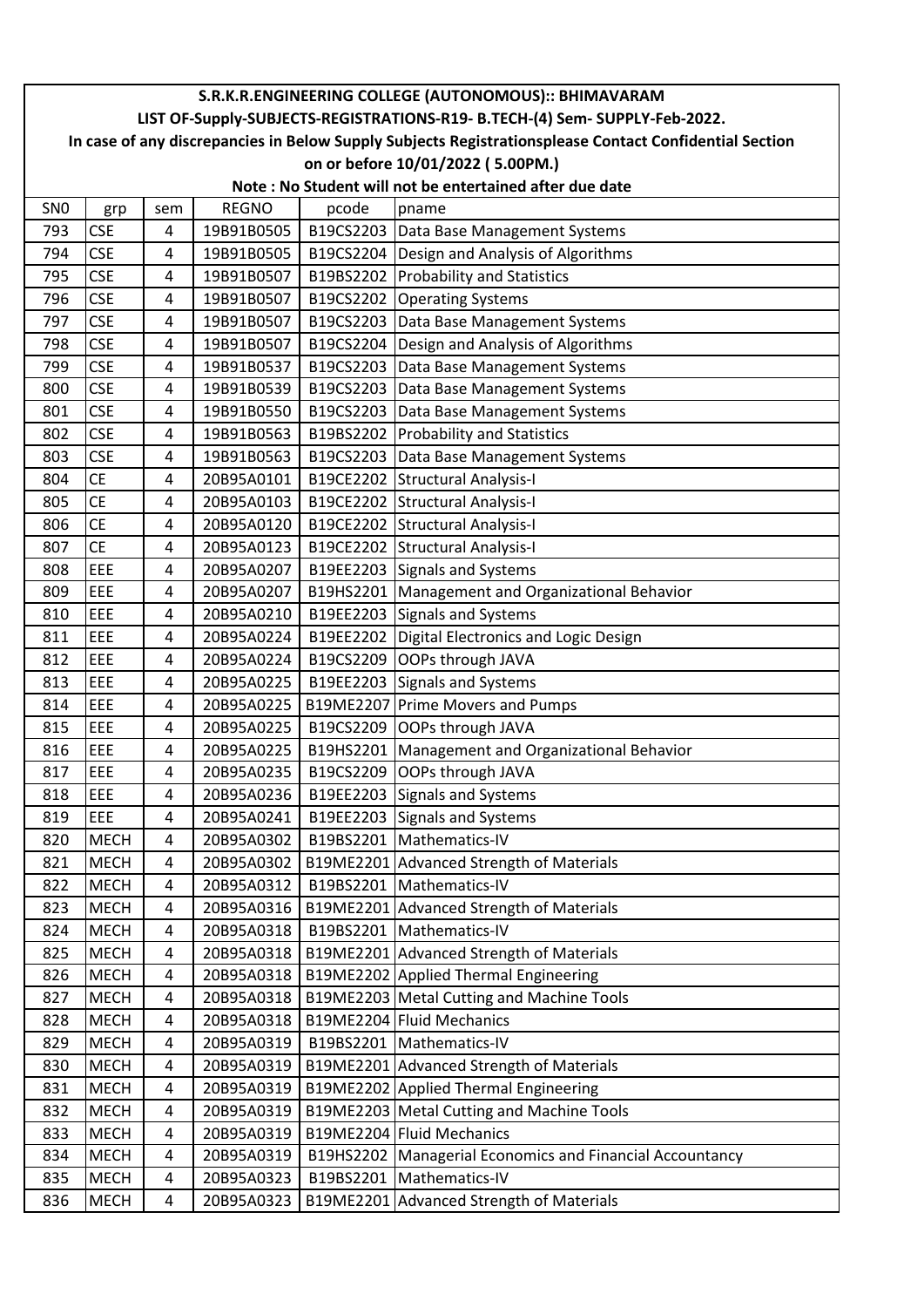|                                                                                                        | S.R.K.R.ENGINEERING COLLEGE (AUTONOMOUS):: BHIMAVARAM |     |              |           |                                                          |  |  |
|--------------------------------------------------------------------------------------------------------|-------------------------------------------------------|-----|--------------|-----------|----------------------------------------------------------|--|--|
| LIST OF-Supply-SUBJECTS-REGISTRATIONS-R19- B.TECH-(4) Sem- SUPPLY-Feb-2022.                            |                                                       |     |              |           |                                                          |  |  |
| In case of any discrepancies in Below Supply Subjects Registrationsplease Contact Confidential Section |                                                       |     |              |           |                                                          |  |  |
| on or before 10/01/2022 (5.00PM.)                                                                      |                                                       |     |              |           |                                                          |  |  |
|                                                                                                        |                                                       |     |              |           | Note: No Student will not be entertained after due date  |  |  |
| SN <sub>0</sub>                                                                                        | grp                                                   | sem | <b>REGNO</b> | pcode     | pname                                                    |  |  |
| 793                                                                                                    | <b>CSE</b>                                            | 4   | 19B91B0505   |           | B19CS2203   Data Base Management Systems                 |  |  |
| 794                                                                                                    | <b>CSE</b>                                            | 4   | 19B91B0505   |           | B19CS2204 Design and Analysis of Algorithms              |  |  |
| 795                                                                                                    | <b>CSE</b>                                            | 4   | 19B91B0507   |           | B19BS2202 Probability and Statistics                     |  |  |
| 796                                                                                                    | <b>CSE</b>                                            | 4   | 19B91B0507   | B19CS2202 | <b>Operating Systems</b>                                 |  |  |
| 797                                                                                                    | <b>CSE</b>                                            | 4   | 19B91B0507   |           | B19CS2203 Data Base Management Systems                   |  |  |
| 798                                                                                                    | <b>CSE</b>                                            | 4   | 19B91B0507   |           | B19CS2204   Design and Analysis of Algorithms            |  |  |
| 799                                                                                                    | <b>CSE</b>                                            | 4   | 19B91B0537   |           | B19CS2203   Data Base Management Systems                 |  |  |
| 800                                                                                                    | <b>CSE</b>                                            | 4   | 19B91B0539   |           | B19CS2203   Data Base Management Systems                 |  |  |
| 801                                                                                                    | <b>CSE</b>                                            | 4   | 19B91B0550   |           | B19CS2203   Data Base Management Systems                 |  |  |
| 802                                                                                                    | <b>CSE</b>                                            | 4   | 19B91B0563   |           | B19BS2202 Probability and Statistics                     |  |  |
| 803                                                                                                    | <b>CSE</b>                                            | 4   | 19B91B0563   |           | B19CS2203 Data Base Management Systems                   |  |  |
| 804                                                                                                    | <b>CE</b>                                             | 4   | 20B95A0101   |           | B19CE2202 Structural Analysis-I                          |  |  |
| 805                                                                                                    | <b>CE</b>                                             | 4   | 20B95A0103   |           | B19CE2202 Structural Analysis-I                          |  |  |
| 806                                                                                                    | <b>CE</b>                                             | 4   | 20B95A0120   |           | B19CE2202 Structural Analysis-I                          |  |  |
| 807                                                                                                    | <b>CE</b>                                             | 4   | 20B95A0123   |           | B19CE2202 Structural Analysis-I                          |  |  |
| 808                                                                                                    | EEE                                                   | 4   | 20B95A0207   |           | B19EE2203 Signals and Systems                            |  |  |
| 809                                                                                                    | EEE                                                   | 4   | 20B95A0207   |           | B19HS2201   Management and Organizational Behavior       |  |  |
| 810                                                                                                    | EEE                                                   | 4   | 20B95A0210   |           | B19EE2203 Signals and Systems                            |  |  |
| 811                                                                                                    | EEE                                                   | 4   | 20B95A0224   |           | B19EE2202 Digital Electronics and Logic Design           |  |  |
| 812                                                                                                    | EEE                                                   | 4   | 20B95A0224   | B19CS2209 | OOPs through JAVA                                        |  |  |
| 813                                                                                                    | EEE                                                   | 4   | 20B95A0225   |           | B19EE2203 Signals and Systems                            |  |  |
| 814                                                                                                    | EEE                                                   | 4   | 20B95A0225   | B19ME2207 | <b>Prime Movers and Pumps</b>                            |  |  |
| 815                                                                                                    | EEE                                                   | 4   | 20B95A0225   | B19CS2209 | OOPs through JAVA                                        |  |  |
| 816                                                                                                    | EEE                                                   | 4   | 20B95A0225   |           | B19HS2201   Management and Organizational Behavior       |  |  |
| 817                                                                                                    | <b>IEEE</b>                                           | 4   | 20B95A0235   |           | B19CS2209   OOPs through JAVA                            |  |  |
| 818                                                                                                    | EEE                                                   | 4   | 20B95A0236   |           | B19EE2203 Signals and Systems                            |  |  |
| 819                                                                                                    | EEE                                                   | 4   | 20B95A0241   |           | B19EE2203 Signals and Systems                            |  |  |
| 820                                                                                                    | <b>MECH</b>                                           | 4   | 20B95A0302   |           | B19BS2201   Mathematics-IV                               |  |  |
| 821                                                                                                    | <b>MECH</b>                                           | 4   | 20B95A0302   |           | B19ME2201 Advanced Strength of Materials                 |  |  |
| 822                                                                                                    | <b>MECH</b>                                           | 4   | 20B95A0312   |           | B19BS2201   Mathematics-IV                               |  |  |
| 823                                                                                                    | <b>MECH</b>                                           | 4   | 20B95A0316   |           | B19ME2201 Advanced Strength of Materials                 |  |  |
| 824                                                                                                    | <b>MECH</b>                                           | 4   | 20B95A0318   |           | B19BS2201 Mathematics-IV                                 |  |  |
| 825                                                                                                    | <b>MECH</b>                                           | 4   | 20B95A0318   |           | B19ME2201 Advanced Strength of Materials                 |  |  |
| 826                                                                                                    | <b>MECH</b>                                           | 4   | 20B95A0318   |           | B19ME2202 Applied Thermal Engineering                    |  |  |
| 827                                                                                                    | <b>MECH</b>                                           | 4   | 20B95A0318   |           | B19ME2203 Metal Cutting and Machine Tools                |  |  |
| 828                                                                                                    | <b>MECH</b>                                           | 4   | 20B95A0318   |           | B19ME2204 Fluid Mechanics                                |  |  |
| 829                                                                                                    | <b>MECH</b>                                           | 4   | 20B95A0319   |           | B19BS2201   Mathematics-IV                               |  |  |
| 830                                                                                                    | <b>MECH</b>                                           | 4   | 20B95A0319   |           | B19ME2201 Advanced Strength of Materials                 |  |  |
| 831                                                                                                    | <b>MECH</b>                                           | 4   | 20B95A0319   |           | B19ME2202 Applied Thermal Engineering                    |  |  |
| 832                                                                                                    | <b>MECH</b>                                           | 4   | 20B95A0319   |           | B19ME2203 Metal Cutting and Machine Tools                |  |  |
| 833                                                                                                    | <b>MECH</b>                                           | 4   | 20B95A0319   |           | B19ME2204 Fluid Mechanics                                |  |  |
| 834                                                                                                    | <b>MECH</b>                                           | 4   | 20B95A0319   |           | B19HS2202 Managerial Economics and Financial Accountancy |  |  |
| 835                                                                                                    | <b>MECH</b>                                           | 4   | 20B95A0323   |           | B19BS2201   Mathematics-IV                               |  |  |
| 836                                                                                                    | <b>MECH</b>                                           | 4   | 20B95A0323   | B19ME2201 | Advanced Strength of Materials                           |  |  |